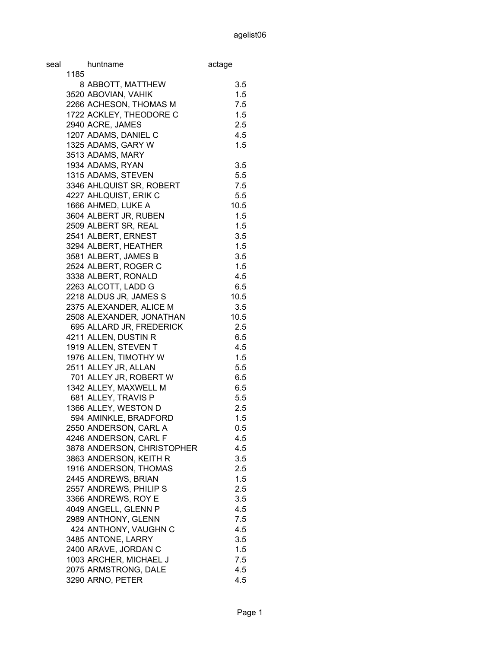| seal |      | huntname                   | actage  |
|------|------|----------------------------|---------|
|      | 1185 |                            |         |
|      |      | 8 ABBOTT, MATTHEW          | 3.5     |
|      |      | 3520 ABOVIAN, VAHIK        | 1.5     |
|      |      | 2266 ACHESON, THOMAS M     | 7.5     |
|      |      | 1722 ACKLEY, THEODORE C    | 1.5     |
|      |      | 2940 ACRE, JAMES           | 2.5     |
|      |      | 1207 ADAMS, DANIEL C       | 4.5     |
|      |      | 1325 ADAMS, GARY W         | 1.5     |
|      |      | 3513 ADAMS, MARY           |         |
|      |      | 1934 ADAMS, RYAN           | 3.5     |
|      |      | 1315 ADAMS, STEVEN         | 5.5     |
|      |      | 3346 AHLQUIST SR, ROBERT   | 7.5     |
|      |      | 4227 AHLQUIST, ERIK C      | 5.5     |
|      |      | 1666 AHMED, LUKE A         | 10.5    |
|      |      | 3604 ALBERT JR, RUBEN      | 1.5     |
|      |      | 2509 ALBERT SR, REAL       | 1.5     |
|      |      | 2541 ALBERT, ERNEST        | 3.5     |
|      |      | 3294 ALBERT, HEATHER       | 1.5     |
|      |      | 3581 ALBERT, JAMES B       | 3.5     |
|      |      | 2524 ALBERT, ROGER C       | 1.5     |
|      |      | 3338 ALBERT, RONALD        | 4.5     |
|      |      | 2263 ALCOTT, LADD G        | 6.5     |
|      |      | 2218 ALDUS JR, JAMES S     | 10.5    |
|      |      | 2375 ALEXANDER, ALICE M    | 3.5     |
|      |      | 2508 ALEXANDER, JONATHAN   | 10.5    |
|      |      | 695 ALLARD JR, FREDERICK   | 2.5     |
|      |      | 4211 ALLEN, DUSTIN R       | 6.5     |
|      |      | 1919 ALLEN, STEVEN T       | 4.5     |
|      |      | 1976 ALLEN, TIMOTHY W      | 1.5     |
|      |      | 2511 ALLEY JR, ALLAN       | 5.5     |
|      |      | 701 ALLEY JR, ROBERT W     | 6.5     |
|      |      | 1342 ALLEY, MAXWELL M      | 6.5     |
|      |      | 681 ALLEY, TRAVIS P        | 5.5     |
|      |      | 1366 ALLEY, WESTON D       | 2.5     |
|      |      | 594 AMINKLE, BRADFORD      | 1.5     |
|      |      | 2550 ANDERSON, CARL A      | $0.5\,$ |
|      |      | 4246 ANDERSON, CARL F      | 4.5     |
|      |      | 3878 ANDERSON, CHRISTOPHER | 4.5     |
|      |      | 3863 ANDERSON, KEITH R     | 3.5     |
|      |      | 1916 ANDERSON, THOMAS      | 2.5     |
|      |      | 2445 ANDREWS, BRIAN        | 1.5     |
|      |      | 2557 ANDREWS, PHILIP S     | 2.5     |
|      |      | 3366 ANDREWS, ROY E        | 3.5     |
|      |      | 4049 ANGELL, GLENN P       | 4.5     |
|      |      | 2989 ANTHONY, GLENN        | 7.5     |
|      |      | 424 ANTHONY, VAUGHN C      | 4.5     |
|      |      | 3485 ANTONE, LARRY         | 3.5     |
|      |      | 2400 ARAVE, JORDAN C       | 1.5     |
|      |      | 1003 ARCHER, MICHAEL J     | 7.5     |
|      |      | 2075 ARMSTRONG, DALE       | 4.5     |
|      |      | 3290 ARNO, PETER           | 4.5     |
|      |      |                            |         |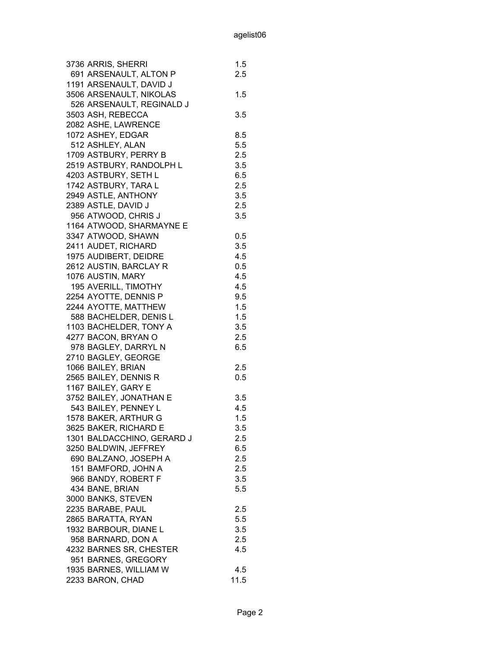| 3736 ARRIS, SHERRI         | 1.5     |
|----------------------------|---------|
| 691 ARSENAULT, ALTON P     | 2.5     |
| 1191 ARSENAULT, DAVID J    |         |
| 3506 ARSENAULT, NIKOLAS    | 1.5     |
| 526 ARSENAULT, REGINALD J  |         |
| 3503 ASH, REBECCA          | 3.5     |
| 2082 ASHE, LAWRENCE        |         |
| 1072 ASHEY, EDGAR          | 8.5     |
| 512 ASHLEY, ALAN           | 5.5     |
| 1709 ASTBURY, PERRY B      | 2.5     |
| 2519 ASTBURY, RANDOLPH L   | 3.5     |
| 4203 ASTBURY, SETH L       | 6.5     |
| 1742 ASTBURY, TARA L       | 2.5     |
| 2949 ASTLE, ANTHONY        | 3.5     |
| 2389 ASTLE, DAVID J        | 2.5     |
| 956 ATWOOD, CHRIS J        | 3.5     |
| 1164 ATWOOD, SHARMAYNE E   |         |
| 3347 ATWOOD, SHAWN         | 0.5     |
| 2411 AUDET, RICHARD        | 3.5     |
| 1975 AUDIBERT, DEIDRE      | 4.5     |
| 2612 AUSTIN, BARCLAY R     | 0.5     |
| 1076 AUSTIN, MARY          | 4.5     |
| 195 AVERILL, TIMOTHY       | 4.5     |
| 2254 AYOTTE, DENNIS P      | 9.5     |
| 2244 AYOTTE, MATTHEW       | 1.5     |
| 588 BACHELDER, DENIS L     | 1.5     |
| 1103 BACHELDER, TONY A     | 3.5     |
| 4277 BACON, BRYAN O        | 2.5     |
| 978 BAGLEY, DARRYL N       | 6.5     |
| 2710 BAGLEY, GEORGE        |         |
| 1066 BAILEY, BRIAN         | 2.5     |
| 2565 BAILEY, DENNIS R      | 0.5     |
| 1167 BAILEY, GARY E        |         |
| 3752 BAILEY, JONATHAN E    | 3.5     |
| 543 BAILEY, PENNEY L       | 4.5     |
| 1578 BAKER, ARTHUR G       | 1.5     |
| 3625 BAKER, RICHARD E      | 3.5     |
| 1301 BALDACCHINO, GERARD J | $2.5\,$ |
| 3250 BALDWIN, JEFFREY      | 6.5     |
| 690 BALZANO, JOSEPH A      | 2.5     |
| 151 BAMFORD, JOHN A        | 2.5     |
| 966 BANDY, ROBERT F        | 3.5     |
| 434 BANE, BRIAN            | 5.5     |
| 3000 BANKS, STEVEN         |         |
| 2235 BARABE, PAUL          | 2.5     |
| 2865 BARATTA, RYAN         | 5.5     |
| 1932 BARBOUR, DIANE L      | 3.5     |
| 958 BARNARD, DON A         | 2.5     |
| 4232 BARNES SR, CHESTER    | 4.5     |
| 951 BARNES, GREGORY        |         |
| 1935 BARNES, WILLIAM W     | 4.5     |
| 2233 BARON, CHAD           | 11.5    |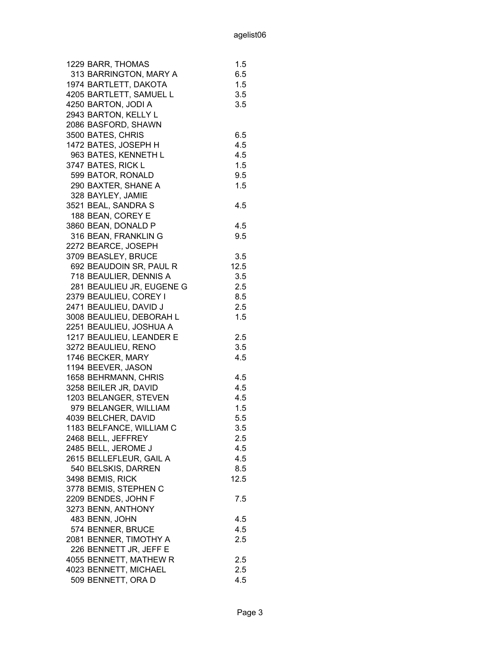| 1229 BARR, THOMAS         | 1.5  |
|---------------------------|------|
| 313 BARRINGTON, MARY A    | 6.5  |
| 1974 BARTLETT, DAKOTA     | 1.5  |
| 4205 BARTLETT, SAMUEL L   | 3.5  |
| 4250 BARTON, JODI A       | 3.5  |
| 2943 BARTON, KELLY L      |      |
| 2086 BASFORD, SHAWN       |      |
| 3500 BATES, CHRIS         | 6.5  |
| 1472 BATES, JOSEPH H      | 4.5  |
| 963 BATES, KENNETH L      | 4.5  |
| 3747 BATES, RICK L        | 1.5  |
| 599 BATOR, RONALD         | 9.5  |
| 290 BAXTER, SHANE A       | 1.5  |
| 328 BAYLEY, JAMIE         |      |
| 3521 BEAL, SANDRA S       | 4.5  |
| 188 BEAN, COREY E         |      |
| 3860 BEAN, DONALD P       | 4.5  |
| 316 BEAN, FRANKLIN G      | 9.5  |
| 2272 BEARCE, JOSEPH       |      |
| 3709 BEASLEY, BRUCE       | 3.5  |
| 692 BEAUDOIN SR, PAUL R   | 12.5 |
| 718 BEAULIER, DENNIS A    | 3.5  |
| 281 BEAULIEU JR, EUGENE G | 2.5  |
| 2379 BEAULIEU, COREY I    | 8.5  |
| 2471 BEAULIEU, DAVID J    | 2.5  |
| 3008 BEAULIEU, DEBORAH L  | 1.5  |
| 2251 BEAULIEU, JOSHUA A   |      |
| 1217 BEAULIEU, LEANDER E  | 2.5  |
| 3272 BEAULIEU, RENO       | 3.5  |
| 1746 BECKER, MARY         | 4.5  |
| 1194 BEEVER, JASON        |      |
| 1658 BEHRMANN, CHRIS      | 4.5  |
| 3258 BEILER JR, DAVID     | 4.5  |
| 1203 BELANGER, STEVEN     | 4.5  |
| 979 BELANGER, WILLIAM     | 1.5  |
| 4039 BELCHER, DAVID       | 5.5  |
| 1183 BELFANCE, WILLIAM C  | 3.5  |
| 2468 BELL, JEFFREY        | 2.5  |
| 2485 BELL, JEROME J       | 4.5  |
| 2615 BELLEFLEUR, GAIL A   | 4.5  |
| 540 BELSKIS, DARREN       | 8.5  |
| 3498 BEMIS, RICK          | 12.5 |
| 3778 BEMIS, STEPHEN C     |      |
| 2209 BENDES, JOHN F       | 7.5  |
| 3273 BENN, ANTHONY        |      |
| 483 BENN, JOHN            | 4.5  |
| 574 BENNER, BRUCE         | 4.5  |
| 2081 BENNER, TIMOTHY A    | 2.5  |
| 226 BENNETT JR, JEFF E    |      |
| 4055 BENNETT, MATHEW R    | 2.5  |
| 4023 BENNETT, MICHAEL     | 2.5  |
| 509 BENNETT, ORA D        | 4.5  |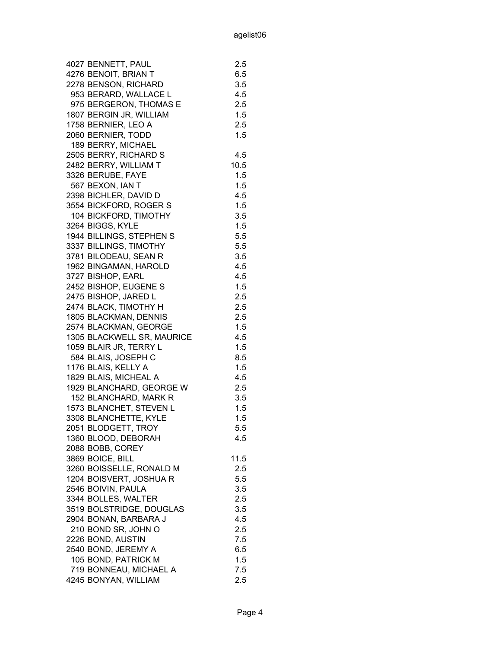|                  | 4027 BENNETT, PAUL         | 2.5  |
|------------------|----------------------------|------|
|                  | 4276 BENOIT, BRIAN T       | 6.5  |
|                  | 2278 BENSON, RICHARD       | 3.5  |
|                  | 953 BERARD, WALLACE L      | 4.5  |
|                  | 975 BERGERON, THOMAS E     | 2.5  |
|                  | 1807 BERGIN JR, WILLIAM    | 1.5  |
|                  | 1758 BERNIER, LEO A        | 2.5  |
|                  | 2060 BERNIER, TODD         | 1.5  |
|                  | 189 BERRY, MICHAEL         |      |
|                  | 2505 BERRY, RICHARD S      | 4.5  |
|                  | 2482 BERRY, WILLIAM T      | 10.5 |
|                  | 3326 BERUBE, FAYE          | 1.5  |
|                  | 567 BEXON, IAN T           | 1.5  |
|                  | 2398 BICHLER, DAVID D      | 4.5  |
|                  | 3554 BICKFORD, ROGER S     | 1.5  |
|                  | 104 BICKFORD, TIMOTHY      | 3.5  |
|                  | 3264 BIGGS, KYLE           | 1.5  |
|                  | 1944 BILLINGS, STEPHEN S   | 5.5  |
|                  | 3337 BILLINGS, TIMOTHY     | 5.5  |
|                  | 3781 BILODEAU, SEAN R      | 3.5  |
|                  | 1962 BINGAMAN, HAROLD      | 4.5  |
|                  | 3727 BISHOP, EARL          | 4.5  |
|                  | 2452 BISHOP, EUGENE S      | 1.5  |
|                  | 2475 BISHOP, JARED L       | 2.5  |
|                  | 2474 BLACK, TIMOTHY H      | 2.5  |
|                  | 1805 BLACKMAN, DENNIS      | 2.5  |
|                  | 2574 BLACKMAN, GEORGE      | 1.5  |
|                  | 1305 BLACKWELL SR, MAURICE | 4.5  |
|                  | 1059 BLAIR JR, TERRY L     | 1.5  |
|                  | 584 BLAIS, JOSEPH C        | 8.5  |
|                  | 1176 BLAIS, KELLY A        | 1.5  |
|                  | 1829 BLAIS, MICHEAL A      | 4.5  |
|                  | 1929 BLANCHARD, GEORGE W   | 2.5  |
|                  | 152 BLANCHARD, MARK R      | 3.5  |
|                  | 1573 BLANCHET, STEVEN L    | 1.5  |
|                  | 3308 BLANCHETTE, KYLE      | 1.5  |
| 2051 BLODGETT,   | <b>TROY</b>                | 5.5  |
|                  | 1360 BLOOD, DEBORAH        | 4.5  |
|                  | 2088 BOBB, COREY           |      |
| 3869 BOICE, BILL |                            | 11.5 |
|                  | 3260 BOISSELLE, RONALD M   | 2.5  |
|                  | 1204 BOISVERT, JOSHUA R    | 5.5  |
|                  | 2546 BOIVIN, PAULA         | 3.5  |
|                  | 3344 BOLLES, WALTER        | 2.5  |
|                  | 3519 BOLSTRIDGE, DOUGLAS   | 3.5  |
|                  | 2904 BONAN, BARBARA J      | 4.5  |
|                  | 210 BOND SR, JOHN O        | 2.5  |
|                  | 2226 BOND, AUSTIN          | 7.5  |
|                  | 2540 BOND, JEREMY A        | 6.5  |
|                  | 105 BOND, PATRICK M        | 1.5  |
|                  | 719 BONNEAU, MICHAEL A     | 7.5  |
|                  | 4245 BONYAN, WILLIAM       | 2.5  |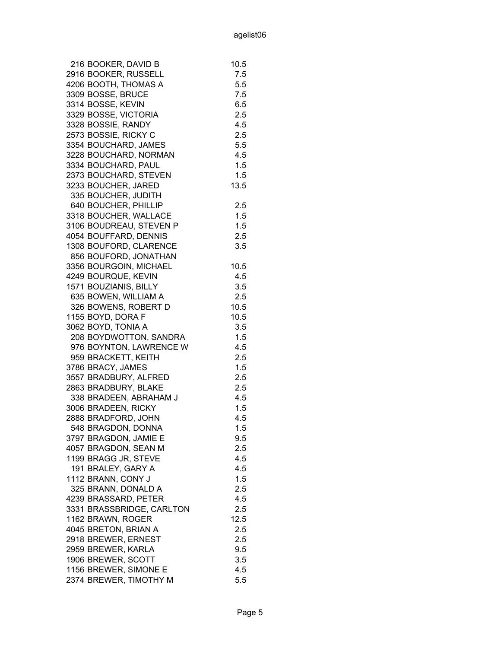| 216 BOOKER, DAVID B       | 10.5 |
|---------------------------|------|
| 2916 BOOKER, RUSSELL      | 7.5  |
| 4206 BOOTH, THOMAS A      | 5.5  |
| 3309 BOSSE, BRUCE         | 7.5  |
| 3314 BOSSE, KEVIN         | 6.5  |
| 3329 BOSSE, VICTORIA      | 2.5  |
| 3328 BOSSIE, RANDY        | 4.5  |
| 2573 BOSSIE, RICKY C      | 2.5  |
| 3354 BOUCHARD, JAMES      | 5.5  |
| 3228 BOUCHARD, NORMAN     | 4.5  |
| 3334 BOUCHARD, PAUL       | 1.5  |
| 2373 BOUCHARD, STEVEN     | 1.5  |
| 3233 BOUCHER, JARED       | 13.5 |
| 335 BOUCHER, JUDITH       |      |
| 640 BOUCHER, PHILLIP      | 2.5  |
| 3318 BOUCHER, WALLACE     | 1.5  |
| 3106 BOUDREAU, STEVEN P   | 1.5  |
| 4054 BOUFFARD, DENNIS     | 2.5  |
| 1308 BOUFORD, CLARENCE    | 3.5  |
| 856 BOUFORD, JONATHAN     |      |
| 3356 BOURGOIN, MICHAEL    | 10.5 |
| 4249 BOURQUE, KEVIN       | 4.5  |
| 1571 BOUZIANIS, BILLY     | 3.5  |
| 635 BOWEN, WILLIAM A      | 2.5  |
| 326 BOWENS, ROBERT D      | 10.5 |
| 1155 BOYD, DORA F         | 10.5 |
| 3062 BOYD, TONIA A        | 3.5  |
| 208 BOYDWOTTON, SANDRA    | 1.5  |
| 976 BOYNTON, LAWRENCE W   | 4.5  |
| 959 BRACKETT, KEITH       | 2.5  |
| 3786 BRACY, JAMES         | 1.5  |
| 3557 BRADBURY, ALFRED     | 2.5  |
| 2863 BRADBURY, BLAKE      | 2.5  |
| 338 BRADEEN, ABRAHAM J    | 4.5  |
| 3006 BRADEEN, RICKY       | 1.5  |
| 2888 BRADFORD, JOHN       | 4.5  |
| 548 BRAGDON, DONNA        | 1.5  |
| 3797 BRAGDON, JAMIE E     | 9.5  |
| 4057 BRAGDON, SEAN M      | 2.5  |
| 1199 BRAGG JR, STEVE      | 4.5  |
| 191 BRALEY, GARY A        | 4.5  |
| 1112 BRANN, CONY J        | 1.5  |
| 325 BRANN, DONALD A       | 2.5  |
| 4239 BRASSARD, PETER      | 4.5  |
| 3331 BRASSBRIDGE, CARLTON | 2.5  |
| 1162 BRAWN, ROGER         | 12.5 |
|                           |      |
| 4045 BRETON, BRIAN A      | 2.5  |
| 2918 BREWER, ERNEST       | 2.5  |
| 2959 BREWER, KARLA        | 9.5  |
| 1906 BREWER, SCOTT        | 3.5  |
| 1156 BREWER, SIMONE E     | 4.5  |
| 2374 BREWER, TIMOTHY M    | 5.5  |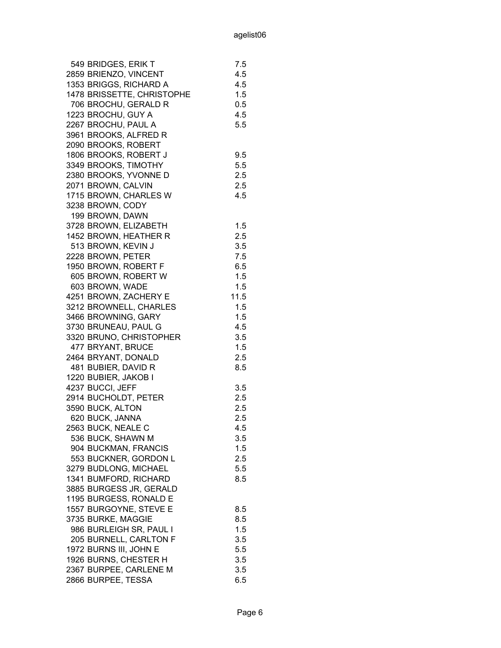| 2859 BRIENZO, VINCENT<br>4.5<br>1353 BRIGGS, RICHARD A<br>4.5<br>1478 BRISSETTE, CHRISTOPHE<br>1.5<br>706 BROCHU, GERALD R<br>0.5<br>1223 BROCHU, GUY A<br>4.5<br>2267 BROCHU, PAUL A<br>5.5<br>3961 BROOKS, ALFRED R<br>2090 BROOKS, ROBERT<br>1806 BROOKS, ROBERT J<br>9.5<br>3349 BROOKS, TIMOTHY<br>5.5<br>2380 BROOKS, YVONNE D<br>2.5<br>2071 BROWN, CALVIN<br>2.5<br>1715 BROWN, CHARLES W<br>4.5<br>3238 BROWN, CODY<br>199 BROWN, DAWN<br>3728 BROWN, ELIZABETH<br>1.5<br>1452 BROWN, HEATHER R<br>2.5<br>513 BROWN, KEVIN J<br>3.5<br>2228 BROWN, PETER<br>7.5<br>1950 BROWN, ROBERT F<br>6.5<br>605 BROWN, ROBERT W<br>1.5<br>603 BROWN, WADE<br>1.5<br>4251 BROWN, ZACHERY E<br>11.5<br>3212 BROWNELL, CHARLES<br>1.5<br>1.5<br>3466 BROWNING, GARY<br>3730 BRUNEAU, PAUL G<br>4.5<br>3320 BRUNO, CHRISTOPHER<br>3.5<br>477 BRYANT, BRUCE<br>1.5<br>2464 BRYANT, DONALD<br>2.5<br>481 BUBIER, DAVID R<br>8.5<br>1220 BUBIER, JAKOB I<br>4237 BUCCI, JEFF<br>3.5<br>2914 BUCHOLDT, PETER<br>2.5<br>3590 BUCK, ALTON<br>2.5<br>620 BUCK, JANNA<br>2.5<br>2563 BUCK, NEALE C<br>4.5<br>536 BUCK, SHAWN M<br>3.5<br>1.5<br>904 BUCKMAN, FRANCIS |
|---------------------------------------------------------------------------------------------------------------------------------------------------------------------------------------------------------------------------------------------------------------------------------------------------------------------------------------------------------------------------------------------------------------------------------------------------------------------------------------------------------------------------------------------------------------------------------------------------------------------------------------------------------------------------------------------------------------------------------------------------------------------------------------------------------------------------------------------------------------------------------------------------------------------------------------------------------------------------------------------------------------------------------------------------------------------------------------------------------------------------------------------------------|
|                                                                                                                                                                                                                                                                                                                                                                                                                                                                                                                                                                                                                                                                                                                                                                                                                                                                                                                                                                                                                                                                                                                                                         |
|                                                                                                                                                                                                                                                                                                                                                                                                                                                                                                                                                                                                                                                                                                                                                                                                                                                                                                                                                                                                                                                                                                                                                         |
|                                                                                                                                                                                                                                                                                                                                                                                                                                                                                                                                                                                                                                                                                                                                                                                                                                                                                                                                                                                                                                                                                                                                                         |
|                                                                                                                                                                                                                                                                                                                                                                                                                                                                                                                                                                                                                                                                                                                                                                                                                                                                                                                                                                                                                                                                                                                                                         |
|                                                                                                                                                                                                                                                                                                                                                                                                                                                                                                                                                                                                                                                                                                                                                                                                                                                                                                                                                                                                                                                                                                                                                         |
|                                                                                                                                                                                                                                                                                                                                                                                                                                                                                                                                                                                                                                                                                                                                                                                                                                                                                                                                                                                                                                                                                                                                                         |
|                                                                                                                                                                                                                                                                                                                                                                                                                                                                                                                                                                                                                                                                                                                                                                                                                                                                                                                                                                                                                                                                                                                                                         |
|                                                                                                                                                                                                                                                                                                                                                                                                                                                                                                                                                                                                                                                                                                                                                                                                                                                                                                                                                                                                                                                                                                                                                         |
|                                                                                                                                                                                                                                                                                                                                                                                                                                                                                                                                                                                                                                                                                                                                                                                                                                                                                                                                                                                                                                                                                                                                                         |
|                                                                                                                                                                                                                                                                                                                                                                                                                                                                                                                                                                                                                                                                                                                                                                                                                                                                                                                                                                                                                                                                                                                                                         |
|                                                                                                                                                                                                                                                                                                                                                                                                                                                                                                                                                                                                                                                                                                                                                                                                                                                                                                                                                                                                                                                                                                                                                         |
|                                                                                                                                                                                                                                                                                                                                                                                                                                                                                                                                                                                                                                                                                                                                                                                                                                                                                                                                                                                                                                                                                                                                                         |
|                                                                                                                                                                                                                                                                                                                                                                                                                                                                                                                                                                                                                                                                                                                                                                                                                                                                                                                                                                                                                                                                                                                                                         |
|                                                                                                                                                                                                                                                                                                                                                                                                                                                                                                                                                                                                                                                                                                                                                                                                                                                                                                                                                                                                                                                                                                                                                         |
|                                                                                                                                                                                                                                                                                                                                                                                                                                                                                                                                                                                                                                                                                                                                                                                                                                                                                                                                                                                                                                                                                                                                                         |
|                                                                                                                                                                                                                                                                                                                                                                                                                                                                                                                                                                                                                                                                                                                                                                                                                                                                                                                                                                                                                                                                                                                                                         |
|                                                                                                                                                                                                                                                                                                                                                                                                                                                                                                                                                                                                                                                                                                                                                                                                                                                                                                                                                                                                                                                                                                                                                         |
|                                                                                                                                                                                                                                                                                                                                                                                                                                                                                                                                                                                                                                                                                                                                                                                                                                                                                                                                                                                                                                                                                                                                                         |
|                                                                                                                                                                                                                                                                                                                                                                                                                                                                                                                                                                                                                                                                                                                                                                                                                                                                                                                                                                                                                                                                                                                                                         |
|                                                                                                                                                                                                                                                                                                                                                                                                                                                                                                                                                                                                                                                                                                                                                                                                                                                                                                                                                                                                                                                                                                                                                         |
|                                                                                                                                                                                                                                                                                                                                                                                                                                                                                                                                                                                                                                                                                                                                                                                                                                                                                                                                                                                                                                                                                                                                                         |
|                                                                                                                                                                                                                                                                                                                                                                                                                                                                                                                                                                                                                                                                                                                                                                                                                                                                                                                                                                                                                                                                                                                                                         |
|                                                                                                                                                                                                                                                                                                                                                                                                                                                                                                                                                                                                                                                                                                                                                                                                                                                                                                                                                                                                                                                                                                                                                         |
|                                                                                                                                                                                                                                                                                                                                                                                                                                                                                                                                                                                                                                                                                                                                                                                                                                                                                                                                                                                                                                                                                                                                                         |
|                                                                                                                                                                                                                                                                                                                                                                                                                                                                                                                                                                                                                                                                                                                                                                                                                                                                                                                                                                                                                                                                                                                                                         |
|                                                                                                                                                                                                                                                                                                                                                                                                                                                                                                                                                                                                                                                                                                                                                                                                                                                                                                                                                                                                                                                                                                                                                         |
|                                                                                                                                                                                                                                                                                                                                                                                                                                                                                                                                                                                                                                                                                                                                                                                                                                                                                                                                                                                                                                                                                                                                                         |
|                                                                                                                                                                                                                                                                                                                                                                                                                                                                                                                                                                                                                                                                                                                                                                                                                                                                                                                                                                                                                                                                                                                                                         |
|                                                                                                                                                                                                                                                                                                                                                                                                                                                                                                                                                                                                                                                                                                                                                                                                                                                                                                                                                                                                                                                                                                                                                         |
|                                                                                                                                                                                                                                                                                                                                                                                                                                                                                                                                                                                                                                                                                                                                                                                                                                                                                                                                                                                                                                                                                                                                                         |
|                                                                                                                                                                                                                                                                                                                                                                                                                                                                                                                                                                                                                                                                                                                                                                                                                                                                                                                                                                                                                                                                                                                                                         |
|                                                                                                                                                                                                                                                                                                                                                                                                                                                                                                                                                                                                                                                                                                                                                                                                                                                                                                                                                                                                                                                                                                                                                         |
|                                                                                                                                                                                                                                                                                                                                                                                                                                                                                                                                                                                                                                                                                                                                                                                                                                                                                                                                                                                                                                                                                                                                                         |
|                                                                                                                                                                                                                                                                                                                                                                                                                                                                                                                                                                                                                                                                                                                                                                                                                                                                                                                                                                                                                                                                                                                                                         |
|                                                                                                                                                                                                                                                                                                                                                                                                                                                                                                                                                                                                                                                                                                                                                                                                                                                                                                                                                                                                                                                                                                                                                         |
|                                                                                                                                                                                                                                                                                                                                                                                                                                                                                                                                                                                                                                                                                                                                                                                                                                                                                                                                                                                                                                                                                                                                                         |
|                                                                                                                                                                                                                                                                                                                                                                                                                                                                                                                                                                                                                                                                                                                                                                                                                                                                                                                                                                                                                                                                                                                                                         |
|                                                                                                                                                                                                                                                                                                                                                                                                                                                                                                                                                                                                                                                                                                                                                                                                                                                                                                                                                                                                                                                                                                                                                         |
| 553 BUCKNER, GORDON L<br>2.5                                                                                                                                                                                                                                                                                                                                                                                                                                                                                                                                                                                                                                                                                                                                                                                                                                                                                                                                                                                                                                                                                                                            |
| 3279 BUDLONG, MICHAEL<br>5.5                                                                                                                                                                                                                                                                                                                                                                                                                                                                                                                                                                                                                                                                                                                                                                                                                                                                                                                                                                                                                                                                                                                            |
| 1341 BUMFORD, RICHARD<br>8.5                                                                                                                                                                                                                                                                                                                                                                                                                                                                                                                                                                                                                                                                                                                                                                                                                                                                                                                                                                                                                                                                                                                            |
| 3885 BURGESS JR, GERALD                                                                                                                                                                                                                                                                                                                                                                                                                                                                                                                                                                                                                                                                                                                                                                                                                                                                                                                                                                                                                                                                                                                                 |
| 1195 BURGESS, RONALD E                                                                                                                                                                                                                                                                                                                                                                                                                                                                                                                                                                                                                                                                                                                                                                                                                                                                                                                                                                                                                                                                                                                                  |
| 1557 BURGOYNE, STEVE E<br>8.5                                                                                                                                                                                                                                                                                                                                                                                                                                                                                                                                                                                                                                                                                                                                                                                                                                                                                                                                                                                                                                                                                                                           |
|                                                                                                                                                                                                                                                                                                                                                                                                                                                                                                                                                                                                                                                                                                                                                                                                                                                                                                                                                                                                                                                                                                                                                         |
|                                                                                                                                                                                                                                                                                                                                                                                                                                                                                                                                                                                                                                                                                                                                                                                                                                                                                                                                                                                                                                                                                                                                                         |
| 3735 BURKE, MAGGIE<br>8.5                                                                                                                                                                                                                                                                                                                                                                                                                                                                                                                                                                                                                                                                                                                                                                                                                                                                                                                                                                                                                                                                                                                               |
| 986 BURLEIGH SR, PAUL I<br>1.5                                                                                                                                                                                                                                                                                                                                                                                                                                                                                                                                                                                                                                                                                                                                                                                                                                                                                                                                                                                                                                                                                                                          |
| 205 BURNELL, CARLTON F<br>3.5                                                                                                                                                                                                                                                                                                                                                                                                                                                                                                                                                                                                                                                                                                                                                                                                                                                                                                                                                                                                                                                                                                                           |
| 1972 BURNS III, JOHN E<br>5.5                                                                                                                                                                                                                                                                                                                                                                                                                                                                                                                                                                                                                                                                                                                                                                                                                                                                                                                                                                                                                                                                                                                           |
| 1926 BURNS, CHESTER H<br>3.5<br>2367 BURPEE, CARLENE M<br>3.5                                                                                                                                                                                                                                                                                                                                                                                                                                                                                                                                                                                                                                                                                                                                                                                                                                                                                                                                                                                                                                                                                           |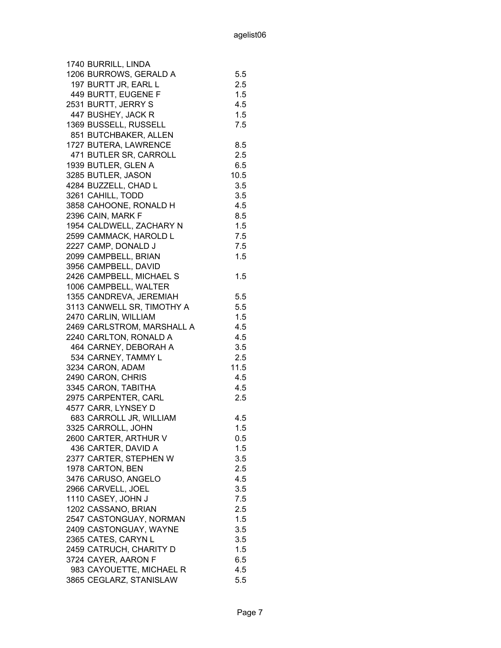| 1740 BURRILL, LINDA        |      |
|----------------------------|------|
| 1206 BURROWS, GERALD A     | 5.5  |
| 197 BURTT JR, EARL L       | 2.5  |
| 449 BURTT, EUGENE F        | 1.5  |
| 2531 BURTT, JERRY S        | 4.5  |
| 447 BUSHEY, JACK R         | 1.5  |
| 1369 BUSSELL, RUSSELL      | 7.5  |
| 851 BUTCHBAKER, ALLEN      |      |
| 1727 BUTERA, LAWRENCE      | 8.5  |
| 471 BUTLER SR, CARROLL     | 2.5  |
| 1939 BUTLER, GLEN A        | 6.5  |
| 3285 BUTLER, JASON         | 10.5 |
| 4284 BUZZELL, CHAD L       | 3.5  |
| 3261 CAHILL, TODD          | 3.5  |
| 3858 CAHOONE, RONALD H     | 4.5  |
| 2396 CAIN, MARK F          | 8.5  |
|                            |      |
| 1954 CALDWELL, ZACHARY N   | 1.5  |
| 2599 CAMMACK, HAROLD L     | 7.5  |
| 2227 CAMP, DONALD J        | 7.5  |
| 2099 CAMPBELL, BRIAN       | 1.5  |
| 3956 CAMPBELL, DAVID       |      |
| 2426 CAMPBELL, MICHAEL S   | 1.5  |
| 1006 CAMPBELL, WALTER      |      |
| 1355 CANDREVA, JEREMIAH    | 5.5  |
| 3113 CANWELL SR, TIMOTHY A | 5.5  |
| 2470 CARLIN, WILLIAM       | 1.5  |
| 2469 CARLSTROM, MARSHALL A | 4.5  |
| 2240 CARLTON, RONALD A     | 4.5  |
| 464 CARNEY, DEBORAH A      | 3.5  |
| 534 CARNEY, TAMMY L        | 2.5  |
| 3234 CARON, ADAM           | 11.5 |
| 2490 CARON, CHRIS          | 4.5  |
| 3345 CARON, TABITHA        | 4.5  |
| 2975 CARPENTER, CARL       | 2.5  |
| 4577 CARR, LYNSEY D        |      |
| 683 CARROLL JR, WILLIAM    | 4.5  |
| 3325 CARROLL, JOHN         | 1.5  |
| 2600 CARTER, ARTHUR V      | 0.5  |
| 436 CARTER, DAVID A        | 1.5  |
| 2377 CARTER, STEPHEN W     | 3.5  |
| 1978 CARTON, BEN           | 2.5  |
| 3476 CARUSO, ANGELO        | 4.5  |
| 2966 CARVELL, JOEL         | 3.5  |
| 1110 CASEY, JOHN J         | 7.5  |
| 1202 CASSANO, BRIAN        | 2.5  |
| 2547 CASTONGUAY, NORMAN    | 1.5  |
| 2409 CASTONGUAY, WAYNE     | 3.5  |
| 2365 CATES, CARYN L        | 3.5  |
| 2459 CATRUCH, CHARITY D    | 1.5  |
| 3724 CAYER, AARON F        | 6.5  |
| 983 CAYOUETTE, MICHAEL R   | 4.5  |
| 3865 CEGLARZ, STANISLAW    | 5.5  |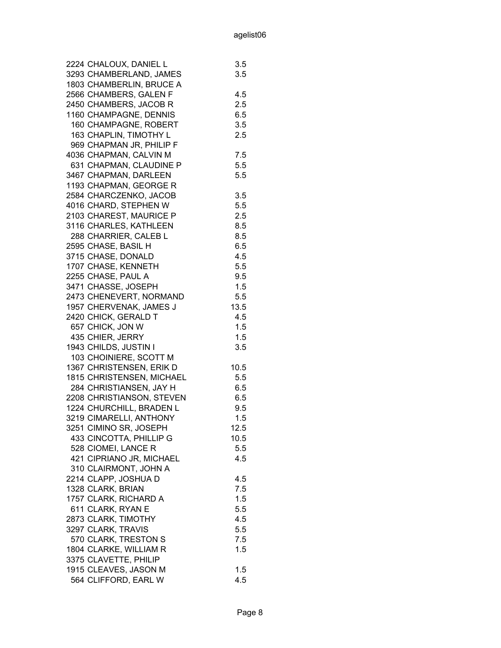| 2224 CHALOUX, DANIEL L    | 3.5  |
|---------------------------|------|
| 3293 CHAMBERLAND, JAMES   | 3.5  |
| 1803 CHAMBERLIN, BRUCE A  |      |
| 2566 CHAMBERS, GALEN F    | 4.5  |
| 2450 CHAMBERS, JACOB R    | 2.5  |
| 1160 CHAMPAGNE, DENNIS    | 6.5  |
| 160 CHAMPAGNE, ROBERT     | 3.5  |
| 163 CHAPLIN, TIMOTHY L    | 2.5  |
| 969 CHAPMAN JR, PHILIP F  |      |
| 4036 CHAPMAN, CALVIN M    | 7.5  |
| 631 CHAPMAN, CLAUDINE P   | 5.5  |
| 3467 CHAPMAN, DARLEEN     | 5.5  |
| 1193 CHAPMAN, GEORGE R    |      |
| 2584 CHARCZENKO, JACOB    | 3.5  |
| 4016 CHARD, STEPHEN W     | 5.5  |
| 2103 CHAREST, MAURICE P   | 2.5  |
| 3116 CHARLES, KATHLEEN    | 8.5  |
|                           |      |
| 288 CHARRIER, CALEB L     | 8.5  |
| 2595 CHASE, BASIL H       | 6.5  |
| 3715 CHASE, DONALD        | 4.5  |
| 1707 CHASE, KENNETH       | 5.5  |
| 2255 CHASE, PAUL A        | 9.5  |
| 3471 CHASSE, JOSEPH       | 1.5  |
| 2473 CHENEVERT, NORMAND   | 5.5  |
| 1957 CHERVENAK, JAMES J   | 13.5 |
| 2420 CHICK, GERALD T      | 4.5  |
| 657 CHICK, JON W          | 1.5  |
| 435 CHIER, JERRY          | 1.5  |
| 1943 CHILDS, JUSTIN I     | 3.5  |
| 103 CHOINIERE, SCOTT M    |      |
| 1367 CHRISTENSEN, ERIK D  | 10.5 |
| 1815 CHRISTENSEN, MICHAEL | 5.5  |
| 284 CHRISTIANSEN, JAY H   | 6.5  |
| 2208 CHRISTIANSON, STEVEN | 6.5  |
| 1224 CHURCHILL, BRADEN L  | 9.5  |
| 3219 CIMARELLI, ANTHONY   | 1.5  |
| 3251 CIMINO SR, JOSEPH    | 12.5 |
| 433 CINCOTTA, PHILLIP G   | 10.5 |
| 528 CIOMEI, LANCE R       | 5.5  |
| 421 CIPRIANO JR, MICHAEL  | 4.5  |
| 310 CLAIRMONT, JOHN A     |      |
| 2214 CLAPP, JOSHUA D      | 4.5  |
| 1328 CLARK, BRIAN         | 7.5  |
| 1757 CLARK, RICHARD A     | 1.5  |
| 611 CLARK, RYAN E         | 5.5  |
| 2873 CLARK, TIMOTHY       | 4.5  |
| 3297 CLARK, TRAVIS        | 5.5  |
| 570 CLARK, TRESTON S      | 7.5  |
| 1804 CLARKE, WILLIAM R    | 1.5  |
| 3375 CLAVETTE, PHILIP     |      |
| 1915 CLEAVES, JASON M     | 1.5  |
| 564 CLIFFORD, EARL W      | 4.5  |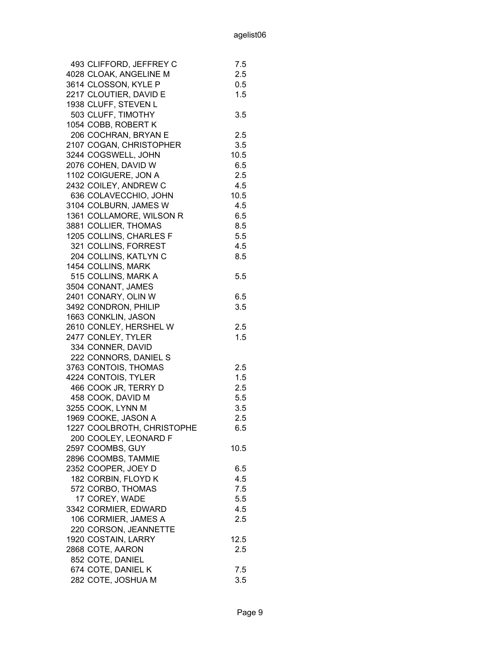| 493 CLIFFORD, JEFFREY C    | 7.5  |
|----------------------------|------|
| 4028 CLOAK, ANGELINE M     | 2.5  |
| 3614 CLOSSON, KYLE P       | 0.5  |
| 2217 CLOUTIER, DAVID E     | 1.5  |
| 1938 CLUFF, STEVEN L       |      |
| 503 CLUFF, TIMOTHY         | 3.5  |
| 1054 COBB, ROBERT K        |      |
| 206 COCHRAN, BRYAN E       | 2.5  |
| 2107 COGAN, CHRISTOPHER    | 3.5  |
| 3244 COGSWELL, JOHN        | 10.5 |
| 2076 COHEN, DAVID W        | 6.5  |
| 1102 COIGUERE, JON A       | 2.5  |
| 2432 COILEY, ANDREW C      | 4.5  |
| 636 COLAVECCHIO, JOHN      | 10.5 |
| 3104 COLBURN, JAMES W      | 4.5  |
| 1361 COLLAMORE, WILSON R   | 6.5  |
| 3881 COLLIER, THOMAS       | 8.5  |
| 1205 COLLINS, CHARLES F    | 5.5  |
| 321 COLLINS, FORREST       | 4.5  |
| 204 COLLINS, KATLYN C      | 8.5  |
| 1454 COLLINS, MARK         |      |
| 515 COLLINS, MARK A        | 5.5  |
| 3504 CONANT, JAMES         |      |
| 2401 CONARY, OLIN W        | 6.5  |
| 3492 CONDRON, PHILIP       | 3.5  |
| 1663 CONKLIN, JASON        |      |
| 2610 CONLEY, HERSHEL W     | 2.5  |
| 2477 CONLEY, TYLER         | 1.5  |
| 334 CONNER, DAVID          |      |
| 222 CONNORS, DANIEL S      |      |
| 3763 CONTOIS, THOMAS       | 2.5  |
| 4224 CONTOIS, TYLER        | 1.5  |
| 466 COOK JR, TERRY D       | 2.5  |
| 458 COOK, DAVID M          | 5.5  |
| 3255 COOK, LYNN M          | 3.5  |
| 1969 COOKE, JASON A        | 2.5  |
| 1227 COOLBROTH, CHRISTOPHE | 6.5  |
| 200 COOLEY, LEONARD F      |      |
| 2597 COOMBS, GUY           | 10.5 |
| 2896 COOMBS, TAMMIE        |      |
| 2352 COOPER, JOEY D        | 6.5  |
| 182 CORBIN, FLOYD K        | 4.5  |
| 572 CORBO, THOMAS          | 7.5  |
| 17 COREY, WADE             | 5.5  |
| 3342 CORMIER, EDWARD       | 4.5  |
| 106 CORMIER, JAMES A       | 2.5  |
| 220 CORSON, JEANNETTE      |      |
| 1920 COSTAIN, LARRY        | 12.5 |
| 2868 COTE, AARON           | 2.5  |
| 852 COTE, DANIEL           |      |
| 674 COTE, DANIEL K         | 7.5  |
| 282 COTE, JOSHUA M         | 3.5  |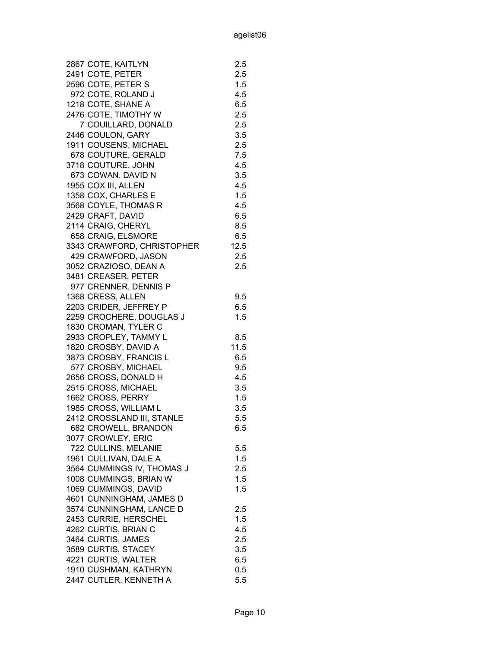| 2867 COTE, KAITLYN         | 2.5  |
|----------------------------|------|
| 2491 COTE, PETER           | 2.5  |
| 2596 COTE, PETER S         | 1.5  |
| 972 COTE, ROLAND J         | 4.5  |
| 1218 COTE, SHANE A         | 6.5  |
| 2476 COTE, TIMOTHY W       | 2.5  |
| 7 COUILLARD, DONALD        | 2.5  |
| 2446 COULON, GARY          | 3.5  |
| 1911 COUSENS, MICHAEL      | 2.5  |
| 678 COUTURE, GERALD        | 7.5  |
| 3718 COUTURE, JOHN         | 4.5  |
| 673 COWAN, DAVID N         | 3.5  |
| 1955 COX III, ALLEN        | 4.5  |
| 1358 COX, CHARLES E        | 1.5  |
| 3568 COYLE, THOMAS R       | 4.5  |
| 2429 CRAFT, DAVID          | 6.5  |
| 2114 CRAIG, CHERYL         | 8.5  |
| 658 CRAIG, ELSMORE         | 6.5  |
| 3343 CRAWFORD, CHRISTOPHER | 12.5 |
| 429 CRAWFORD, JASON        | 2.5  |
| 3052 CRAZIOSO, DEAN A      | 2.5  |
| 3481 CREASER, PETER        |      |
| 977 CRENNER, DENNIS P      |      |
| 1368 CRESS, ALLEN          | 9.5  |
| 2203 CRIDER, JEFFREY P     | 6.5  |
| 2259 CROCHERE, DOUGLAS J   | 1.5  |
| 1830 CROMAN, TYLER C       |      |
| 2933 CROPLEY, TAMMY L      | 8.5  |
| 1820 CROSBY, DAVID A       | 11.5 |
| 3873 CROSBY, FRANCIS L     | 6.5  |
| 577 CROSBY, MICHAEL        | 9.5  |
| 2656 CROSS, DONALD H       | 4.5  |
| 2515 CROSS, MICHAEL        | 3.5  |
| 1662 CROSS, PERRY          | 1.5  |
| 1985 CROSS, WILLIAM L      | 3.5  |
| 2412 CROSSLAND III, STANLE | 5.5  |
| 682 CROWELL, BRANDON       | 6.5  |
|                            |      |
| 3077 CROWLEY, ERIC         |      |
| 722 CULLINS, MELANIE       | 5.5  |
| 1961 CULLIVAN, DALE A      | 1.5  |
| 3564 CUMMINGS IV, THOMAS J | 2.5  |
| 1008 CUMMINGS, BRIAN W     | 1.5  |
| 1069 CUMMINGS, DAVID       | 1.5  |
| 4601 CUNNINGHAM, JAMES D   |      |
| 3574 CUNNINGHAM, LANCE D   | 2.5  |
| 2453 CURRIE, HERSCHEL      | 1.5  |
| 4262 CURTIS, BRIAN C       | 4.5  |
| 3464 CURTIS, JAMES         | 2.5  |
| 3589 CURTIS, STACEY        | 3.5  |
| 4221 CURTIS, WALTER        | 6.5  |
| 1910 CUSHMAN, KATHRYN      | 0.5  |
| 2447 CUTLER, KENNETH A     | 5.5  |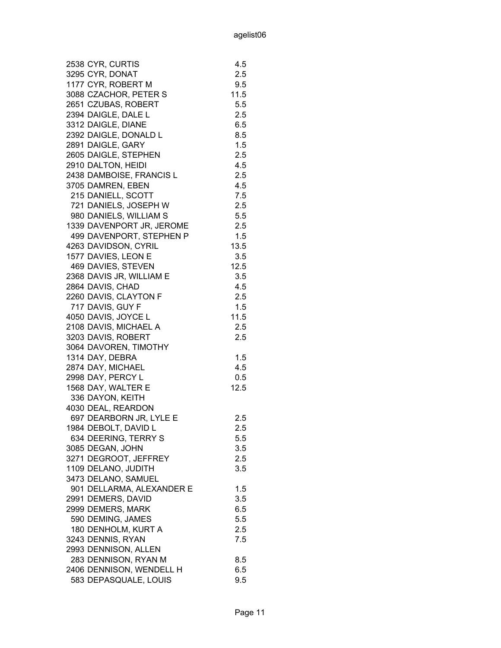| 2538 CYR, CURTIS          | 4.5  |
|---------------------------|------|
| 3295 CYR, DONAT           | 2.5  |
| 1177 CYR, ROBERT M        | 9.5  |
| 3088 CZACHOR, PETER S     | 11.5 |
| 2651 CZUBAS, ROBERT       | 5.5  |
| 2394 DAIGLE, DALE L       | 2.5  |
| 3312 DAIGLE, DIANE        | 6.5  |
| 2392 DAIGLE, DONALD L     | 8.5  |
| 2891 DAIGLE, GARY         | 1.5  |
| 2605 DAIGLE, STEPHEN      |      |
|                           | 2.5  |
| 2910 DALTON, HEIDI        | 4.5  |
| 2438 DAMBOISE, FRANCIS L  | 2.5  |
| 3705 DAMREN, EBEN         | 4.5  |
| 215 DANIELL, SCOTT        | 7.5  |
| 721 DANIELS, JOSEPH W     | 2.5  |
| 980 DANIELS, WILLIAM S    | 5.5  |
| 1339 DAVENPORT JR, JEROME | 2.5  |
| 499 DAVENPORT, STEPHEN P  | 1.5  |
| 4263 DAVIDSON, CYRIL      | 13.5 |
| 1577 DAVIES, LEON E       | 3.5  |
| 469 DAVIES, STEVEN        | 12.5 |
| 2368 DAVIS JR, WILLIAM E  | 3.5  |
| 2864 DAVIS, CHAD          | 4.5  |
| 2260 DAVIS, CLAYTON F     | 2.5  |
| 717 DAVIS, GUY F          | 1.5  |
| 4050 DAVIS, JOYCE L       | 11.5 |
| 2108 DAVIS, MICHAEL A     | 2.5  |
| 3203 DAVIS, ROBERT        | 2.5  |
| 3064 DAVOREN, TIMOTHY     |      |
| 1314 DAY, DEBRA           |      |
|                           | 1.5  |
| 2874 DAY, MICHAEL         | 4.5  |
| 2998 DAY, PERCY L         | 0.5  |
| 1568 DAY, WALTER E        | 12.5 |
| 336 DAYON, KEITH          |      |
| 4030 DEAL, REARDON        |      |
| 697 DEARBORN JR, LYLE E   | 2.5  |
| 1984 DEBOLT, DAVID L      | 2.5  |
| 634 DEERING, TERRY S      | 5.5  |
| 3085 DEGAN, JOHN          | 3.5  |
| 3271 DEGROOT, JEFFREY     | 2.5  |
| 1109 DELANO, JUDITH       | 3.5  |
| 3473 DELANO, SAMUEL       |      |
| 901 DELLARMA, ALEXANDER E | 1.5  |
| 2991 DEMERS, DAVID        | 3.5  |
| 2999 DEMERS, MARK         | 6.5  |
| 590 DEMING, JAMES         | 5.5  |
| 180 DENHOLM, KURT A       | 2.5  |
| 3243 DENNIS, RYAN         | 7.5  |
| 2993 DENNISON, ALLEN      |      |
| 283 DENNISON, RYAN M      | 8.5  |
| 2406 DENNISON, WENDELL H  | 6.5  |
|                           |      |
| 583 DEPASQUALE, LOUIS     | 9.5  |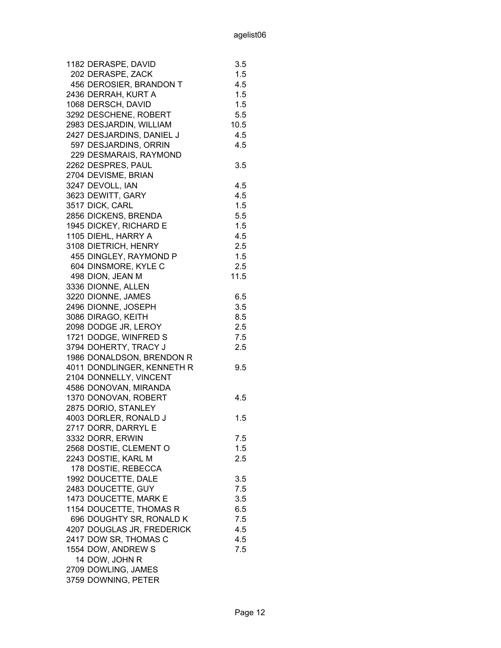| 1182 DERASPE, DAVID        | 3.5  |
|----------------------------|------|
| 202 DERASPE, ZACK          | 1.5  |
| 456 DEROSIER, BRANDON T    | 4.5  |
| 2436 DERRAH, KURT A        | 1.5  |
| 1068 DERSCH, DAVID         | 1.5  |
| 3292 DESCHENE, ROBERT      | 5.5  |
| 2983 DESJARDIN, WILLIAM    | 10.5 |
| 2427 DESJARDINS, DANIEL J  | 4.5  |
| 597 DESJARDINS, ORRIN      | 4.5  |
| 229 DESMARAIS, RAYMOND     |      |
| 2262 DESPRES, PAUL         | 3.5  |
| 2704 DEVISME, BRIAN        |      |
| 3247 DEVOLL, IAN           | 4.5  |
| 3623 DEWITT, GARY          | 4.5  |
| 3517 DICK, CARL            | 1.5  |
| 2856 DICKENS, BRENDA       | 5.5  |
| 1945 DICKEY, RICHARD E     | 1.5  |
| 1105 DIEHL, HARRY A        | 4.5  |
| 3108 DIETRICH, HENRY       | 2.5  |
| 455 DINGLEY, RAYMOND P     | 1.5  |
| 604 DINSMORE, KYLE C       | 2.5  |
| 498 DION, JEAN M           | 11.5 |
| 3336 DIONNE, ALLEN         |      |
| 3220 DIONNE, JAMES         | 6.5  |
| 2496 DIONNE, JOSEPH        | 3.5  |
| 3086 DIRAGO, KEITH         | 8.5  |
| 2098 DODGE JR, LEROY       | 2.5  |
| 1721 DODGE, WINFRED S      | 7.5  |
| 3794 DOHERTY, TRACY J      | 2.5  |
| 1986 DONALDSON, BRENDON R  |      |
| 4011 DONDLINGER, KENNETH R | 9.5  |
| 2104 DONNELLY, VINCENT     |      |
| 4586 DONOVAN, MIRANDA      |      |
| 1370 DONOVAN, ROBERT       | 4.5  |
| 2875 DORIO, STANLEY        |      |
| 4003 DORLER, RONALD J      | 1.5  |
| 2717 DORR, DARRYL E        |      |
| 3332 DORR, ERWIN           | 7.5  |
| 2568 DOSTIE, CLEMENT O     | 1.5  |
| 2243 DOSTIE, KARL M        | 2.5  |
| 178 DOSTIE, REBECCA        |      |
| 1992 DOUCETTE, DALE        | 3.5  |
| 2483 DOUCETTE, GUY         | 7.5  |
| 1473 DOUCETTE, MARK E      | 3.5  |
| 1154 DOUCETTE, THOMAS R    | 6.5  |
| 696 DOUGHTY SR, RONALD K   | 7.5  |
| 4207 DOUGLAS JR, FREDERICK | 4.5  |
| 2417 DOW SR, THOMAS C      | 4.5  |
| 1554 DOW, ANDREW S         | 7.5  |
| 14 DOW, JOHN R             |      |
| 2709 DOWLING, JAMES        |      |
|                            |      |
| 3759 DOWNING, PETER        |      |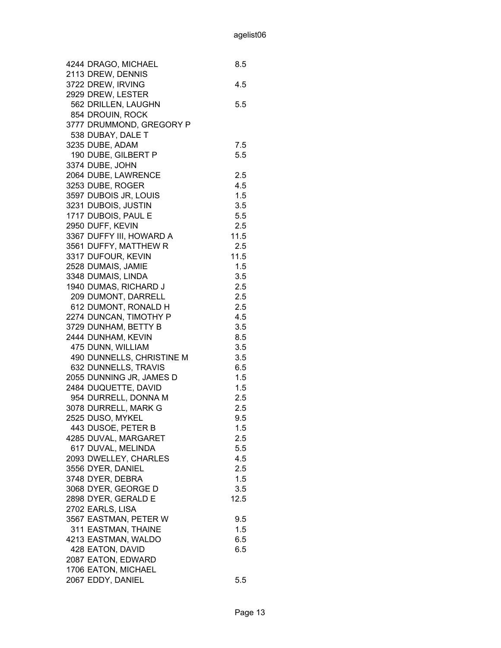| 4244 DRAGO, MICHAEL       | 8.5  |
|---------------------------|------|
| 2113 DREW, DENNIS         |      |
| 3722 DREW, IRVING         | 4.5  |
| 2929 DREW, LESTER         |      |
| 562 DRILLEN, LAUGHN       | 5.5  |
| 854 DROUIN, ROCK          |      |
| 3777 DRUMMOND, GREGORY P  |      |
| 538 DUBAY, DALE T         |      |
| 3235 DUBE, ADAM           | 7.5  |
| 190 DUBE, GILBERT P       | 5.5  |
| 3374 DUBE, JOHN           |      |
| 2064 DUBE, LAWRENCE       | 2.5  |
| 3253 DUBE, ROGER          | 4.5  |
| 3597 DUBOIS JR, LOUIS     | 1.5  |
| 3231 DUBOIS, JUSTIN       | 3.5  |
| 1717 DUBOIS, PAUL E       | 5.5  |
| 2950 DUFF, KEVIN          | 2.5  |
| 3367 DUFFY III, HOWARD A  | 11.5 |
| 3561 DUFFY, MATTHEW R     | 2.5  |
| 3317 DUFOUR, KEVIN        | 11.5 |
| 2528 DUMAIS, JAMIE        | 1.5  |
| 3348 DUMAIS, LINDA        | 3.5  |
| 1940 DUMAS, RICHARD J     | 2.5  |
| 209 DUMONT, DARRELL       | 2.5  |
| 612 DUMONT, RONALD H      | 2.5  |
| 2274 DUNCAN, TIMOTHY P    | 4.5  |
| 3729 DUNHAM, BETTY B      | 3.5  |
| 2444 DUNHAM, KEVIN        | 8.5  |
| 475 DUNN, WILLIAM         | 3.5  |
| 490 DUNNELLS, CHRISTINE M | 3.5  |
| 632 DUNNELLS, TRAVIS      | 6.5  |
| 2055 DUNNING JR, JAMES D  | 1.5  |
| 2484 DUQUETTE, DAVID      | 1.5  |
| 954 DURRELL, DONNA M      | 2.5  |
| 3078 DURRELL, MARK G      | 2.5  |
| 2525 DUSO, MYKEL          | 9.5  |
| 443 DUSOE, PETER B        | 1.5  |
| 4285 DUVAL, MARGARET      | 2.5  |
| 617 DUVAL, MELINDA        | 5.5  |
| 2093 DWELLEY, CHARLES     | 4.5  |
| 3556 DYER, DANIEL         | 2.5  |
| 3748 DYER, DEBRA          | 1.5  |
| 3068 DYER, GEORGE D       | 3.5  |
| 2898 DYER, GERALD E       | 12.5 |
| 2702 EARLS, LISA          |      |
| 3567 EASTMAN, PETER W     | 9.5  |
| 311 EASTMAN, THAINE       | 1.5  |
| 4213 EASTMAN, WALDO       | 6.5  |
| 428 EATON, DAVID          | 6.5  |
| 2087 EATON, EDWARD        |      |
| 1706 EATON, MICHAEL       |      |
| 2067 EDDY, DANIEL         | 5.5  |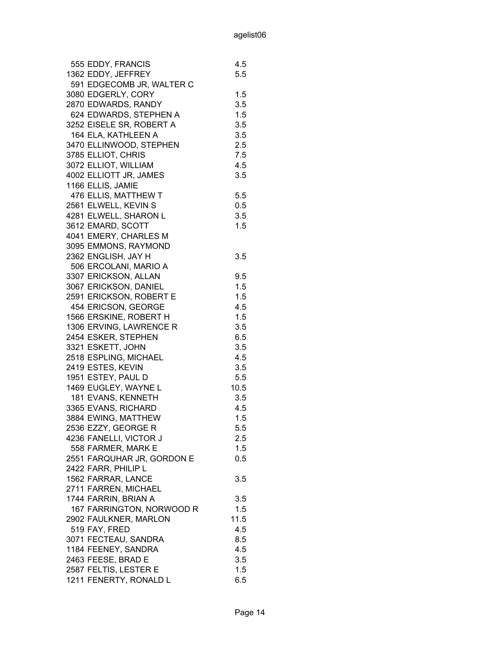| 555 EDDY, FRANCIS          | 4.5  |
|----------------------------|------|
| 1362 EDDY, JEFFREY         | 5.5  |
| 591 EDGECOMB JR, WALTER C  |      |
| 3080 EDGERLY, CORY         | 1.5  |
| 2870 EDWARDS, RANDY        | 3.5  |
| 624 EDWARDS, STEPHEN A     | 1.5  |
| 3252 EISELE SR, ROBERT A   | 3.5  |
| 164 ELA, KATHLEEN A        | 3.5  |
| 3470 ELLINWOOD, STEPHEN    | 2.5  |
| 3785 ELLIOT, CHRIS         | 7.5  |
| 3072 ELLIOT, WILLIAM       | 4.5  |
| 4002 ELLIOTT JR, JAMES     | 3.5  |
| 1166 ELLIS, JAMIE          |      |
| 476 ELLIS, MATTHEW T       | 5.5  |
| 2561 ELWELL, KEVIN S       | 0.5  |
| 4281 ELWELL, SHARON L      | 3.5  |
|                            | 1.5  |
| 3612 EMARD, SCOTT          |      |
| 4041 EMERY, CHARLES M      |      |
| 3095 EMMONS, RAYMOND       |      |
| 2362 ENGLISH, JAY H        | 3.5  |
| 506 ERCOLANI, MARIO A      |      |
| 3307 ERICKSON, ALLAN       | 9.5  |
| 3067 ERICKSON, DANIEL      | 1.5  |
| 2591 ERICKSON, ROBERT E    | 1.5  |
| 454 ERICSON, GEORGE        | 4.5  |
| 1566 ERSKINE, ROBERT H     | 1.5  |
| 1306 ERVING, LAWRENCE R    | 3.5  |
| 2454 ESKER, STEPHEN        | 6.5  |
| 3321 ESKETT, JOHN          | 3.5  |
| 2518 ESPLING, MICHAEL      | 4.5  |
| 2419 ESTES, KEVIN          | 3.5  |
| 1951 ESTEY, PAUL D         | 5.5  |
| 1469 EUGLEY, WAYNE L       | 10.5 |
| 181 EVANS, KENNETH         | 3.5  |
| 3365 EVANS, RICHARD        | 4.5  |
| 3884 EWING, MATTHEW        | 1.5  |
| 2536 EZZY, GEORGE R        | 5.5  |
| 4236 FANELLI, VICTOR J     | 2.5  |
| 558 FARMER, MARK E         | 1.5  |
| 2551 FARQUHAR JR, GORDON E | 0.5  |
| 2422 FARR, PHILIP L        |      |
| 1562 FARRAR, LANCE         | 3.5  |
| 2711 FARREN, MICHAEL       |      |
| 1744 FARRIN, BRIAN A       | 3.5  |
| 167 FARRINGTON, NORWOOD R  | 1.5  |
|                            | 11.5 |
| 2902 FAULKNER, MARLON      |      |
| 519 FAY, FRED              | 4.5  |
| 3071 FECTEAU, SANDRA       | 8.5  |
| 1184 FEENEY, SANDRA        | 4.5  |
| 2463 FEESE, BRAD E         | 3.5  |
| 2587 FELTIS, LESTER E      | 1.5  |
| 1211 FENERTY, RONALD L     | 6.5  |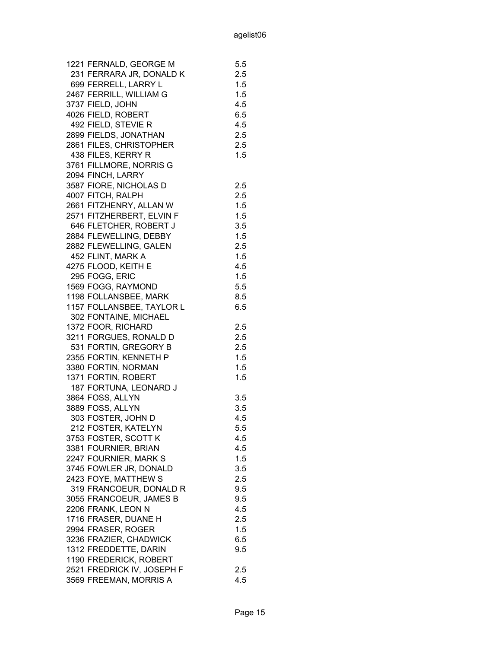| 1221 FERNALD, GEORGE M     | 5.5 |
|----------------------------|-----|
| 231 FERRARA JR, DONALD K   | 2.5 |
| 699 FERRELL, LARRY L       | 1.5 |
| 2467 FERRILL, WILLIAM G    | 1.5 |
| 3737 FIELD, JOHN           | 4.5 |
| 4026 FIELD, ROBERT         | 6.5 |
| 492 FIELD, STEVIE R        | 4.5 |
| 2899 FIELDS, JONATHAN      | 2.5 |
| 2861 FILES, CHRISTOPHER    | 2.5 |
| 438 FILES, KERRY R         | 1.5 |
| 3761 FILLMORE, NORRIS G    |     |
| 2094 FINCH, LARRY          |     |
| 3587 FIORE, NICHOLAS D     | 2.5 |
| 4007 FITCH, RALPH          | 2.5 |
| 2661 FITZHENRY, ALLAN W    | 1.5 |
| 2571 FITZHERBERT, ELVIN F  | 1.5 |
| 646 FLETCHER, ROBERT J     | 3.5 |
| 2884 FLEWELLING, DEBBY     | 1.5 |
|                            | 2.5 |
| 2882 FLEWELLING, GALEN     |     |
| 452 FLINT, MARK A          | 1.5 |
| 4275 FLOOD, KEITH E        | 4.5 |
| 295 FOGG, ERIC             | 1.5 |
| 1569 FOGG, RAYMOND         | 5.5 |
| 1198 FOLLANSBEE, MARK      | 8.5 |
| 1157 FOLLANSBEE, TAYLOR L  | 6.5 |
| 302 FONTAINE, MICHAEL      |     |
| 1372 FOOR, RICHARD         | 2.5 |
| 3211 FORGUES, RONALD D     | 2.5 |
| 531 FORTIN, GREGORY B      | 2.5 |
| 2355 FORTIN, KENNETH P     | 1.5 |
| 3380 FORTIN, NORMAN        | 1.5 |
| 1371 FORTIN, ROBERT        | 1.5 |
| 187 FORTUNA, LEONARD J     |     |
| 3864 FOSS, ALLYN           | 3.5 |
| 3889 FOSS, ALLYN           | 3.5 |
| 303 FOSTER, JOHN D         | 4.5 |
| 212 FOSTER, KATELYN        | 5.5 |
| 3753 FOSTER, SCOTT K       | 4.5 |
| 3381 FOURNIER, BRIAN       | 4.5 |
| 2247 FOURNIER, MARK S      | 1.5 |
| 3745 FOWLER JR, DONALD     | 3.5 |
| 2423 FOYE, MATTHEW S       | 2.5 |
| 319 FRANCOEUR, DONALD R    | 9.5 |
| 3055 FRANCOEUR, JAMES B    | 9.5 |
| 2206 FRANK, LEON N         | 4.5 |
| 1716 FRASER, DUANE H       | 2.5 |
| 2994 FRASER, ROGER         | 1.5 |
|                            | 6.5 |
| 3236 FRAZIER, CHADWICK     |     |
| 1312 FREDDETTE, DARIN      | 9.5 |
| 1190 FREDERICK, ROBERT     |     |
| 2521 FREDRICK IV, JOSEPH F | 2.5 |
| 3569 FREEMAN, MORRIS A     | 4.5 |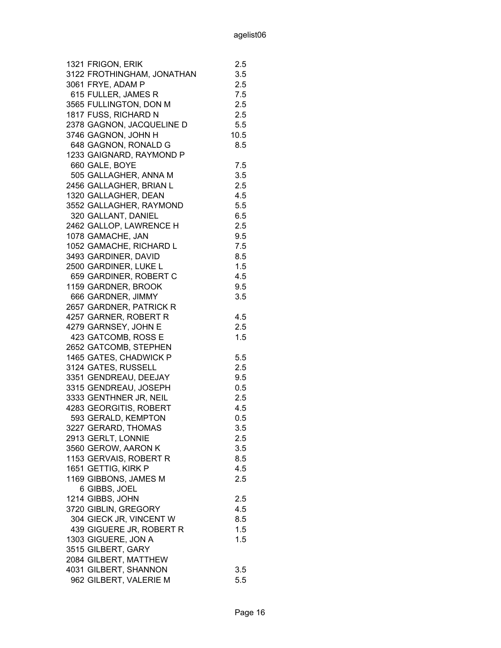| 1321 FRIGON, ERIK          | 2.5  |
|----------------------------|------|
| 3122 FROTHINGHAM, JONATHAN | 3.5  |
| 3061 FRYE, ADAM P          | 2.5  |
| 615 FULLER, JAMES R        | 7.5  |
| 3565 FULLINGTON, DON M     | 2.5  |
| 1817 FUSS, RICHARD N       | 2.5  |
| 2378 GAGNON, JACQUELINE D  | 5.5  |
| 3746 GAGNON, JOHN H        | 10.5 |
| 648 GAGNON, RONALD G       | 8.5  |
| 1233 GAIGNARD, RAYMOND P   |      |
| 660 GALE, BOYE             | 7.5  |
| 505 GALLAGHER, ANNA M      | 3.5  |
| 2456 GALLAGHER, BRIAN L    | 2.5  |
| 1320 GALLAGHER, DEAN       | 4.5  |
| 3552 GALLAGHER, RAYMOND    | 5.5  |
| 320 GALLANT, DANIEL        | 6.5  |
| 2462 GALLOP, LAWRENCE H    | 2.5  |
| 1078 GAMACHE, JAN          | 9.5  |
| 1052 GAMACHE, RICHARD L    | 7.5  |
| 3493 GARDINER, DAVID       | 8.5  |
| 2500 GARDINER, LUKE L      | 1.5  |
| 659 GARDINER, ROBERT C     | 4.5  |
| 1159 GARDNER, BROOK        | 9.5  |
| 666 GARDNER, JIMMY         | 3.5  |
| 2657 GARDNER, PATRICK R    |      |
| 4257 GARNER, ROBERT R      | 4.5  |
| 4279 GARNSEY, JOHN E       | 2.5  |
| 423 GATCOMB, ROSS E        | 1.5  |
| 2652 GATCOMB, STEPHEN      |      |
| 1465 GATES, CHADWICK P     | 5.5  |
| 3124 GATES, RUSSELL        | 2.5  |
| 3351 GENDREAU, DEEJAY      | 9.5  |
| 3315 GENDREAU, JOSEPH      | 0.5  |
| 3333 GENTHNER JR, NEIL     | 2.5  |
| 4283 GEORGITIS, ROBERT     | 4.5  |
| 593 GERALD, KEMPTON        | 0.5  |
| 3227 GERARD, THOMAS        | 3.5  |
| 2913 GERLT, LONNIE         | 2.5  |
| 3560 GEROW, AARON K        | 3.5  |
| 1153 GERVAIS, ROBERT R     | 8.5  |
| 1651 GETTIG, KIRK P        | 4.5  |
| 1169 GIBBONS, JAMES M      | 2.5  |
| 6 GIBBS, JOEL              |      |
| 1214 GIBBS, JOHN           | 2.5  |
| 3720 GIBLIN, GREGORY       | 4.5  |
| 304 GIECK JR, VINCENT W    | 8.5  |
| 439 GIGUERE JR, ROBERT R   | 1.5  |
| 1303 GIGUERE, JON A        | 1.5  |
| 3515 GILBERT, GARY         |      |
| 2084 GILBERT, MATTHEW      |      |
| 4031 GILBERT, SHANNON      | 3.5  |
| 962 GILBERT, VALERIE M     | 5.5  |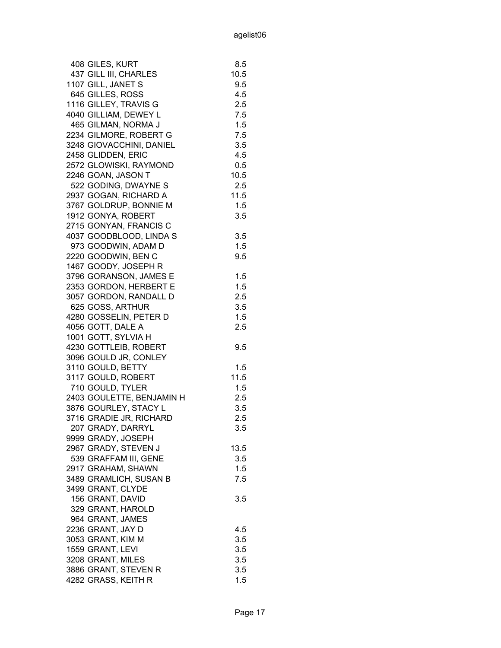| 408 GILES, KURT                       | 8.5        |
|---------------------------------------|------------|
| 437 GILL III, CHARLES                 | 10.5       |
| 1107 GILL, JANET S                    | 9.5        |
| 645 GILLES, ROSS                      | 4.5        |
| 1116 GILLEY, TRAVIS G                 | 2.5        |
| 4040 GILLIAM, DEWEY L                 | 7.5        |
| 465 GILMAN, NORMA J                   | 1.5        |
| 2234 GILMORE, ROBERT G                | 7.5        |
| 3248 GIOVACCHINI, DANIEL              | 3.5        |
| 2458 GLIDDEN, ERIC                    | 4.5        |
| 2572 GLOWISKI, RAYMOND                | 0.5        |
| 2246 GOAN, JASON T                    | 10.5       |
| 522 GODING, DWAYNE S                  | 2.5        |
| 2937 GOGAN, RICHARD A                 | 11.5       |
| 3767 GOLDRUP, BONNIE M                | 1.5        |
| 1912 GONYA, ROBERT                    | 3.5        |
| 2715 GONYAN, FRANCIS C                |            |
| 4037 GOODBLOOD, LINDA S               | 3.5        |
| 973 GOODWIN, ADAM D                   | 1.5        |
| 2220 GOODWIN, BEN C                   | 9.5        |
| 1467 GOODY, JOSEPH R                  |            |
| 3796 GORANSON, JAMES E                | 1.5        |
| 2353 GORDON, HERBERT E                | 1.5        |
| 3057 GORDON, RANDALL D                | 2.5        |
| 625 GOSS, ARTHUR                      | 3.5        |
| 4280 GOSSELIN, PETER D                | 1.5        |
| 4056 GOTT, DALE A                     | 2.5        |
| 1001 GOTT, SYLVIA H                   |            |
| 4230 GOTTLEIB, ROBERT                 | 9.5        |
| 3096 GOULD JR, CONLEY                 |            |
| 3110 GOULD, BETTY                     | 1.5        |
| 3117 GOULD, ROBERT                    | 11.5       |
| 710 GOULD, TYLER                      | 1.5        |
| 2403 GOULETTE, BENJAMIN H             | 2.5        |
| 3876 GOURLEY, STACY L                 | 3.5        |
| 3716 GRADIE JR, RICHARD               | 2.5        |
| 207 GRADY, DARRYL                     | 3.5        |
| 9999 GRADY, JOSEPH                    |            |
| 2967 GRADY, STEVEN J                  | 13.5       |
| 539 GRAFFAM III, GENE                 | 3.5        |
| 2917 GRAHAM, SHAWN                    | 1.5        |
| 3489 GRAMLICH, SUSAN B                | 7.5        |
| 3499 GRANT, CLYDE                     |            |
| 156 GRANT, DAVID                      | 3.5        |
| 329 GRANT, HAROLD                     |            |
| 964 GRANT, JAMES                      |            |
| 2236 GRANT, JAY D                     | 4.5        |
|                                       |            |
| 3053 GRANT, KIM M<br>1559 GRANT, LEVI | 3.5<br>3.5 |
| 3208 GRANT, MILES                     | 3.5        |
| 3886 GRANT, STEVEN R                  |            |
|                                       | 3.5        |
| 4282 GRASS, KEITH R                   | 1.5        |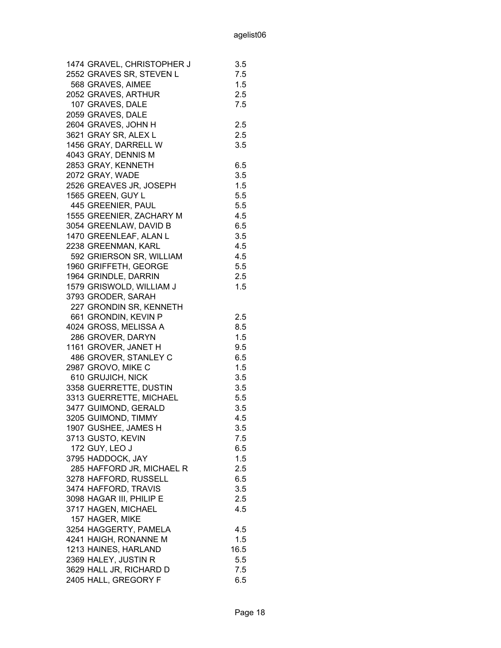| 1474 GRAVEL, CHRISTOPHER J                     | 3.5        |
|------------------------------------------------|------------|
| 2552 GRAVES SR, STEVEN L                       | 7.5        |
| 568 GRAVES, AIMEE                              | 1.5        |
| 2052 GRAVES, ARTHUR                            | 2.5        |
| 107 GRAVES, DALE                               | 7.5        |
| 2059 GRAVES, DALE                              |            |
| 2604 GRAVES, JOHN H                            | 2.5        |
| 3621 GRAY SR, ALEX L                           | 2.5        |
| 1456 GRAY, DARRELL W                           | 3.5        |
| 4043 GRAY, DENNIS M                            |            |
| 2853 GRAY, KENNETH                             | 6.5        |
| 2072 GRAY, WADE                                | 3.5        |
| 2526 GREAVES JR, JOSEPH                        | 1.5        |
| 1565 GREEN, GUY L                              | 5.5        |
| 445 GREENIER, PAUL                             | 5.5        |
| 1555 GREENIER, ZACHARY M                       | 4.5        |
| 3054 GREENLAW, DAVID B                         | 6.5        |
| 1470 GREENLEAF, ALAN L                         | 3.5        |
| 2238 GREENMAN, KARL                            | 4.5        |
| 592 GRIERSON SR, WILLIAM                       | 4.5        |
| 1960 GRIFFETH, GEORGE                          | 5.5        |
| 1964 GRINDLE, DARRIN                           | 2.5        |
| 1579 GRISWOLD, WILLIAM J                       | 1.5        |
| 3793 GRODER, SARAH                             |            |
| 227 GRONDIN SR, KENNETH                        |            |
| 661 GRONDIN, KEVIN P                           | 2.5        |
| 4024 GROSS, MELISSA A                          | 8.5        |
| 286 GROVER, DARYN                              | 1.5        |
| 1161 GROVER, JANET H                           | 9.5        |
| 486 GROVER, STANLEY C                          | 6.5        |
| 2987 GROVO, MIKE C                             | 1.5        |
| 610 GRUJICH, NICK                              | 3.5        |
| 3358 GUERRETTE, DUSTIN                         | 3.5        |
| 3313 GUERRETTE, MICHAEL                        | 5.5        |
| 3477 GUIMOND, GERALD                           | 3.5        |
| 3205 GUIMOND, TIMMY                            | 4.5        |
|                                                | 3.5        |
| 1907 GUSHEE, JAMES H<br>3713 GUSTO, KEVIN      | 7.5        |
| 172 GUY, LEO J                                 | 6.5        |
| 3795 HADDOCK, JAY                              | 1.5        |
| 285 HAFFORD JR, MICHAEL R                      | 2.5        |
| 3278 HAFFORD, RUSSELL                          | 6.5        |
| 3474 HAFFORD, TRAVIS                           | 3.5        |
| 3098 HAGAR III, PHILIP E                       | 2.5        |
| 3717 HAGEN, MICHAEL                            | 4.5        |
| 157 HAGER, MIKE                                |            |
|                                                |            |
| 3254 HAGGERTY, PAMELA<br>4241 HAIGH, RONANNE M | 4.5<br>1.5 |
| 1213 HAINES, HARLAND                           | 16.5       |
| 2369 HALEY, JUSTIN R                           | 5.5        |
|                                                | 7.5        |
| 3629 HALL JR, RICHARD D                        |            |
| 2405 HALL, GREGORY F                           | 6.5        |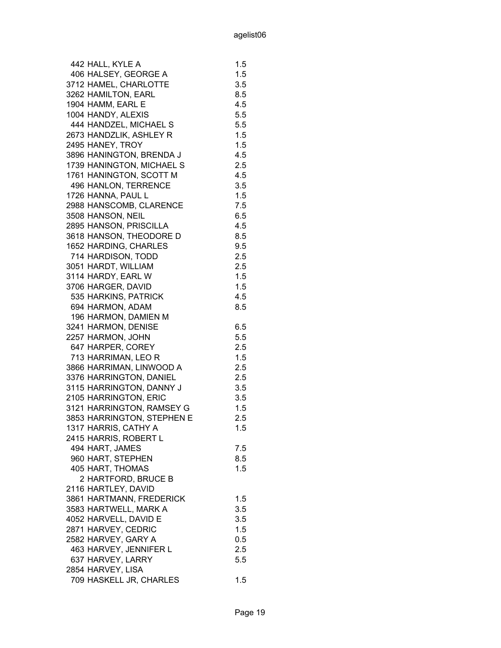| 442 HALL, KYLE A           | 1.5 |
|----------------------------|-----|
| 406 HALSEY, GEORGE A       | 1.5 |
| 3712 HAMEL, CHARLOTTE      | 3.5 |
| 3262 HAMILTON, EARL        | 8.5 |
| 1904 HAMM, EARL E          | 4.5 |
| 1004 HANDY, ALEXIS         | 5.5 |
| 444 HANDZEL, MICHAEL S     | 5.5 |
| 2673 HANDZLIK, ASHLEY R    | 1.5 |
| 2495 HANEY, TROY           | 1.5 |
| 3896 HANINGTON, BRENDA J   | 4.5 |
| 1739 HANINGTON, MICHAEL S  | 2.5 |
| 1761 HANINGTON, SCOTT M    | 4.5 |
| 496 HANLON, TERRENCE       | 3.5 |
| 1726 HANNA, PAUL L         | 1.5 |
| 2988 HANSCOMB, CLARENCE    | 7.5 |
| 3508 HANSON, NEIL          | 6.5 |
| 2895 HANSON, PRISCILLA     | 4.5 |
| 3618 HANSON, THEODORE D    | 8.5 |
| 1652 HARDING, CHARLES      | 9.5 |
| 714 HARDISON, TODD         | 2.5 |
| 3051 HARDT, WILLIAM        | 2.5 |
| 3114 HARDY, EARL W         | 1.5 |
| 3706 HARGER, DAVID         | 1.5 |
| 535 HARKINS, PATRICK       | 4.5 |
| 694 HARMON, ADAM           | 8.5 |
| 196 HARMON, DAMIEN M       |     |
| 3241 HARMON, DENISE        | 6.5 |
| 2257 HARMON, JOHN          | 5.5 |
| 647 HARPER, COREY          | 2.5 |
| 713 HARRIMAN, LEO R        | 1.5 |
| 3866 HARRIMAN, LINWOOD A   | 2.5 |
| 3376 HARRINGTON, DANIEL    | 2.5 |
| 3115 HARRINGTON, DANNY J   | 3.5 |
| 2105 HARRINGTON, ERIC      | 3.5 |
| 3121 HARRINGTON, RAMSEY G  | 1.5 |
| 3853 HARRINGTON, STEPHEN E | 2.5 |
| 1317 HARRIS, CATHY A       | 1.5 |
| 2415 HARRIS, ROBERT L      |     |
|                            |     |
| 494 HART, JAMES            | 7.5 |
| 960 HART, STEPHEN          | 8.5 |
| 405 HART, THOMAS           | 1.5 |
| 2 HARTFORD, BRUCE B        |     |
| 2116 HARTLEY, DAVID        |     |
| 3861 HARTMANN, FREDERICK   | 1.5 |
| 3583 HARTWELL, MARK A      | 3.5 |
| 4052 HARVELL, DAVID E      | 3.5 |
| 2871 HARVEY, CEDRIC        | 1.5 |
| 2582 HARVEY, GARY A        | 0.5 |
| 463 HARVEY, JENNIFER L     | 2.5 |
| 637 HARVEY, LARRY          | 5.5 |
| 2854 HARVEY, LISA          |     |
| 709 HASKELL JR, CHARLES    | 1.5 |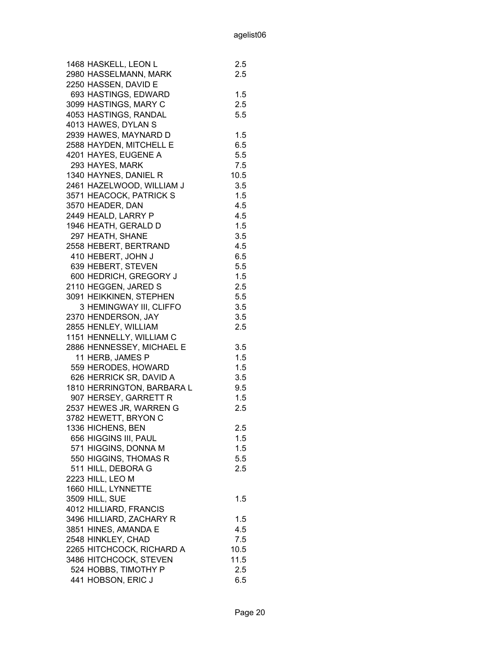| 1468 HASKELL, LEON L       | 2.5     |
|----------------------------|---------|
| 2980 HASSELMANN, MARK      | $2.5\,$ |
| 2250 HASSEN, DAVID E       |         |
| 693 HASTINGS, EDWARD       | 1.5     |
| 3099 HASTINGS, MARY C      | 2.5     |
| 4053 HASTINGS, RANDAL      | 5.5     |
| 4013 HAWES, DYLAN S        |         |
| 2939 HAWES, MAYNARD D      | 1.5     |
| 2588 HAYDEN, MITCHELL E    | 6.5     |
| 4201 HAYES, EUGENE A       |         |
|                            | 5.5     |
| 293 HAYES, MARK            | 7.5     |
| 1340 HAYNES, DANIEL R      | 10.5    |
| 2461 HAZELWOOD, WILLIAM J  | 3.5     |
| 3571 HEACOCK, PATRICK S    | 1.5     |
| 3570 HEADER, DAN           | 4.5     |
| 2449 HEALD, LARRY P        | 4.5     |
| 1946 HEATH, GERALD D       | 1.5     |
| 297 HEATH, SHANE           | 3.5     |
| 2558 HEBERT, BERTRAND      | 4.5     |
| 410 HEBERT, JOHN J         | 6.5     |
| 639 HEBERT, STEVEN         | 5.5     |
| 600 HEDRICH, GREGORY J     | 1.5     |
| 2110 HEGGEN, JARED S       | 2.5     |
| 3091 HEIKKINEN, STEPHEN    | 5.5     |
| 3 HEMINGWAY III, CLIFFO    | 3.5     |
| 2370 HENDERSON, JAY        | 3.5     |
| 2855 HENLEY, WILLIAM       | 2.5     |
| 1151 HENNELLY, WILLIAM C   |         |
| 2886 HENNESSEY, MICHAEL E  | 3.5     |
| 11 HERB, JAMES P           | 1.5     |
| 559 HERODES, HOWARD        | 1.5     |
| 626 HERRICK SR, DAVID A    | 3.5     |
| 1810 HERRINGTON, BARBARA L | 9.5     |
| 907 HERSEY, GARRETT R      | 1.5     |
| 2537 HEWES JR, WARREN G    | 2.5     |
|                            |         |
| 3782 HEWETT, BRYON C       |         |
| 1336 HICHENS, BEN          | 2.5     |
| 656 HIGGINS III, PAUL      | 1.5     |
| 571 HIGGINS, DONNA M       | 1.5     |
| 550 HIGGINS, THOMAS R      | 5.5     |
| 511 HILL, DEBORA G         | $2.5\,$ |
| 2223 HILL, LEO M           |         |
| 1660 HILL, LYNNETTE        |         |
| 3509 HILL, SUE             | 1.5     |
| 4012 HILLIARD, FRANCIS     |         |
| 3496 HILLIARD, ZACHARY R   | 1.5     |
| 3851 HINES, AMANDA E       | 4.5     |
| 2548 HINKLEY, CHAD         | 7.5     |
| 2265 HITCHCOCK, RICHARD A  | 10.5    |
| 3486 HITCHCOCK, STEVEN     | 11.5    |
| 524 HOBBS, TIMOTHY P       | 2.5     |
| 441 HOBSON, ERIC J         | 6.5     |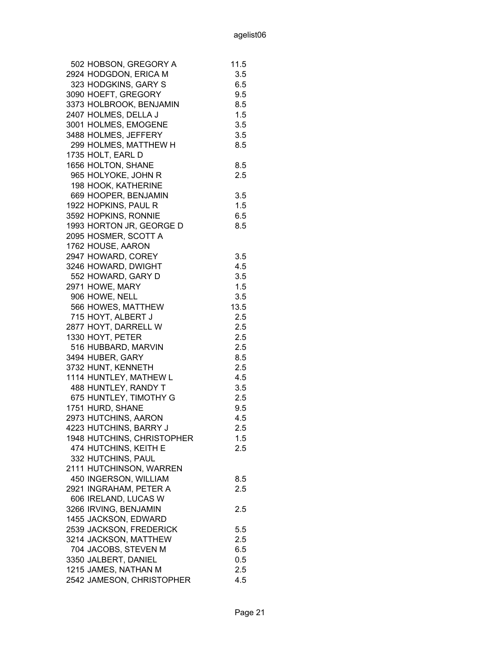| 502 HOBSON, GREGORY A      | 11.5 |
|----------------------------|------|
| 2924 HODGDON, ERICA M      | 3.5  |
| 323 HODGKINS, GARY S       | 6.5  |
| 3090 HOEFT, GREGORY        | 9.5  |
| 3373 HOLBROOK, BENJAMIN    | 8.5  |
| 2407 HOLMES, DELLA J       | 1.5  |
| 3001 HOLMES, EMOGENE       | 3.5  |
| 3488 HOLMES, JEFFERY       | 3.5  |
| 299 HOLMES, MATTHEW H      | 8.5  |
| 1735 HOLT, EARL D          |      |
| 1656 HOLTON, SHANE         | 8.5  |
| 965 HOLYOKE, JOHN R        | 2.5  |
| 198 HOOK, KATHERINE        |      |
| 669 HOOPER, BENJAMIN       | 3.5  |
| 1922 HOPKINS, PAUL R       | 1.5  |
| 3592 HOPKINS, RONNIE       | 6.5  |
| 1993 HORTON JR, GEORGE D   | 8.5  |
| 2095 HOSMER, SCOTT A       |      |
| 1762 HOUSE, AARON          |      |
| 2947 HOWARD, COREY         | 3.5  |
| 3246 HOWARD, DWIGHT        | 4.5  |
| 552 HOWARD, GARY D         | 3.5  |
| 2971 HOWE, MARY            | 1.5  |
| 906 HOWE, NELL             | 3.5  |
| 566 HOWES, MATTHEW         | 13.5 |
| 715 HOYT, ALBERT J         | 2.5  |
| 2877 HOYT, DARRELL W       | 2.5  |
| 1330 HOYT, PETER           | 2.5  |
| 516 HUBBARD, MARVIN        | 2.5  |
| 3494 HUBER, GARY           | 8.5  |
| 3732 HUNT, KENNETH         | 2.5  |
| 1114 HUNTLEY, MATHEW L     | 4.5  |
| 488 HUNTLEY, RANDY T       | 3.5  |
| 675 HUNTLEY, TIMOTHY G     | 2.5  |
| 1751 HURD, SHANE           | 9.5  |
| 2973 HUTCHINS, AARON       | 4.5  |
| 4223 HUTCHINS, BARRY J     | 2.5  |
| 1948 HUTCHINS, CHRISTOPHER | 1.5  |
| 474 HUTCHINS, KEITH E      | 2.5  |
| 332 HUTCHINS, PAUL         |      |
| 2111 HUTCHINSON, WARREN    |      |
| 450 INGERSON, WILLIAM      | 8.5  |
| 2921 INGRAHAM, PETER A     | 2.5  |
| 606 IRELAND, LUCAS W       |      |
| 3266 IRVING, BENJAMIN      | 2.5  |
| 1455 JACKSON, EDWARD       |      |
| 2539 JACKSON, FREDERICK    | 5.5  |
| 3214 JACKSON, MATTHEW      | 2.5  |
| 704 JACOBS, STEVEN M       | 6.5  |
| 3350 JALBERT, DANIEL       | 0.5  |
| 1215 JAMES, NATHAN M       | 2.5  |
|                            |      |
| 2542 JAMESON, CHRISTOPHER  | 4.5  |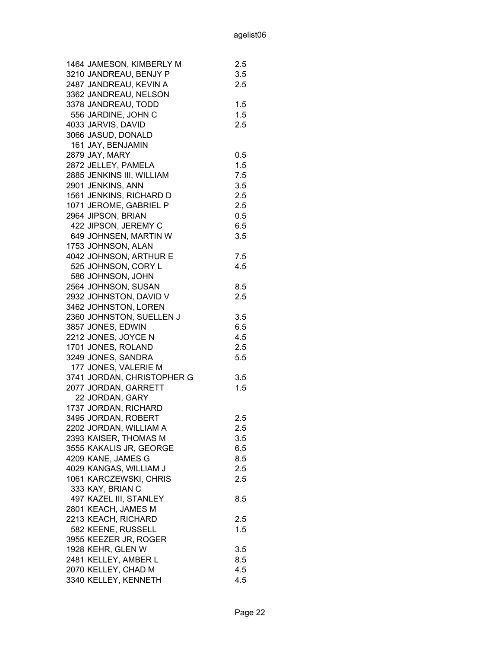| 1464 JAMESON, KIMBERLY M   | 2.5 |
|----------------------------|-----|
| 3210 JANDREAU, BENJY P     | 3.5 |
| 2487 JANDREAU, KEVIN A     | 2.5 |
| 3362 JANDREAU, NELSON      |     |
| 3378 JANDREAU, TODD        | 1.5 |
| 556 JARDINE, JOHN C        | 1.5 |
| 4033 JARVIS, DAVID         | 2.5 |
| 3066 JASUD, DONALD         |     |
| 161 JAY, BENJAMIN          |     |
| 2879 JAY, MARY             | 0.5 |
| 2872 JELLEY, PAMELA        | 1.5 |
| 2885 JENKINS III, WILLIAM  | 7.5 |
| 2901 JENKINS, ANN          | 3.5 |
| 1561 JENKINS, RICHARD D    | 2.5 |
| 1071 JEROME, GABRIEL P     | 2.5 |
| 2964 JIPSON, BRIAN         | 0.5 |
| 422 JIPSON, JEREMY C       | 6.5 |
| 649 JOHNSEN, MARTIN W      | 3.5 |
| 1753 JOHNSON, ALAN         |     |
| 4042 JOHNSON, ARTHUR E     | 7.5 |
| 525 JOHNSON, CORY L        | 4.5 |
| 586 JOHNSON, JOHN          |     |
| 2564 JOHNSON, SUSAN        | 8.5 |
| 2932 JOHNSTON, DAVID V     | 2.5 |
| 3462 JOHNSTON, LOREN       |     |
| 2360 JOHNSTON, SUELLEN J   | 3.5 |
| 3857 JONES, EDWIN          | 6.5 |
| 2212 JONES, JOYCE N        | 4.5 |
| 1701 JONES, ROLAND         | 2.5 |
| 3249 JONES, SANDRA         | 5.5 |
| 177 JONES, VALERIE M       |     |
| 3741 JORDAN, CHRISTOPHER G | 3.5 |
| 2077 JORDAN, GARRETT       | 1.5 |
| 22 JORDAN, GARY            |     |
| 1737 JORDAN, RICHARD       |     |
| 3495 JORDAN, ROBERT        | 2.5 |
| 2202 JORDAN, WILLIAM A     | 2.5 |
| 2393 KAISER, THOMAS M      | 3.5 |
| 3555 KAKALIS JR, GEORGE    | 6.5 |
| 4209 KANE, JAMES G         | 8.5 |
| 4029 KANGAS, WILLIAM J     | 2.5 |
| 1061 KARCZEWSKI, CHRIS     | 2.5 |
| 333 KAY, BRIAN C           |     |
| 497 KAZEL III, STANLEY     | 8.5 |
| 2801 KEACH, JAMES M        |     |
| 2213 KEACH, RICHARD        | 2.5 |
| 582 KEENE, RUSSELL         | 1.5 |
| 3955 KEEZER JR, ROGER      |     |
| 1928 KEHR, GLEN W          | 3.5 |
| 2481 KELLEY, AMBER L       | 8.5 |
| 2070 KELLEY, CHAD M        | 4.5 |
| 3340 KELLEY, KENNETH       | 4.5 |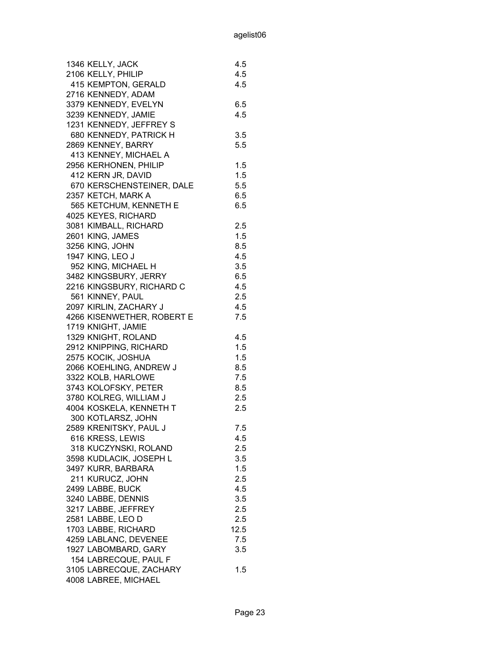| 2106 KELLY, PHILIP<br>4.5<br>415 KEMPTON, GERALD<br>4.5<br>2716 KENNEDY, ADAM<br>3379 KENNEDY, EVELYN<br>6.5<br>3239 KENNEDY, JAMIE<br>4.5<br>1231 KENNEDY, JEFFREY S<br>680 KENNEDY, PATRICK H<br>3.5<br>2869 KENNEY, BARRY<br>5.5<br>413 KENNEY, MICHAEL A<br>2956 KERHONEN, PHILIP<br>1.5<br>412 KERN JR, DAVID<br>1.5<br>5.5<br>670 KERSCHENSTEINER, DALE<br>2357 KETCH, MARK A<br>6.5<br>565 KETCHUM, KENNETH E<br>6.5<br>4025 KEYES, RICHARD<br>3081 KIMBALL, RICHARD<br>2.5<br>1.5<br>2601 KING, JAMES<br>3256 KING, JOHN<br>8.5<br>1947 KING, LEO J<br>4.5<br>952 KING, MICHAEL H<br>3.5<br>3482 KINGSBURY, JERRY<br>6.5<br>2216 KINGSBURY, RICHARD C<br>4.5<br>561 KINNEY, PAUL<br>2.5<br>2097 KIRLIN, ZACHARY J<br>4.5<br>4266 KISENWETHER, ROBERT E<br>7.5<br>1719 KNIGHT, JAMIE<br>1329 KNIGHT, ROLAND<br>4.5<br>2912 KNIPPING, RICHARD<br>1.5<br>2575 KOCIK, JOSHUA<br>1.5<br>2066 KOEHLING, ANDREW J<br>8.5<br>3322 KOLB, HARLOWE<br>7.5<br>3743 KOLOFSKY, PETER<br>8.5<br>2.5<br>3780 KOLREG, WILLIAM J<br>4004 KOSKELA, KENNETH T<br>2.5<br>300 KOTLARSZ, JOHN<br>7.5<br>2589 KRENITSKY, PAUL J<br>616 KRESS, LEWIS<br>4.5<br>318 KUCZYNSKI, ROLAND<br>2.5<br>3598 KUDLACIK, JOSEPH L<br>3.5<br>1.5<br>3497 KURR, BARBARA<br>211 KURUCZ, JOHN<br>2.5<br>2499 LABBE, BUCK<br>4.5<br>3240 LABBE, DENNIS<br>3.5<br>3217 LABBE, JEFFREY<br>2.5<br>2581 LABBE, LEO D<br>2.5<br>1703 LABBE, RICHARD<br>12.5 |
|-----------------------------------------------------------------------------------------------------------------------------------------------------------------------------------------------------------------------------------------------------------------------------------------------------------------------------------------------------------------------------------------------------------------------------------------------------------------------------------------------------------------------------------------------------------------------------------------------------------------------------------------------------------------------------------------------------------------------------------------------------------------------------------------------------------------------------------------------------------------------------------------------------------------------------------------------------------------------------------------------------------------------------------------------------------------------------------------------------------------------------------------------------------------------------------------------------------------------------------------------------------------------------------------------------------------------------------------------------------------------------------------------------------------------|
|                                                                                                                                                                                                                                                                                                                                                                                                                                                                                                                                                                                                                                                                                                                                                                                                                                                                                                                                                                                                                                                                                                                                                                                                                                                                                                                                                                                                                       |
|                                                                                                                                                                                                                                                                                                                                                                                                                                                                                                                                                                                                                                                                                                                                                                                                                                                                                                                                                                                                                                                                                                                                                                                                                                                                                                                                                                                                                       |
|                                                                                                                                                                                                                                                                                                                                                                                                                                                                                                                                                                                                                                                                                                                                                                                                                                                                                                                                                                                                                                                                                                                                                                                                                                                                                                                                                                                                                       |
|                                                                                                                                                                                                                                                                                                                                                                                                                                                                                                                                                                                                                                                                                                                                                                                                                                                                                                                                                                                                                                                                                                                                                                                                                                                                                                                                                                                                                       |
|                                                                                                                                                                                                                                                                                                                                                                                                                                                                                                                                                                                                                                                                                                                                                                                                                                                                                                                                                                                                                                                                                                                                                                                                                                                                                                                                                                                                                       |
|                                                                                                                                                                                                                                                                                                                                                                                                                                                                                                                                                                                                                                                                                                                                                                                                                                                                                                                                                                                                                                                                                                                                                                                                                                                                                                                                                                                                                       |
|                                                                                                                                                                                                                                                                                                                                                                                                                                                                                                                                                                                                                                                                                                                                                                                                                                                                                                                                                                                                                                                                                                                                                                                                                                                                                                                                                                                                                       |
|                                                                                                                                                                                                                                                                                                                                                                                                                                                                                                                                                                                                                                                                                                                                                                                                                                                                                                                                                                                                                                                                                                                                                                                                                                                                                                                                                                                                                       |
|                                                                                                                                                                                                                                                                                                                                                                                                                                                                                                                                                                                                                                                                                                                                                                                                                                                                                                                                                                                                                                                                                                                                                                                                                                                                                                                                                                                                                       |
|                                                                                                                                                                                                                                                                                                                                                                                                                                                                                                                                                                                                                                                                                                                                                                                                                                                                                                                                                                                                                                                                                                                                                                                                                                                                                                                                                                                                                       |
|                                                                                                                                                                                                                                                                                                                                                                                                                                                                                                                                                                                                                                                                                                                                                                                                                                                                                                                                                                                                                                                                                                                                                                                                                                                                                                                                                                                                                       |
|                                                                                                                                                                                                                                                                                                                                                                                                                                                                                                                                                                                                                                                                                                                                                                                                                                                                                                                                                                                                                                                                                                                                                                                                                                                                                                                                                                                                                       |
|                                                                                                                                                                                                                                                                                                                                                                                                                                                                                                                                                                                                                                                                                                                                                                                                                                                                                                                                                                                                                                                                                                                                                                                                                                                                                                                                                                                                                       |
|                                                                                                                                                                                                                                                                                                                                                                                                                                                                                                                                                                                                                                                                                                                                                                                                                                                                                                                                                                                                                                                                                                                                                                                                                                                                                                                                                                                                                       |
|                                                                                                                                                                                                                                                                                                                                                                                                                                                                                                                                                                                                                                                                                                                                                                                                                                                                                                                                                                                                                                                                                                                                                                                                                                                                                                                                                                                                                       |
|                                                                                                                                                                                                                                                                                                                                                                                                                                                                                                                                                                                                                                                                                                                                                                                                                                                                                                                                                                                                                                                                                                                                                                                                                                                                                                                                                                                                                       |
|                                                                                                                                                                                                                                                                                                                                                                                                                                                                                                                                                                                                                                                                                                                                                                                                                                                                                                                                                                                                                                                                                                                                                                                                                                                                                                                                                                                                                       |
|                                                                                                                                                                                                                                                                                                                                                                                                                                                                                                                                                                                                                                                                                                                                                                                                                                                                                                                                                                                                                                                                                                                                                                                                                                                                                                                                                                                                                       |
|                                                                                                                                                                                                                                                                                                                                                                                                                                                                                                                                                                                                                                                                                                                                                                                                                                                                                                                                                                                                                                                                                                                                                                                                                                                                                                                                                                                                                       |
|                                                                                                                                                                                                                                                                                                                                                                                                                                                                                                                                                                                                                                                                                                                                                                                                                                                                                                                                                                                                                                                                                                                                                                                                                                                                                                                                                                                                                       |
|                                                                                                                                                                                                                                                                                                                                                                                                                                                                                                                                                                                                                                                                                                                                                                                                                                                                                                                                                                                                                                                                                                                                                                                                                                                                                                                                                                                                                       |
|                                                                                                                                                                                                                                                                                                                                                                                                                                                                                                                                                                                                                                                                                                                                                                                                                                                                                                                                                                                                                                                                                                                                                                                                                                                                                                                                                                                                                       |
|                                                                                                                                                                                                                                                                                                                                                                                                                                                                                                                                                                                                                                                                                                                                                                                                                                                                                                                                                                                                                                                                                                                                                                                                                                                                                                                                                                                                                       |
|                                                                                                                                                                                                                                                                                                                                                                                                                                                                                                                                                                                                                                                                                                                                                                                                                                                                                                                                                                                                                                                                                                                                                                                                                                                                                                                                                                                                                       |
|                                                                                                                                                                                                                                                                                                                                                                                                                                                                                                                                                                                                                                                                                                                                                                                                                                                                                                                                                                                                                                                                                                                                                                                                                                                                                                                                                                                                                       |
|                                                                                                                                                                                                                                                                                                                                                                                                                                                                                                                                                                                                                                                                                                                                                                                                                                                                                                                                                                                                                                                                                                                                                                                                                                                                                                                                                                                                                       |
|                                                                                                                                                                                                                                                                                                                                                                                                                                                                                                                                                                                                                                                                                                                                                                                                                                                                                                                                                                                                                                                                                                                                                                                                                                                                                                                                                                                                                       |
|                                                                                                                                                                                                                                                                                                                                                                                                                                                                                                                                                                                                                                                                                                                                                                                                                                                                                                                                                                                                                                                                                                                                                                                                                                                                                                                                                                                                                       |
|                                                                                                                                                                                                                                                                                                                                                                                                                                                                                                                                                                                                                                                                                                                                                                                                                                                                                                                                                                                                                                                                                                                                                                                                                                                                                                                                                                                                                       |
|                                                                                                                                                                                                                                                                                                                                                                                                                                                                                                                                                                                                                                                                                                                                                                                                                                                                                                                                                                                                                                                                                                                                                                                                                                                                                                                                                                                                                       |
|                                                                                                                                                                                                                                                                                                                                                                                                                                                                                                                                                                                                                                                                                                                                                                                                                                                                                                                                                                                                                                                                                                                                                                                                                                                                                                                                                                                                                       |
|                                                                                                                                                                                                                                                                                                                                                                                                                                                                                                                                                                                                                                                                                                                                                                                                                                                                                                                                                                                                                                                                                                                                                                                                                                                                                                                                                                                                                       |
|                                                                                                                                                                                                                                                                                                                                                                                                                                                                                                                                                                                                                                                                                                                                                                                                                                                                                                                                                                                                                                                                                                                                                                                                                                                                                                                                                                                                                       |
|                                                                                                                                                                                                                                                                                                                                                                                                                                                                                                                                                                                                                                                                                                                                                                                                                                                                                                                                                                                                                                                                                                                                                                                                                                                                                                                                                                                                                       |
|                                                                                                                                                                                                                                                                                                                                                                                                                                                                                                                                                                                                                                                                                                                                                                                                                                                                                                                                                                                                                                                                                                                                                                                                                                                                                                                                                                                                                       |
|                                                                                                                                                                                                                                                                                                                                                                                                                                                                                                                                                                                                                                                                                                                                                                                                                                                                                                                                                                                                                                                                                                                                                                                                                                                                                                                                                                                                                       |
|                                                                                                                                                                                                                                                                                                                                                                                                                                                                                                                                                                                                                                                                                                                                                                                                                                                                                                                                                                                                                                                                                                                                                                                                                                                                                                                                                                                                                       |
|                                                                                                                                                                                                                                                                                                                                                                                                                                                                                                                                                                                                                                                                                                                                                                                                                                                                                                                                                                                                                                                                                                                                                                                                                                                                                                                                                                                                                       |
|                                                                                                                                                                                                                                                                                                                                                                                                                                                                                                                                                                                                                                                                                                                                                                                                                                                                                                                                                                                                                                                                                                                                                                                                                                                                                                                                                                                                                       |
|                                                                                                                                                                                                                                                                                                                                                                                                                                                                                                                                                                                                                                                                                                                                                                                                                                                                                                                                                                                                                                                                                                                                                                                                                                                                                                                                                                                                                       |
|                                                                                                                                                                                                                                                                                                                                                                                                                                                                                                                                                                                                                                                                                                                                                                                                                                                                                                                                                                                                                                                                                                                                                                                                                                                                                                                                                                                                                       |
|                                                                                                                                                                                                                                                                                                                                                                                                                                                                                                                                                                                                                                                                                                                                                                                                                                                                                                                                                                                                                                                                                                                                                                                                                                                                                                                                                                                                                       |
|                                                                                                                                                                                                                                                                                                                                                                                                                                                                                                                                                                                                                                                                                                                                                                                                                                                                                                                                                                                                                                                                                                                                                                                                                                                                                                                                                                                                                       |
|                                                                                                                                                                                                                                                                                                                                                                                                                                                                                                                                                                                                                                                                                                                                                                                                                                                                                                                                                                                                                                                                                                                                                                                                                                                                                                                                                                                                                       |
|                                                                                                                                                                                                                                                                                                                                                                                                                                                                                                                                                                                                                                                                                                                                                                                                                                                                                                                                                                                                                                                                                                                                                                                                                                                                                                                                                                                                                       |
|                                                                                                                                                                                                                                                                                                                                                                                                                                                                                                                                                                                                                                                                                                                                                                                                                                                                                                                                                                                                                                                                                                                                                                                                                                                                                                                                                                                                                       |
| 4259 LABLANC, DEVENEE<br>7.5                                                                                                                                                                                                                                                                                                                                                                                                                                                                                                                                                                                                                                                                                                                                                                                                                                                                                                                                                                                                                                                                                                                                                                                                                                                                                                                                                                                          |
| 1927 LABOMBARD, GARY<br>3.5                                                                                                                                                                                                                                                                                                                                                                                                                                                                                                                                                                                                                                                                                                                                                                                                                                                                                                                                                                                                                                                                                                                                                                                                                                                                                                                                                                                           |
| 154 LABRECQUE, PAUL F                                                                                                                                                                                                                                                                                                                                                                                                                                                                                                                                                                                                                                                                                                                                                                                                                                                                                                                                                                                                                                                                                                                                                                                                                                                                                                                                                                                                 |
| 3105 LABRECQUE, ZACHARY<br>1.5                                                                                                                                                                                                                                                                                                                                                                                                                                                                                                                                                                                                                                                                                                                                                                                                                                                                                                                                                                                                                                                                                                                                                                                                                                                                                                                                                                                        |
|                                                                                                                                                                                                                                                                                                                                                                                                                                                                                                                                                                                                                                                                                                                                                                                                                                                                                                                                                                                                                                                                                                                                                                                                                                                                                                                                                                                                                       |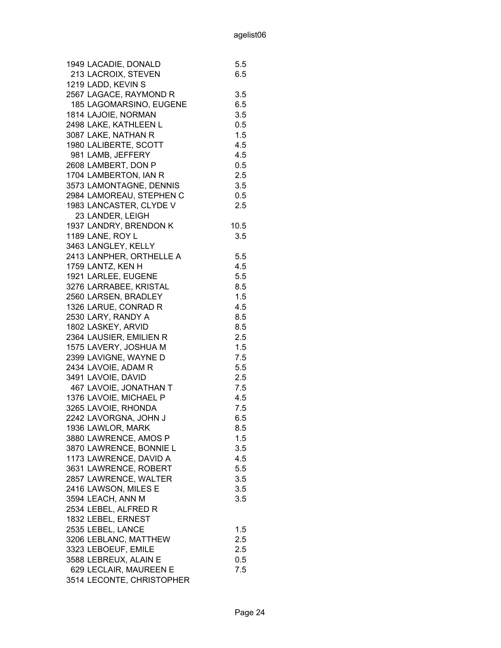| 1949 LACADIE, DONALD      | 5.5  |
|---------------------------|------|
| 213 LACROIX, STEVEN       | 6.5  |
| 1219 LADD, KEVIN S        |      |
| 2567 LAGACE, RAYMOND R    | 3.5  |
| 185 LAGOMARSINO, EUGENE   | 6.5  |
| 1814 LAJOIE, NORMAN       | 3.5  |
| 2498 LAKE, KATHLEEN L     | 0.5  |
| 3087 LAKE, NATHAN R       | 1.5  |
| 1980 LALIBERTE, SCOTT     | 4.5  |
| 981 LAMB, JEFFERY         | 4.5  |
| 2608 LAMBERT, DON P       | 0.5  |
| 1704 LAMBERTON, IAN R     | 2.5  |
| 3573 LAMONTAGNE, DENNIS   | 3.5  |
| 2984 LAMOREAU, STEPHEN C  | 0.5  |
| 1983 LANCASTER, CLYDE V   | 2.5  |
| 23 LANDER, LEIGH          |      |
| 1937 LANDRY, BRENDON K    | 10.5 |
| 1189 LANE, ROY L          | 3.5  |
| 3463 LANGLEY, KELLY       |      |
| 2413 LANPHER, ORTHELLE A  | 5.5  |
| 1759 LANTZ, KEN H         | 4.5  |
| 1921 LARLEE, EUGENE       | 5.5  |
| 3276 LARRABEE, KRISTAL    | 8.5  |
| 2560 LARSEN, BRADLEY      | 1.5  |
| 1326 LARUE, CONRAD R      | 4.5  |
| 2530 LARY, RANDY A        | 8.5  |
| 1802 LASKEY, ARVID        | 8.5  |
| 2364 LAUSIER, EMILIEN R   | 2.5  |
| 1575 LAVERY, JOSHUA M     | 1.5  |
| 2399 LAVIGNE, WAYNE D     | 7.5  |
| 2434 LAVOIE, ADAM R       | 5.5  |
| 3491 LAVOIE, DAVID        | 2.5  |
| 467 LAVOIE, JONATHAN T    | 7.5  |
| 1376 LAVOIE, MICHAEL P    | 4.5  |
| 3265 LAVOIE, RHONDA       | 7.5  |
| 2242 LAVORGNA, JOHN J     | 6.5  |
| 1936 LAWLOR, MARK         | 8.5  |
| 3880 LAWRENCE, AMOS P     | 1.5  |
| 3870 LAWRENCE, BONNIE L   | 3.5  |
| 1173 LAWRENCE, DAVID A    | 4.5  |
| 3631 LAWRENCE, ROBERT     | 5.5  |
| 2857 LAWRENCE, WALTER     |      |
|                           | 3.5  |
| 2416 LAWSON, MILES E      | 3.5  |
| 3594 LEACH, ANN M         | 3.5  |
| 2534 LEBEL, ALFRED R      |      |
| 1832 LEBEL, ERNEST        |      |
| 2535 LEBEL, LANCE         | 1.5  |
| 3206 LEBLANC, MATTHEW     | 2.5  |
| 3323 LEBOEUF, EMILE       | 2.5  |
| 3588 LEBREUX, ALAIN E     | 0.5  |
| 629 LECLAIR, MAUREEN E    | 7.5  |
| 3514 LECONTE, CHRISTOPHER |      |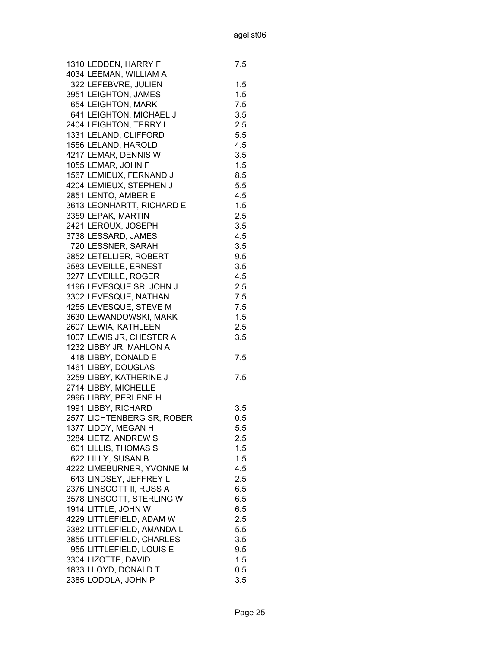| 1310 LEDDEN, HARRY F       | 7.5 |
|----------------------------|-----|
| 4034 LEEMAN, WILLIAM A     |     |
| 322 LEFEBVRE, JULIEN       | 1.5 |
| 3951 LEIGHTON, JAMES       | 1.5 |
| 654 LEIGHTON, MARK         | 7.5 |
| 641 LEIGHTON, MICHAEL J    | 3.5 |
| 2404 LEIGHTON, TERRY L     | 2.5 |
| 1331 LELAND, CLIFFORD      | 5.5 |
| 1556 LELAND, HAROLD        | 4.5 |
| 4217 LEMAR, DENNIS W       | 3.5 |
| 1055 LEMAR, JOHN F         | 1.5 |
| 1567 LEMIEUX, FERNAND J    | 8.5 |
| 4204 LEMIEUX, STEPHEN J    | 5.5 |
| 2851 LENTO, AMBER E        | 4.5 |
| 3613 LEONHARTT, RICHARD E  | 1.5 |
| 3359 LEPAK, MARTIN         | 2.5 |
| 2421 LEROUX, JOSEPH        | 3.5 |
| 3738 LESSARD, JAMES        | 4.5 |
| 720 LESSNER, SARAH         | 3.5 |
| 2852 LETELLIER, ROBERT     | 9.5 |
| 2583 LEVEILLE, ERNEST      | 3.5 |
| 3277 LEVEILLE, ROGER       | 4.5 |
| 1196 LEVESQUE SR, JOHN J   | 2.5 |
| 3302 LEVESQUE, NATHAN      | 7.5 |
| 4255 LEVESQUE, STEVE M     | 7.5 |
| 3630 LEWANDOWSKI, MARK     | 1.5 |
| 2607 LEWIA, KATHLEEN       | 2.5 |
| 1007 LEWIS JR, CHESTER A   | 3.5 |
| 1232 LIBBY JR, MAHLON A    |     |
| 418 LIBBY, DONALD E        | 7.5 |
| 1461 LIBBY, DOUGLAS        |     |
| 3259 LIBBY, KATHERINE J    | 7.5 |
| 2714 LIBBY, MICHELLE       |     |
| 2996 LIBBY, PERLENE H      |     |
| 1991 LIBBY, RICHARD        | 3.5 |
| 2577 LICHTENBERG SR, ROBER | 0.5 |
| 1377 LIDDY, MEGAN H        | 5.5 |
| 3284 LIETZ, ANDREW S       | 2.5 |
| 601 LILLIS, THOMAS S       | 1.5 |
| 622 LILLY, SUSAN B         | 1.5 |
| 4222 LIMEBURNER, YVONNE M  | 4.5 |
| 643 LINDSEY, JEFFREY L     | 2.5 |
| 2376 LINSCOTT II, RUSS A   | 6.5 |
| 3578 LINSCOTT, STERLING W  | 6.5 |
| 1914 LITTLE, JOHN W        | 6.5 |
| 4229 LITTLEFIELD, ADAM W   | 2.5 |
|                            |     |
| 2382 LITTLEFIELD, AMANDA L | 5.5 |
| 3855 LITTLEFIELD, CHARLES  | 3.5 |
| 955 LITTLEFIELD, LOUIS E   | 9.5 |
| 3304 LIZOTTE, DAVID        | 1.5 |
| 1833 LLOYD, DONALD T       | 0.5 |
| 2385 LODOLA, JOHN P        | 3.5 |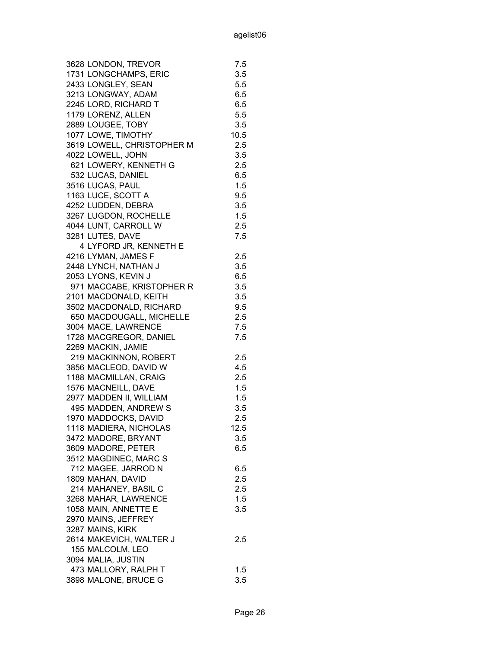| 3628 LONDON, TREVOR        | 7.5     |
|----------------------------|---------|
| 1731 LONGCHAMPS, ERIC      | 3.5     |
| 2433 LONGLEY, SEAN         | 5.5     |
| 3213 LONGWAY, ADAM         | 6.5     |
| 2245 LORD, RICHARD T       | 6.5     |
| 1179 LORENZ, ALLEN         | 5.5     |
| 2889 LOUGEE, TOBY          | 3.5     |
| 1077 LOWE, TIMOTHY         | 10.5    |
| 3619 LOWELL, CHRISTOPHER M | 2.5     |
| 4022 LOWELL, JOHN          | 3.5     |
| 621 LOWERY, KENNETH G      | 2.5     |
| 532 LUCAS, DANIEL          | 6.5     |
| 3516 LUCAS, PAUL           | 1.5     |
| 1163 LUCE, SCOTT A         | 9.5     |
| 4252 LUDDEN, DEBRA         | 3.5     |
| 3267 LUGDON, ROCHELLE      | 1.5     |
| 4044 LUNT, CARROLL W       | 2.5     |
| 3281 LUTES, DAVE           | 7.5     |
| 4 LYFORD JR, KENNETH E     |         |
| 4216 LYMAN, JAMES F        | 2.5     |
| 2448 LYNCH, NATHAN J       | 3.5     |
| 2053 LYONS, KEVIN J        | 6.5     |
| 971 MACCABE, KRISTOPHER R  | 3.5     |
| 2101 MACDONALD, KEITH      | 3.5     |
| 3502 MACDONALD, RICHARD    | 9.5     |
| 650 MACDOUGALL, MICHELLE   | 2.5     |
| 3004 MACE, LAWRENCE        | 7.5     |
| 1728 MACGREGOR, DANIEL     | 7.5     |
| 2269 MACKIN, JAMIE         |         |
| 219 MACKINNON, ROBERT      | 2.5     |
| 3856 MACLEOD, DAVID W      | 4.5     |
| 1188 MACMILLAN, CRAIG      | 2.5     |
| 1576 MACNEILL, DAVE        | 1.5     |
| 2977 MADDEN II, WILLIAM    | 1.5     |
| 495 MADDEN, ANDREW S       | 3.5     |
| 1970 MADDOCKS, DAVID       | 2.5     |
| 1118 MADIERA, NICHOLAS     | 12.5    |
| 3472 MADORE, BRYANT        | $3.5\,$ |
| 3609 MADORE, PETER         | 6.5     |
| 3512 MAGDINEC, MARC S      |         |
| 712 MAGEE, JARROD N        | 6.5     |
| 1809 MAHAN, DAVID          | 2.5     |
| 214 MAHANEY, BASIL C       | 2.5     |
| 3268 MAHAR, LAWRENCE       | 1.5     |
| 1058 MAIN, ANNETTE E       | 3.5     |
| 2970 MAINS, JEFFREY        |         |
| 3287 MAINS, KIRK           |         |
| 2614 MAKEVICH, WALTER J    | 2.5     |
| 155 MALCOLM, LEO           |         |
| 3094 MALIA, JUSTIN         |         |
| 473 MALLORY, RALPH T       | 1.5     |
| 3898 MALONE, BRUCE G       | 3.5     |
|                            |         |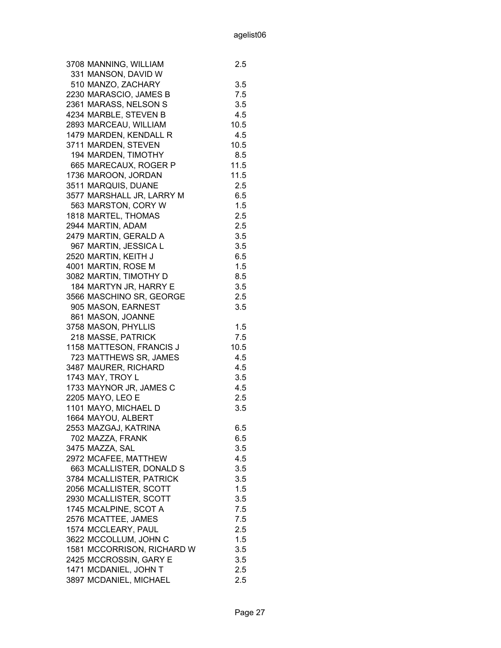| 3708 MANNING, WILLIAM      | $2.5\,$ |
|----------------------------|---------|
| 331 MANSON, DAVID W        |         |
| 510 MANZO, ZACHARY         | 3.5     |
| 2230 MARASCIO, JAMES B     | 7.5     |
| 2361 MARASS, NELSON S      | 3.5     |
| 4234 MARBLE, STEVEN B      | 4.5     |
| 2893 MARCEAU, WILLIAM      | 10.5    |
| 1479 MARDEN, KENDALL R     | 4.5     |
| 3711 MARDEN, STEVEN        | 10.5    |
| 194 MARDEN, TIMOTHY        | 8.5     |
| 665 MARECAUX, ROGER P      | 11.5    |
| 1736 MAROON, JORDAN        | 11.5    |
| 3511 MARQUIS, DUANE        | 2.5     |
| 3577 MARSHALL JR, LARRY M  | 6.5     |
| 563 MARSTON, CORY W        | 1.5     |
| 1818 MARTEL, THOMAS        | 2.5     |
| 2944 MARTIN, ADAM          | 2.5     |
| 2479 MARTIN, GERALD A      | 3.5     |
| 967 MARTIN, JESSICA L      | 3.5     |
| 2520 MARTIN, KEITH J       | 6.5     |
| 4001 MARTIN, ROSE M        | 1.5     |
|                            | 8.5     |
| 3082 MARTIN, TIMOTHY D     |         |
| 184 MARTYN JR, HARRY E     | 3.5     |
| 3566 MASCHINO SR, GEORGE   | 2.5     |
| 905 MASON, EARNEST         | 3.5     |
| 861 MASON, JOANNE          |         |
| 3758 MASON, PHYLLIS        | 1.5     |
| 218 MASSE, PATRICK         | 7.5     |
| 1158 MATTESON, FRANCIS J   | 10.5    |
| 723 MATTHEWS SR, JAMES     | 4.5     |
| 3487 MAURER, RICHARD       | 4.5     |
| 1743 MAY, TROY L           | 3.5     |
| 1733 MAYNOR JR, JAMES C    | 4.5     |
| 2205 MAYO, LEO E           | 2.5     |
| 1101 MAYO, MICHAEL D       | 3.5     |
| 1664 MAYOU, ALBERT         |         |
| 2553 MAZGAJ, KATRINA       | 6.5     |
| 702 MAZZA, FRANK           | 6.5     |
| 3475 MAZZA, SAL            | 3.5     |
| 2972 MCAFEE, MATTHEW       | 4.5     |
| 663 MCALLISTER, DONALD S   | 3.5     |
| 3784 MCALLISTER, PATRICK   | 3.5     |
| 2056 MCALLISTER, SCOTT     | 1.5     |
| 2930 MCALLISTER, SCOTT     | 3.5     |
| 1745 MCALPINE, SCOT A      | 7.5     |
| 2576 MCATTEE, JAMES        | 7.5     |
| 1574 MCCLEARY, PAUL        | 2.5     |
| 3622 MCCOLLUM, JOHN C      | 1.5     |
| 1581 MCCORRISON, RICHARD W | 3.5     |
| 2425 MCCROSSIN, GARY E     | 3.5     |
| 1471 MCDANIEL, JOHN T      | 2.5     |
| 3897 MCDANIEL, MICHAEL     | 2.5     |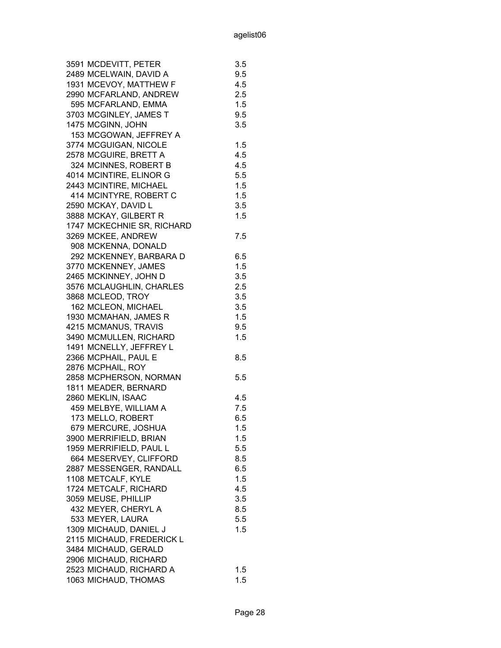| 3591 MCDEVITT, PETER                          | 3.5 |
|-----------------------------------------------|-----|
| 2489 MCELWAIN, DAVID A                        | 9.5 |
| 1931 MCEVOY, MATTHEW F                        | 4.5 |
| 2990 MCFARLAND, ANDREW                        | 2.5 |
| 595 MCFARLAND, EMMA                           | 1.5 |
| 3703 MCGINLEY, JAMES T                        | 9.5 |
| 1475 MCGINN, JOHN                             | 3.5 |
| 153 MCGOWAN, JEFFREY A                        |     |
| 3774 MCGUIGAN, NICOLE                         | 1.5 |
| 2578 MCGUIRE, BRETT A                         | 4.5 |
| 324 MCINNES, ROBERT B                         | 4.5 |
| 4014 MCINTIRE, ELINOR G                       | 5.5 |
| 2443 MCINTIRE, MICHAEL                        | 1.5 |
| 414 MCINTYRE, ROBERT C                        | 1.5 |
| 2590 MCKAY, DAVID L                           | 3.5 |
| 3888 MCKAY, GILBERT R                         | 1.5 |
| 1747 MCKECHNIE SR, RICHARD                    |     |
| 3269 MCKEE, ANDREW                            | 7.5 |
| 908 MCKENNA, DONALD                           |     |
| 292 MCKENNEY, BARBARA D                       | 6.5 |
| 3770 MCKENNEY, JAMES                          | 1.5 |
| 2465 MCKINNEY, JOHN D                         | 3.5 |
| 3576 MCLAUGHLIN, CHARLES                      | 2.5 |
| 3868 MCLEOD, TROY                             | 3.5 |
| 162 MCLEON, MICHAEL                           | 3.5 |
| 1930 MCMAHAN, JAMES R                         | 1.5 |
| 4215 MCMANUS, TRAVIS                          | 9.5 |
| 3490 MCMULLEN, RICHARD                        | 1.5 |
| 1491 MCNELLY, JEFFREY L                       |     |
| 2366 MCPHAIL, PAUL E                          | 8.5 |
| 2876 MCPHAIL, ROY                             |     |
| 2858 MCPHERSON, NORMAN                        | 5.5 |
| 1811 MEADER, BERNARD                          |     |
| 2860 MEKLIN, ISAAC                            | 4.5 |
| 459 MELBYE, WILLIAM A                         | 7.5 |
| 173 MELLO, ROBERT                             | 6.5 |
| 679 MERCURE, JOSHUA                           | 1.5 |
| 3900 MERRIFIELD, BRIAN                        | 1.5 |
| 1959 MERRIFIELD, PAUL L                       | 5.5 |
| 664 MESERVEY, CLIFFORD                        | 8.5 |
| 2887 MESSENGER, RANDALL                       | 6.5 |
| 1108 METCALF, KYLE                            | 1.5 |
| 1724 METCALF, RICHARD                         | 4.5 |
| 3059 MEUSE, PHILLIP                           | 3.5 |
| 432 MEYER, CHERYL A                           | 8.5 |
| 533 MEYER, LAURA                              | 5.5 |
| 1309 MICHAUD, DANIEL J                        | 1.5 |
|                                               |     |
| 2115 MICHAUD, FREDERICK L                     |     |
| 3484 MICHAUD, GERALD<br>2906 MICHAUD, RICHARD |     |
| 2523 MICHAUD, RICHARD A                       | 1.5 |
|                                               | 1.5 |
| 1063 MICHAUD, THOMAS                          |     |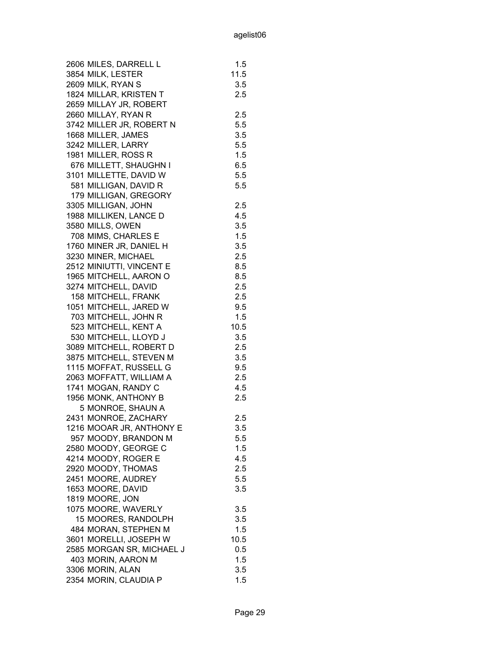| 2606 MILES, DARRELL L     | 1.5  |
|---------------------------|------|
| 3854 MILK, LESTER         | 11.5 |
| 2609 MILK, RYAN S         | 3.5  |
| 1824 MILLAR, KRISTEN T    | 2.5  |
| 2659 MILLAY JR, ROBERT    |      |
| 2660 MILLAY, RYAN R       | 2.5  |
| 3742 MILLER JR, ROBERT N  | 5.5  |
| 1668 MILLER, JAMES        | 3.5  |
| 3242 MILLER, LARRY        | 5.5  |
| 1981 MILLER, ROSS R       | 1.5  |
| 676 MILLETT, SHAUGHN I    | 6.5  |
|                           |      |
| 3101 MILLETTE, DAVID W    | 5.5  |
| 581 MILLIGAN, DAVID R     | 5.5  |
| 179 MILLIGAN, GREGORY     |      |
| 3305 MILLIGAN, JOHN       | 2.5  |
| 1988 MILLIKEN, LANCE D    | 4.5  |
| 3580 MILLS, OWEN          | 3.5  |
| 708 MIMS, CHARLES E       | 1.5  |
| 1760 MINER JR, DANIEL H   | 3.5  |
| 3230 MINER, MICHAEL       | 2.5  |
| 2512 MINIUTTI, VINCENT E  | 8.5  |
| 1965 MITCHELL, AARON O    | 8.5  |
| 3274 MITCHELL, DAVID      | 2.5  |
| 158 MITCHELL, FRANK       | 2.5  |
| 1051 MITCHELL, JARED W    | 9.5  |
| 703 MITCHELL, JOHN R      | 1.5  |
| 523 MITCHELL, KENT A      | 10.5 |
| 530 MITCHELL, LLOYD J     | 3.5  |
| 3089 MITCHELL, ROBERT D   | 2.5  |
| 3875 MITCHELL, STEVEN M   | 3.5  |
| 1115 MOFFAT, RUSSELL G    | 9.5  |
| 2063 MOFFATT, WILLIAM A   | 2.5  |
| 1741 MOGAN, RANDY C       | 4.5  |
| 1956 MONK, ANTHONY B      | 2.5  |
| 5 MONROE, SHAUN A         |      |
| 2431 MONROE, ZACHARY      |      |
|                           | 2.5  |
| 1216 MOOAR JR, ANTHONY E  | 3.5  |
| 957 MOODY, BRANDON M      | 5.5  |
| 2580 MOODY, GEORGE C      | 1.5  |
| 4214 MOODY, ROGER E       | 4.5  |
| 2920 MOODY, THOMAS        | 2.5  |
| 2451 MOORE, AUDREY        | 5.5  |
| 1653 MOORE, DAVID         | 3.5  |
| 1819 MOORE, JON           |      |
| 1075 MOORE, WAVERLY       | 3.5  |
| 15 MOORES, RANDOLPH       | 3.5  |
| 484 MORAN, STEPHEN M      | 1.5  |
| 3601 MORELLI, JOSEPH W    | 10.5 |
| 2585 MORGAN SR, MICHAEL J | 0.5  |
| 403 MORIN, AARON M        | 1.5  |
| 3306 MORIN, ALAN          | 3.5  |
| 2354 MORIN, CLAUDIA P     | 1.5  |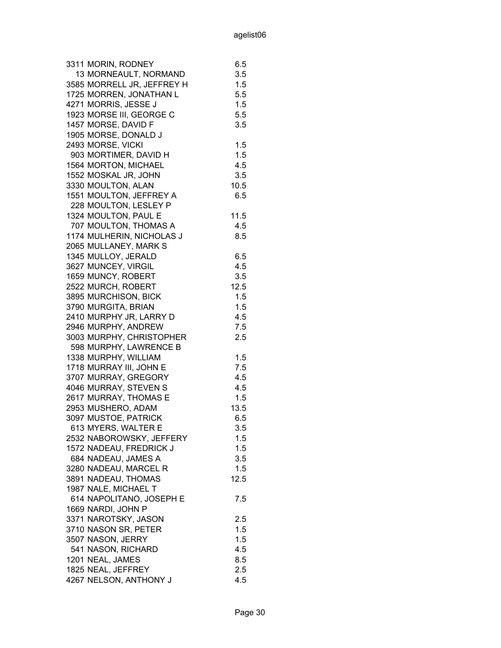| 13 MORNEAULT, NORMAND<br>3.5<br>3585 MORRELL JR, JEFFREY H<br>1.5<br>1725 MORREN, JONATHAN L<br>5.5<br>1.5<br>4271 MORRIS, JESSE J<br>1923 MORSE III, GEORGE C<br>5.5<br>1457 MORSE, DAVID F<br>3.5<br>1905 MORSE, DONALD J<br>2493 MORSE, VICKI<br>1.5<br>1.5<br>903 MORTIMER, DAVID H<br>1564 MORTON, MICHAEL<br>4.5<br>1552 MOSKAL JR, JOHN<br>3.5<br>3330 MOULTON, ALAN<br>10.5<br>1551 MOULTON, JEFFREY A<br>6.5<br>228 MOULTON, LESLEY P<br>1324 MOULTON, PAUL E<br>11.5<br>707 MOULTON, THOMAS A<br>4.5<br>1174 MULHERIN, NICHOLAS J<br>8.5<br>2065 MULLANEY, MARK S<br>1345 MULLOY, JERALD<br>6.5<br>3627 MUNCEY, VIRGIL<br>4.5<br>1659 MUNCY, ROBERT<br>3.5<br>2522 MURCH, ROBERT<br>12.5<br>3895 MURCHISON, BICK<br>1.5<br>3790 MURGITA, BRIAN<br>1.5<br>2410 MURPHY JR, LARRY D<br>4.5<br>2946 MURPHY, ANDREW<br>7.5<br>3003 MURPHY, CHRISTOPHER<br>2.5<br>598 MURPHY, LAWRENCE B<br>1338 MURPHY, WILLIAM<br>1.5<br>1718 MURRAY III, JOHN E<br>7.5<br>3707 MURRAY, GREGORY<br>4.5<br>4046 MURRAY, STEVEN S<br>4.5<br>2617 MURRAY, THOMAS E<br>1.5<br>2953 MUSHERO, ADAM<br>13.5<br>3097 MUSTOE, PATRICK<br>6.5<br>613 MYERS, WALTER E<br>3.5<br>1.5<br>2532 NABOROWSKY, JEFFERY<br>1.5<br>1572 NADEAU, FREDRICK J<br>684 NADEAU, JAMES A<br>3.5<br>3280 NADEAU, MARCEL R<br>1.5<br>3891 NADEAU, THOMAS<br>12.5<br>1987 NALE, MICHAEL T<br>614 NAPOLITANO, JOSEPH E<br>7.5<br>1669 NARDI, JOHN P<br>3371 NAROTSKY, JASON<br>2.5<br>3710 NASON SR, PETER<br>1.5<br>3507 NASON, JERRY<br>1.5<br>541 NASON, RICHARD<br>4.5<br>1201 NEAL, JAMES<br>8.5<br>1825 NEAL, JEFFREY<br>2.5 | 3311 MORIN, RODNEY     | 6.5 |
|-------------------------------------------------------------------------------------------------------------------------------------------------------------------------------------------------------------------------------------------------------------------------------------------------------------------------------------------------------------------------------------------------------------------------------------------------------------------------------------------------------------------------------------------------------------------------------------------------------------------------------------------------------------------------------------------------------------------------------------------------------------------------------------------------------------------------------------------------------------------------------------------------------------------------------------------------------------------------------------------------------------------------------------------------------------------------------------------------------------------------------------------------------------------------------------------------------------------------------------------------------------------------------------------------------------------------------------------------------------------------------------------------------------------------------------------------------------------------------------------------------------------------------------------------------------------------------------------|------------------------|-----|
|                                                                                                                                                                                                                                                                                                                                                                                                                                                                                                                                                                                                                                                                                                                                                                                                                                                                                                                                                                                                                                                                                                                                                                                                                                                                                                                                                                                                                                                                                                                                                                                           |                        |     |
|                                                                                                                                                                                                                                                                                                                                                                                                                                                                                                                                                                                                                                                                                                                                                                                                                                                                                                                                                                                                                                                                                                                                                                                                                                                                                                                                                                                                                                                                                                                                                                                           |                        |     |
|                                                                                                                                                                                                                                                                                                                                                                                                                                                                                                                                                                                                                                                                                                                                                                                                                                                                                                                                                                                                                                                                                                                                                                                                                                                                                                                                                                                                                                                                                                                                                                                           |                        |     |
|                                                                                                                                                                                                                                                                                                                                                                                                                                                                                                                                                                                                                                                                                                                                                                                                                                                                                                                                                                                                                                                                                                                                                                                                                                                                                                                                                                                                                                                                                                                                                                                           |                        |     |
|                                                                                                                                                                                                                                                                                                                                                                                                                                                                                                                                                                                                                                                                                                                                                                                                                                                                                                                                                                                                                                                                                                                                                                                                                                                                                                                                                                                                                                                                                                                                                                                           |                        |     |
|                                                                                                                                                                                                                                                                                                                                                                                                                                                                                                                                                                                                                                                                                                                                                                                                                                                                                                                                                                                                                                                                                                                                                                                                                                                                                                                                                                                                                                                                                                                                                                                           |                        |     |
|                                                                                                                                                                                                                                                                                                                                                                                                                                                                                                                                                                                                                                                                                                                                                                                                                                                                                                                                                                                                                                                                                                                                                                                                                                                                                                                                                                                                                                                                                                                                                                                           |                        |     |
|                                                                                                                                                                                                                                                                                                                                                                                                                                                                                                                                                                                                                                                                                                                                                                                                                                                                                                                                                                                                                                                                                                                                                                                                                                                                                                                                                                                                                                                                                                                                                                                           |                        |     |
|                                                                                                                                                                                                                                                                                                                                                                                                                                                                                                                                                                                                                                                                                                                                                                                                                                                                                                                                                                                                                                                                                                                                                                                                                                                                                                                                                                                                                                                                                                                                                                                           |                        |     |
|                                                                                                                                                                                                                                                                                                                                                                                                                                                                                                                                                                                                                                                                                                                                                                                                                                                                                                                                                                                                                                                                                                                                                                                                                                                                                                                                                                                                                                                                                                                                                                                           |                        |     |
|                                                                                                                                                                                                                                                                                                                                                                                                                                                                                                                                                                                                                                                                                                                                                                                                                                                                                                                                                                                                                                                                                                                                                                                                                                                                                                                                                                                                                                                                                                                                                                                           |                        |     |
|                                                                                                                                                                                                                                                                                                                                                                                                                                                                                                                                                                                                                                                                                                                                                                                                                                                                                                                                                                                                                                                                                                                                                                                                                                                                                                                                                                                                                                                                                                                                                                                           |                        |     |
|                                                                                                                                                                                                                                                                                                                                                                                                                                                                                                                                                                                                                                                                                                                                                                                                                                                                                                                                                                                                                                                                                                                                                                                                                                                                                                                                                                                                                                                                                                                                                                                           |                        |     |
|                                                                                                                                                                                                                                                                                                                                                                                                                                                                                                                                                                                                                                                                                                                                                                                                                                                                                                                                                                                                                                                                                                                                                                                                                                                                                                                                                                                                                                                                                                                                                                                           |                        |     |
|                                                                                                                                                                                                                                                                                                                                                                                                                                                                                                                                                                                                                                                                                                                                                                                                                                                                                                                                                                                                                                                                                                                                                                                                                                                                                                                                                                                                                                                                                                                                                                                           |                        |     |
|                                                                                                                                                                                                                                                                                                                                                                                                                                                                                                                                                                                                                                                                                                                                                                                                                                                                                                                                                                                                                                                                                                                                                                                                                                                                                                                                                                                                                                                                                                                                                                                           |                        |     |
|                                                                                                                                                                                                                                                                                                                                                                                                                                                                                                                                                                                                                                                                                                                                                                                                                                                                                                                                                                                                                                                                                                                                                                                                                                                                                                                                                                                                                                                                                                                                                                                           |                        |     |
|                                                                                                                                                                                                                                                                                                                                                                                                                                                                                                                                                                                                                                                                                                                                                                                                                                                                                                                                                                                                                                                                                                                                                                                                                                                                                                                                                                                                                                                                                                                                                                                           |                        |     |
|                                                                                                                                                                                                                                                                                                                                                                                                                                                                                                                                                                                                                                                                                                                                                                                                                                                                                                                                                                                                                                                                                                                                                                                                                                                                                                                                                                                                                                                                                                                                                                                           |                        |     |
|                                                                                                                                                                                                                                                                                                                                                                                                                                                                                                                                                                                                                                                                                                                                                                                                                                                                                                                                                                                                                                                                                                                                                                                                                                                                                                                                                                                                                                                                                                                                                                                           |                        |     |
|                                                                                                                                                                                                                                                                                                                                                                                                                                                                                                                                                                                                                                                                                                                                                                                                                                                                                                                                                                                                                                                                                                                                                                                                                                                                                                                                                                                                                                                                                                                                                                                           |                        |     |
|                                                                                                                                                                                                                                                                                                                                                                                                                                                                                                                                                                                                                                                                                                                                                                                                                                                                                                                                                                                                                                                                                                                                                                                                                                                                                                                                                                                                                                                                                                                                                                                           |                        |     |
|                                                                                                                                                                                                                                                                                                                                                                                                                                                                                                                                                                                                                                                                                                                                                                                                                                                                                                                                                                                                                                                                                                                                                                                                                                                                                                                                                                                                                                                                                                                                                                                           |                        |     |
|                                                                                                                                                                                                                                                                                                                                                                                                                                                                                                                                                                                                                                                                                                                                                                                                                                                                                                                                                                                                                                                                                                                                                                                                                                                                                                                                                                                                                                                                                                                                                                                           |                        |     |
|                                                                                                                                                                                                                                                                                                                                                                                                                                                                                                                                                                                                                                                                                                                                                                                                                                                                                                                                                                                                                                                                                                                                                                                                                                                                                                                                                                                                                                                                                                                                                                                           |                        |     |
|                                                                                                                                                                                                                                                                                                                                                                                                                                                                                                                                                                                                                                                                                                                                                                                                                                                                                                                                                                                                                                                                                                                                                                                                                                                                                                                                                                                                                                                                                                                                                                                           |                        |     |
|                                                                                                                                                                                                                                                                                                                                                                                                                                                                                                                                                                                                                                                                                                                                                                                                                                                                                                                                                                                                                                                                                                                                                                                                                                                                                                                                                                                                                                                                                                                                                                                           |                        |     |
|                                                                                                                                                                                                                                                                                                                                                                                                                                                                                                                                                                                                                                                                                                                                                                                                                                                                                                                                                                                                                                                                                                                                                                                                                                                                                                                                                                                                                                                                                                                                                                                           |                        |     |
|                                                                                                                                                                                                                                                                                                                                                                                                                                                                                                                                                                                                                                                                                                                                                                                                                                                                                                                                                                                                                                                                                                                                                                                                                                                                                                                                                                                                                                                                                                                                                                                           |                        |     |
|                                                                                                                                                                                                                                                                                                                                                                                                                                                                                                                                                                                                                                                                                                                                                                                                                                                                                                                                                                                                                                                                                                                                                                                                                                                                                                                                                                                                                                                                                                                                                                                           |                        |     |
|                                                                                                                                                                                                                                                                                                                                                                                                                                                                                                                                                                                                                                                                                                                                                                                                                                                                                                                                                                                                                                                                                                                                                                                                                                                                                                                                                                                                                                                                                                                                                                                           |                        |     |
|                                                                                                                                                                                                                                                                                                                                                                                                                                                                                                                                                                                                                                                                                                                                                                                                                                                                                                                                                                                                                                                                                                                                                                                                                                                                                                                                                                                                                                                                                                                                                                                           |                        |     |
|                                                                                                                                                                                                                                                                                                                                                                                                                                                                                                                                                                                                                                                                                                                                                                                                                                                                                                                                                                                                                                                                                                                                                                                                                                                                                                                                                                                                                                                                                                                                                                                           |                        |     |
|                                                                                                                                                                                                                                                                                                                                                                                                                                                                                                                                                                                                                                                                                                                                                                                                                                                                                                                                                                                                                                                                                                                                                                                                                                                                                                                                                                                                                                                                                                                                                                                           |                        |     |
|                                                                                                                                                                                                                                                                                                                                                                                                                                                                                                                                                                                                                                                                                                                                                                                                                                                                                                                                                                                                                                                                                                                                                                                                                                                                                                                                                                                                                                                                                                                                                                                           |                        |     |
|                                                                                                                                                                                                                                                                                                                                                                                                                                                                                                                                                                                                                                                                                                                                                                                                                                                                                                                                                                                                                                                                                                                                                                                                                                                                                                                                                                                                                                                                                                                                                                                           |                        |     |
|                                                                                                                                                                                                                                                                                                                                                                                                                                                                                                                                                                                                                                                                                                                                                                                                                                                                                                                                                                                                                                                                                                                                                                                                                                                                                                                                                                                                                                                                                                                                                                                           |                        |     |
|                                                                                                                                                                                                                                                                                                                                                                                                                                                                                                                                                                                                                                                                                                                                                                                                                                                                                                                                                                                                                                                                                                                                                                                                                                                                                                                                                                                                                                                                                                                                                                                           |                        |     |
|                                                                                                                                                                                                                                                                                                                                                                                                                                                                                                                                                                                                                                                                                                                                                                                                                                                                                                                                                                                                                                                                                                                                                                                                                                                                                                                                                                                                                                                                                                                                                                                           |                        |     |
|                                                                                                                                                                                                                                                                                                                                                                                                                                                                                                                                                                                                                                                                                                                                                                                                                                                                                                                                                                                                                                                                                                                                                                                                                                                                                                                                                                                                                                                                                                                                                                                           |                        |     |
|                                                                                                                                                                                                                                                                                                                                                                                                                                                                                                                                                                                                                                                                                                                                                                                                                                                                                                                                                                                                                                                                                                                                                                                                                                                                                                                                                                                                                                                                                                                                                                                           |                        |     |
|                                                                                                                                                                                                                                                                                                                                                                                                                                                                                                                                                                                                                                                                                                                                                                                                                                                                                                                                                                                                                                                                                                                                                                                                                                                                                                                                                                                                                                                                                                                                                                                           |                        |     |
|                                                                                                                                                                                                                                                                                                                                                                                                                                                                                                                                                                                                                                                                                                                                                                                                                                                                                                                                                                                                                                                                                                                                                                                                                                                                                                                                                                                                                                                                                                                                                                                           |                        |     |
|                                                                                                                                                                                                                                                                                                                                                                                                                                                                                                                                                                                                                                                                                                                                                                                                                                                                                                                                                                                                                                                                                                                                                                                                                                                                                                                                                                                                                                                                                                                                                                                           |                        |     |
|                                                                                                                                                                                                                                                                                                                                                                                                                                                                                                                                                                                                                                                                                                                                                                                                                                                                                                                                                                                                                                                                                                                                                                                                                                                                                                                                                                                                                                                                                                                                                                                           |                        |     |
|                                                                                                                                                                                                                                                                                                                                                                                                                                                                                                                                                                                                                                                                                                                                                                                                                                                                                                                                                                                                                                                                                                                                                                                                                                                                                                                                                                                                                                                                                                                                                                                           |                        |     |
|                                                                                                                                                                                                                                                                                                                                                                                                                                                                                                                                                                                                                                                                                                                                                                                                                                                                                                                                                                                                                                                                                                                                                                                                                                                                                                                                                                                                                                                                                                                                                                                           |                        |     |
|                                                                                                                                                                                                                                                                                                                                                                                                                                                                                                                                                                                                                                                                                                                                                                                                                                                                                                                                                                                                                                                                                                                                                                                                                                                                                                                                                                                                                                                                                                                                                                                           |                        |     |
|                                                                                                                                                                                                                                                                                                                                                                                                                                                                                                                                                                                                                                                                                                                                                                                                                                                                                                                                                                                                                                                                                                                                                                                                                                                                                                                                                                                                                                                                                                                                                                                           |                        |     |
|                                                                                                                                                                                                                                                                                                                                                                                                                                                                                                                                                                                                                                                                                                                                                                                                                                                                                                                                                                                                                                                                                                                                                                                                                                                                                                                                                                                                                                                                                                                                                                                           |                        |     |
|                                                                                                                                                                                                                                                                                                                                                                                                                                                                                                                                                                                                                                                                                                                                                                                                                                                                                                                                                                                                                                                                                                                                                                                                                                                                                                                                                                                                                                                                                                                                                                                           | 4267 NELSON, ANTHONY J | 4.5 |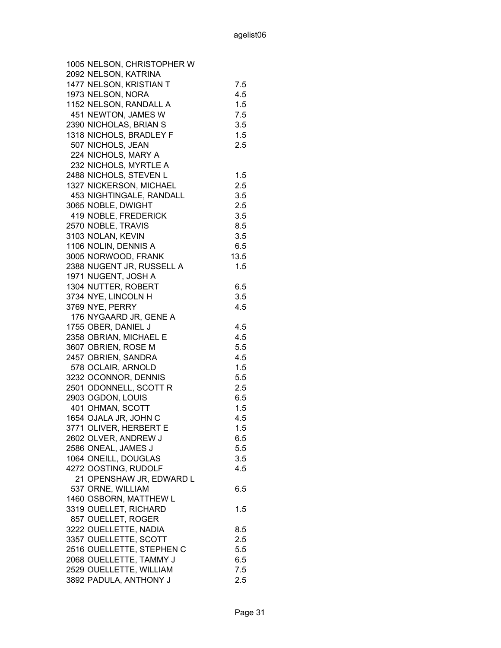| 1005 NELSON, CHRISTOPHER W |      |
|----------------------------|------|
| 2092 NELSON, KATRINA       |      |
| 1477 NELSON, KRISTIAN T    | 7.5  |
| 1973 NELSON, NORA          | 4.5  |
| 1152 NELSON, RANDALL A     | 1.5  |
| 451 NEWTON, JAMES W        | 7.5  |
| 2390 NICHOLAS, BRIAN S     | 3.5  |
| 1318 NICHOLS, BRADLEY F    | 1.5  |
| 507 NICHOLS, JEAN          | 2.5  |
| 224 NICHOLS, MARY A        |      |
| 232 NICHOLS, MYRTLE A      |      |
| 2488 NICHOLS, STEVEN L     | 1.5  |
| 1327 NICKERSON, MICHAEL    | 2.5  |
| 453 NIGHTINGALE, RANDALL   | 3.5  |
| 3065 NOBLE, DWIGHT         | 2.5  |
| 419 NOBLE, FREDERICK       | 3.5  |
| 2570 NOBLE, TRAVIS         | 8.5  |
| 3103 NOLAN, KEVIN          | 3.5  |
| 1106 NOLIN, DENNIS A       | 6.5  |
| 3005 NORWOOD, FRANK        | 13.5 |
| 2388 NUGENT JR, RUSSELL A  | 1.5  |
| 1971 NUGENT, JOSH A        |      |
| 1304 NUTTER, ROBERT        | 6.5  |
| 3734 NYE, LINCOLN H        | 3.5  |
| 3769 NYE, PERRY            | 4.5  |
| 176 NYGAARD JR, GENE A     |      |
| 1755 OBER, DANIEL J        | 4.5  |
| 2358 OBRIAN, MICHAEL E     | 4.5  |
| 3607 OBRIEN, ROSE M        | 5.5  |
| 2457 OBRIEN, SANDRA        | 4.5  |
| 578 OCLAIR, ARNOLD         | 1.5  |
| 3232 OCONNOR, DENNIS       | 5.5  |
| 2501 ODONNELL, SCOTT R     | 2.5  |
| 2903 OGDON, LOUIS          | 6.5  |
| 401 OHMAN, SCOTT           | 1.5  |
| 1654 OJALA JR, JOHN C      | 4.5  |
| 3771 OLIVER, HERBERT E     | 1.5  |
| 2602 OLVER, ANDREW J       | 6.5  |
| 2586 ONEAL, JAMES J        | 5.5  |
| 1064 ONEILL, DOUGLAS       | 3.5  |
| 4272 OOSTING, RUDOLF       | 4.5  |
| 21 OPENSHAW JR, EDWARD L   |      |
| 537 ORNE, WILLIAM          | 6.5  |
| 1460 OSBORN, MATTHEW L     |      |
| 3319 OUELLET, RICHARD      | 1.5  |
| 857 OUELLET, ROGER         |      |
| 3222 OUELLETTE, NADIA      | 8.5  |
| 3357 OUELLETTE, SCOTT      | 2.5  |
| 2516 OUELLETTE, STEPHEN C  | 5.5  |
| 2068 OUELLETTE, TAMMY J    | 6.5  |
| 2529 OUELLETTE, WILLIAM    | 7.5  |
| 3892 PADULA, ANTHONY J     | 2.5  |
|                            |      |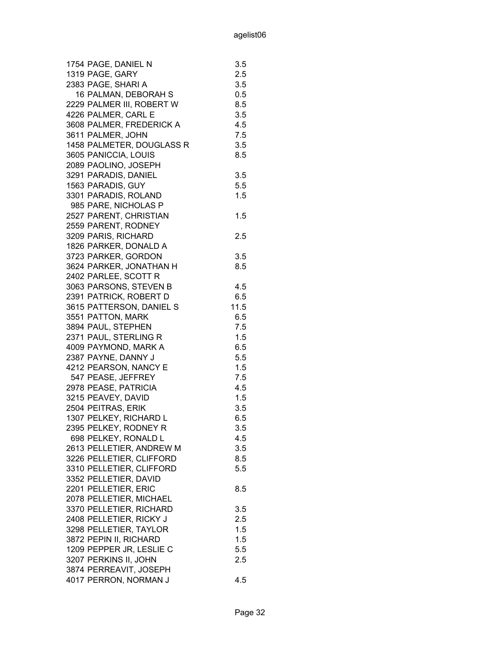| 1754 PAGE, DANIEL N       | 3.5  |
|---------------------------|------|
| 1319 PAGE, GARY           | 2.5  |
| 2383 PAGE, SHARI A        | 3.5  |
| 16 PALMAN, DEBORAH S      | 0.5  |
| 2229 PALMER III, ROBERT W | 8.5  |
| 4226 PALMER, CARL E       | 3.5  |
| 3608 PALMER, FREDERICK A  | 4.5  |
| 3611 PALMER, JOHN         | 7.5  |
| 1458 PALMETER, DOUGLASS R | 3.5  |
| 3605 PANICCIA, LOUIS      | 8.5  |
| 2089 PAOLINO, JOSEPH      |      |
| 3291 PARADIS, DANIEL      | 3.5  |
| 1563 PARADIS, GUY         | 5.5  |
| 3301 PARADIS, ROLAND      | 1.5  |
| 985 PARE, NICHOLAS P      |      |
| 2527 PARENT, CHRISTIAN    | 1.5  |
| 2559 PARENT, RODNEY       |      |
|                           | 2.5  |
| 3209 PARIS, RICHARD       |      |
| 1826 PARKER, DONALD A     |      |
| 3723 PARKER, GORDON       | 3.5  |
| 3624 PARKER, JONATHAN H   | 8.5  |
| 2402 PARLEE, SCOTT R      |      |
| 3063 PARSONS, STEVEN B    | 4.5  |
| 2391 PATRICK, ROBERT D    | 6.5  |
| 3615 PATTERSON, DANIEL S  | 11.5 |
| 3551 PATTON, MARK         | 6.5  |
| 3894 PAUL, STEPHEN        | 7.5  |
| 2371 PAUL, STERLING R     | 1.5  |
| 4009 PAYMOND, MARK A      | 6.5  |
| 2387 PAYNE, DANNY J       | 5.5  |
| 4212 PEARSON, NANCY E     | 1.5  |
| 547 PEASE, JEFFREY        | 7.5  |
| 2978 PEASE, PATRICIA      | 4.5  |
| 3215 PEAVEY, DAVID        | 1.5  |
| 2504 PEITRAS, ERIK        | 3.5  |
| 1307 PELKEY, RICHARD L    | 6.5  |
| 2395 PELKEY, RODNEY R     | 3.5  |
| 698 PELKEY, RONALD L      | 4.5  |
| 2613 PELLETIER, ANDREW M  | 3.5  |
| 3226 PELLETIER, CLIFFORD  | 8.5  |
| 3310 PELLETIER, CLIFFORD  | 5.5  |
| 3352 PELLETIER, DAVID     |      |
| 2201 PELLETIER, ERIC      | 8.5  |
| 2078 PELLETIER, MICHAEL   |      |
| 3370 PELLETIER, RICHARD   | 3.5  |
| 2408 PELLETIER, RICKY J   | 2.5  |
| 3298 PELLETIER, TAYLOR    | 1.5  |
| 3872 PEPIN II, RICHARD    | 1.5  |
| 1209 PEPPER JR, LESLIE C  | 5.5  |
| 3207 PERKINS II, JOHN     | 2.5  |
| 3874 PERREAVIT, JOSEPH    |      |
| 4017 PERRON, NORMAN J     | 4.5  |
|                           |      |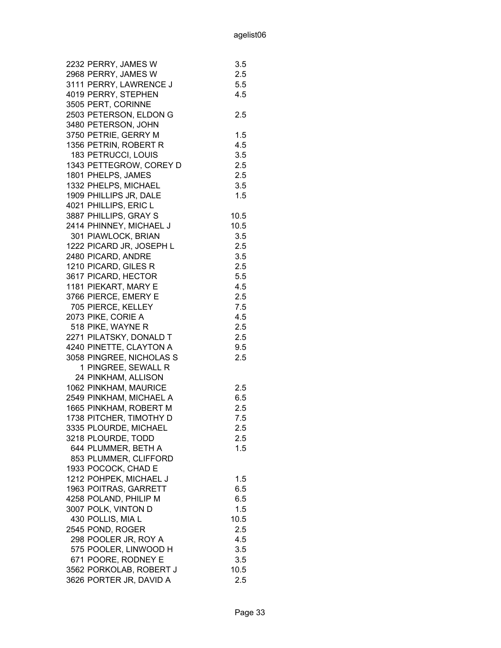| 2232 PERRY, JAMES W      | 3.5     |
|--------------------------|---------|
| 2968 PERRY, JAMES W      | 2.5     |
| 3111 PERRY, LAWRENCE J   | 5.5     |
| 4019 PERRY, STEPHEN      | 4.5     |
| 3505 PERT, CORINNE       |         |
| 2503 PETERSON, ELDON G   | 2.5     |
| 3480 PETERSON, JOHN      |         |
| 3750 PETRIE, GERRY M     | 1.5     |
| 1356 PETRIN, ROBERT R    | 4.5     |
| 183 PETRUCCI, LOUIS      | 3.5     |
| 1343 PETTEGROW, COREY D  | 2.5     |
| 1801 PHELPS, JAMES       | 2.5     |
| 1332 PHELPS, MICHAEL     | 3.5     |
| 1909 PHILLIPS JR, DALE   | 1.5     |
| 4021 PHILLIPS, ERIC L    |         |
| 3887 PHILLIPS, GRAY S    | 10.5    |
| 2414 PHINNEY, MICHAEL J  | 10.5    |
| 301 PIAWLOCK, BRIAN      | 3.5     |
| 1222 PICARD JR, JOSEPH L | 2.5     |
| 2480 PICARD, ANDRE       | 3.5     |
| 1210 PICARD, GILES R     | 2.5     |
| 3617 PICARD, HECTOR      | 5.5     |
| 1181 PIEKART, MARY E     | 4.5     |
| 3766 PIERCE, EMERY E     | 2.5     |
| 705 PIERCE, KELLEY       | 7.5     |
| 2073 PIKE, CORIE A       | 4.5     |
| 518 PIKE, WAYNE R        | 2.5     |
| 2271 PILATSKY, DONALD T  | 2.5     |
| 4240 PINETTE, CLAYTON A  | 9.5     |
| 3058 PINGREE, NICHOLAS S | 2.5     |
| 1 PINGREE, SEWALL R      |         |
| 24 PINKHAM, ALLISON      |         |
| 1062 PINKHAM, MAURICE    | 2.5     |
| 2549 PINKHAM, MICHAEL A  | 6.5     |
| 1665 PINKHAM, ROBERT M   | 2.5     |
| 1738 PITCHER, TIMOTHY D  | 7.5     |
| 3335 PLOURDE, MICHAEL    | 2.5     |
| 3218 PLOURDE, TODD       | 2.5     |
| 644 PLUMMER, BETH A      | 1.5     |
| 853 PLUMMER, CLIFFORD    |         |
| 1933 POCOCK, CHAD E      |         |
| 1212 POHPEK, MICHAEL J   | $1.5\,$ |
| 1963 POITRAS, GARRETT    | 6.5     |
| 4258 POLAND, PHILIP M    | 6.5     |
| 3007 POLK, VINTON D      | 1.5     |
| 430 POLLIS, MIA L        | 10.5    |
| 2545 POND, ROGER         | 2.5     |
| 298 POOLER JR, ROY A     | 4.5     |
| 575 POOLER, LINWOOD H    | 3.5     |
| 671 POORE, RODNEY E      | 3.5     |
| 3562 PORKOLAB, ROBERT J  | 10.5    |
| 3626 PORTER JR, DAVID A  | 2.5     |
|                          |         |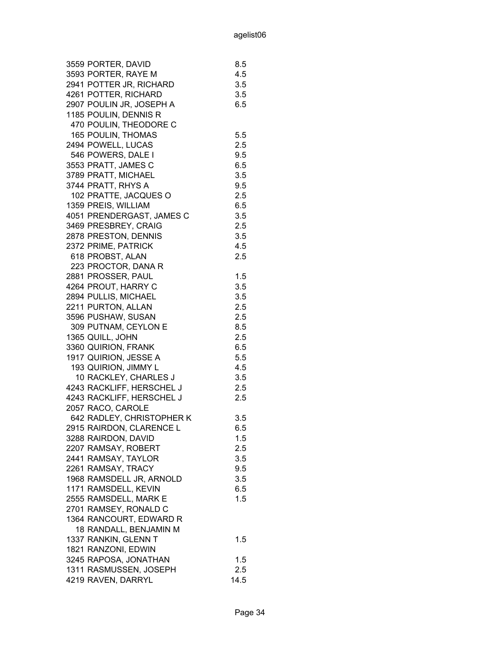| 3559 PORTER, DAVID                              | 8.5        |
|-------------------------------------------------|------------|
| 3593 PORTER, RAYE M                             | 4.5        |
| 2941 POTTER JR, RICHARD                         | 3.5        |
| 4261 POTTER, RICHARD                            | 3.5        |
| 2907 POULIN JR, JOSEPH A                        | 6.5        |
| 1185 POULIN, DENNIS R                           |            |
| 470 POULIN, THEODORE C                          |            |
| 165 POULIN, THOMAS                              | 5.5        |
| 2494 POWELL, LUCAS                              | 2.5        |
| 546 POWERS, DALE I                              | 9.5        |
| 3553 PRATT, JAMES C                             | 6.5        |
| 3789 PRATT, MICHAEL                             | 3.5        |
| 3744 PRATT, RHYS A                              | 9.5        |
| 102 PRATTE, JACQUES O                           | 2.5        |
| 1359 PREIS, WILLIAM                             | 6.5        |
| 4051 PRENDERGAST, JAMES C                       | 3.5        |
| 3469 PRESBREY, CRAIG                            | 2.5        |
| 2878 PRESTON, DENNIS                            | 3.5        |
| 2372 PRIME, PATRICK                             | 4.5        |
| 618 PROBST, ALAN                                | 2.5        |
| 223 PROCTOR, DANA R                             |            |
| 2881 PROSSER, PAUL                              | 1.5        |
| 4264 PROUT, HARRY C                             | 3.5        |
| 2894 PULLIS, MICHAEL                            | 3.5        |
| 2211 PURTON, ALLAN                              | 2.5        |
| 3596 PUSHAW, SUSAN                              | 2.5        |
| 309 PUTNAM, CEYLON E                            | 8.5        |
| 1365 QUILL, JOHN                                | 2.5        |
| 3360 QUIRION, FRANK                             | 6.5        |
| 1917 QUIRION, JESSE A                           | 5.5        |
| 193 QUIRION, JIMMY L                            | 4.5        |
| 10 RACKLEY, CHARLES J                           | 3.5        |
| 4243 RACKLIFF, HERSCHEL J                       | 2.5        |
| 4243 RACKLIFF, HERSCHEL J                       | 2.5        |
| 2057 RACO, CAROLE                               |            |
| 642 RADLEY, CHRISTOPHER K                       | 3.5        |
|                                                 | 6.5        |
| 2915 RAIRDON, CLARENCE L<br>3288 RAIRDON, DAVID | $1.5\,$    |
| 2207 RAMSAY, ROBERT                             | 2.5        |
| 2441 RAMSAY, TAYLOR                             | 3.5        |
| 2261 RAMSAY, TRACY                              | 9.5        |
| 1968 RAMSDELL JR, ARNOLD                        | 3.5        |
| 1171 RAMSDELL, KEVIN                            | 6.5        |
| 2555 RAMSDELL, MARK E                           | 1.5        |
| 2701 RAMSEY, RONALD C                           |            |
| 1364 RANCOURT, EDWARD R                         |            |
|                                                 |            |
| 18 RANDALL, BENJAMIN M                          |            |
| 1337 RANKIN, GLENN T                            | 1.5        |
| 1821 RANZONI, EDWIN<br>3245 RAPOSA, JONATHAN    |            |
|                                                 | 1.5<br>2.5 |
| 1311 RASMUSSEN, JOSEPH                          | 14.5       |
| 4219 RAVEN, DARRYL                              |            |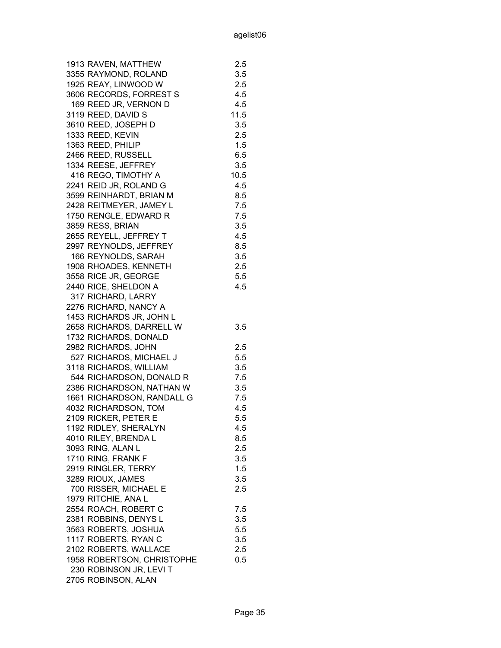| 1913 RAVEN, MATTHEW        | 2.5  |
|----------------------------|------|
| 3355 RAYMOND, ROLAND       | 3.5  |
| 1925 REAY, LINWOOD W       | 2.5  |
| 3606 RECORDS, FORREST S    | 4.5  |
| 169 REED JR, VERNON D      | 4.5  |
| 3119 REED, DAVID S         | 11.5 |
| 3610 REED, JOSEPH D        | 3.5  |
| 1333 REED, KEVIN           | 2.5  |
| 1363 REED, PHILIP          | 1.5  |
| 2466 REED, RUSSELL         | 6.5  |
| 1334 REESE, JEFFREY        | 3.5  |
| 416 REGO, TIMOTHY A        | 10.5 |
| 2241 REID JR, ROLAND G     | 4.5  |
| 3599 REINHARDT, BRIAN M    | 8.5  |
| 2428 REITMEYER, JAMEY L    | 7.5  |
| 1750 RENGLE, EDWARD R      | 7.5  |
| 3859 RESS, BRIAN           | 3.5  |
| 2655 REYELL, JEFFREY T     | 4.5  |
| 2997 REYNOLDS, JEFFREY     | 8.5  |
| 166 REYNOLDS, SARAH        | 3.5  |
| 1908 RHOADES, KENNETH      | 2.5  |
| 3558 RICE JR, GEORGE       | 5.5  |
| 2440 RICE, SHELDON A       | 4.5  |
| 317 RICHARD, LARRY         |      |
| 2276 RICHARD, NANCY A      |      |
| 1453 RICHARDS JR, JOHN L   |      |
| 2658 RICHARDS, DARRELL W   | 3.5  |
| 1732 RICHARDS, DONALD      |      |
| 2982 RICHARDS, JOHN        | 2.5  |
| 527 RICHARDS, MICHAEL J    | 5.5  |
| 3118 RICHARDS, WILLIAM     | 3.5  |
| 544 RICHARDSON, DONALD R   | 7.5  |
| 2386 RICHARDSON, NATHAN W  | 3.5  |
| 1661 RICHARDSON, RANDALL G | 7.5  |
| 4032 RICHARDSON, TOM       | 4.5  |
| 2109 RICKER, PETER E       | 5.5  |
| 1192 RIDLEY, SHERALYN      | 4.5  |
| 4010 RILEY, BRENDA L       | 8.5  |
| 3093 RING, ALAN L          | 2.5  |
| 1710 RING, FRANK F         | 3.5  |
| 2919 RINGLER, TERRY        | 1.5  |
| 3289 RIOUX, JAMES          | 3.5  |
| 700 RISSER, MICHAEL E      | 2.5  |
| 1979 RITCHIE, ANA L        |      |
| 2554 ROACH, ROBERT C       | 7.5  |
| 2381 ROBBINS, DENYS L      | 3.5  |
| 3563 ROBERTS, JOSHUA       | 5.5  |
| 1117 ROBERTS, RYAN C       | 3.5  |
| 2102 ROBERTS, WALLACE      | 2.5  |
| 1958 ROBERTSON, CHRISTOPHE | 0.5  |
| 230 ROBINSON JR, LEVI T    |      |
| 2705 ROBINSON, ALAN        |      |
|                            |      |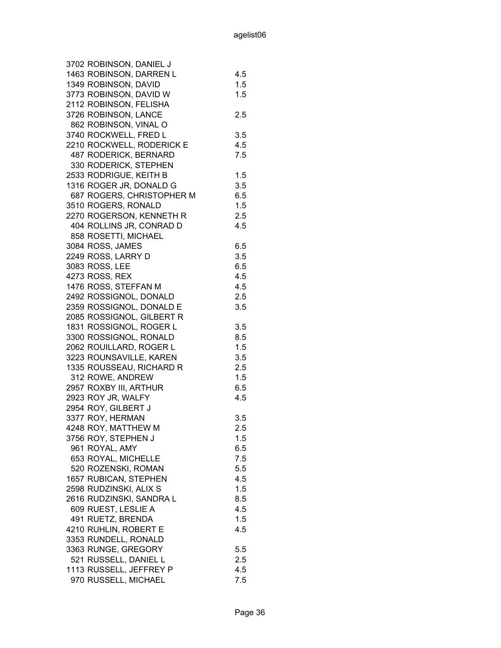| 3702 ROBINSON, DANIEL J   |     |
|---------------------------|-----|
| 1463 ROBINSON, DARREN L   | 4.5 |
| 1349 ROBINSON, DAVID      | 1.5 |
| 3773 ROBINSON, DAVID W    | 1.5 |
| 2112 ROBINSON, FELISHA    |     |
| 3726 ROBINSON, LANCE      | 2.5 |
| 862 ROBINSON, VINAL O     |     |
| 3740 ROCKWELL, FRED L     | 3.5 |
| 2210 ROCKWELL, RODERICK E | 4.5 |
| 487 RODERICK, BERNARD     | 7.5 |
| 330 RODERICK, STEPHEN     |     |
| 2533 RODRIGUE, KEITH B    | 1.5 |
| 1316 ROGER JR, DONALD G   | 3.5 |
| 687 ROGERS, CHRISTOPHER M | 6.5 |
| 3510 ROGERS, RONALD       | 1.5 |
| 2270 ROGERSON, KENNETH R  | 2.5 |
| 404 ROLLINS JR, CONRAD D  | 4.5 |
| 858 ROSETTI, MICHAEL      |     |
| 3084 ROSS, JAMES          | 6.5 |
| 2249 ROSS, LARRY D        | 3.5 |
| 3083 ROSS, LEE            | 6.5 |
|                           |     |
| 4273 ROSS, REX            | 4.5 |
| 1476 ROSS, STEFFAN M      | 4.5 |
| 2492 ROSSIGNOL, DONALD    | 2.5 |
| 2359 ROSSIGNOL, DONALD E  | 3.5 |
| 2085 ROSSIGNOL, GILBERT R |     |
| 1831 ROSSIGNOL, ROGER L   | 3.5 |
| 3300 ROSSIGNOL, RONALD    | 8.5 |
| 2062 ROUILLARD, ROGER L   | 1.5 |
| 3223 ROUNSAVILLE, KAREN   | 3.5 |
| 1335 ROUSSEAU, RICHARD R  | 2.5 |
| 312 ROWE, ANDREW          | 1.5 |
| 2957 ROXBY III, ARTHUR    | 6.5 |
| 2923 ROY JR, WALFY        | 4.5 |
| 2954 ROY, GILBERT J       |     |
| 3377 ROY, HERMAN          | 3.5 |
| 4248 ROY, MATTHEW M       | 2.5 |
| 3756 ROY, STEPHEN J       | 1.5 |
| 961 ROYAL, AMY            | 6.5 |
| 653 ROYAL, MICHELLE       | 7.5 |
| 520 ROZENSKI, ROMAN       | 5.5 |
| 1657 RUBICAN, STEPHEN     | 4.5 |
| 2598 RUDZINSKI, ALIX S    | 1.5 |
| 2616 RUDZINSKI, SANDRA L  | 8.5 |
| 609 RUEST, LESLIE A       | 4.5 |
| 491 RUETZ, BRENDA         | 1.5 |
| 4210 RUHLIN, ROBERT E     | 4.5 |
| 3353 RUNDELL, RONALD      |     |
| 3363 RUNGE, GREGORY       | 5.5 |
| 521 RUSSELL, DANIEL L     | 2.5 |
| 1113 RUSSELL, JEFFREY P   | 4.5 |
| 970 RUSSELL, MICHAEL      | 7.5 |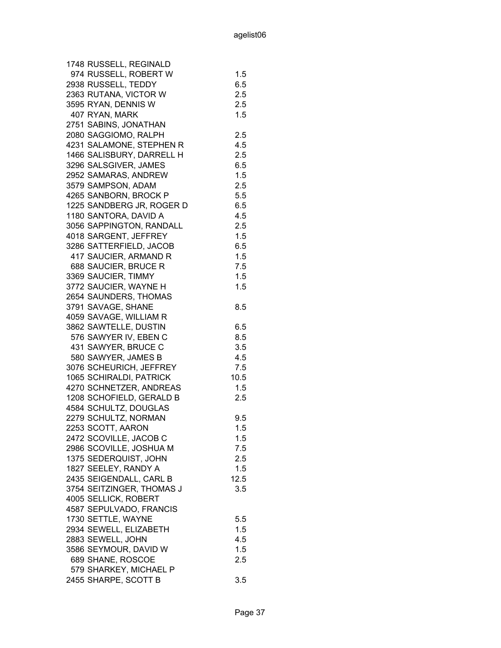| 1748 RUSSELL, REGINALD    |         |
|---------------------------|---------|
| 974 RUSSELL, ROBERT W     | 1.5     |
| 2938 RUSSELL, TEDDY       | 6.5     |
| 2363 RUTANA, VICTOR W     | 2.5     |
| 3595 RYAN, DENNIS W       | 2.5     |
| 407 RYAN, MARK            | 1.5     |
| 2751 SABINS, JONATHAN     |         |
| 2080 SAGGIOMO, RALPH      | 2.5     |
| 4231 SALAMONE, STEPHEN R  | 4.5     |
| 1466 SALISBURY, DARRELL H | 2.5     |
| 3296 SALSGIVER, JAMES     | 6.5     |
| 2952 SAMARAS, ANDREW      | 1.5     |
| 3579 SAMPSON, ADAM        | 2.5     |
| 4265 SANBORN, BROCK P     | 5.5     |
| 1225 SANDBERG JR, ROGER D | 6.5     |
| 1180 SANTORA, DAVID A     | 4.5     |
| 3056 SAPPINGTON, RANDALL  | 2.5     |
| 4018 SARGENT, JEFFREY     | 1.5     |
| 3286 SATTERFIELD, JACOB   | 6.5     |
| 417 SAUCIER, ARMAND R     | 1.5     |
| 688 SAUCIER, BRUCE R      | 7.5     |
| 3369 SAUCIER, TIMMY       | 1.5     |
| 3772 SAUCIER, WAYNE H     | 1.5     |
| 2654 SAUNDERS, THOMAS     |         |
| 3791 SAVAGE, SHANE        | 8.5     |
| 4059 SAVAGE, WILLIAM R    |         |
| 3862 SAWTELLE, DUSTIN     | 6.5     |
| 576 SAWYER IV, EBEN C     | 8.5     |
| 431 SAWYER, BRUCE C       | 3.5     |
| 580 SAWYER, JAMES B       | 4.5     |
| 3076 SCHEURICH, JEFFREY   | 7.5     |
| 1065 SCHIRALDI, PATRICK   | 10.5    |
| 4270 SCHNETZER, ANDREAS   | 1.5     |
| 1208 SCHOFIELD, GERALD B  | 2.5     |
| 4584 SCHULTZ, DOUGLAS     |         |
| 2279 SCHULTZ, NORMAN      | 9.5     |
| 2253 SCOTT, AARON         | 1.5     |
| 2472 SCOVILLE, JACOB C    | $1.5\,$ |
| 2986 SCOVILLE, JOSHUA M   | 7.5     |
| 1375 SEDERQUIST, JOHN     | 2.5     |
| 1827 SEELEY, RANDY A      | 1.5     |
| 2435 SEIGENDALL, CARL B   | 12.5    |
| 3754 SEITZINGER, THOMAS J | 3.5     |
| 4005 SELLICK, ROBERT      |         |
| 4587 SEPULVADO, FRANCIS   |         |
| 1730 SETTLE, WAYNE        | 5.5     |
| 2934 SEWELL, ELIZABETH    | 1.5     |
| 2883 SEWELL, JOHN         | 4.5     |
| 3586 SEYMOUR, DAVID W     | 1.5     |
| 689 SHANE, ROSCOE         | 2.5     |
| 579 SHARKEY, MICHAEL P    |         |
| 2455 SHARPE, SCOTT B      | 3.5     |
|                           |         |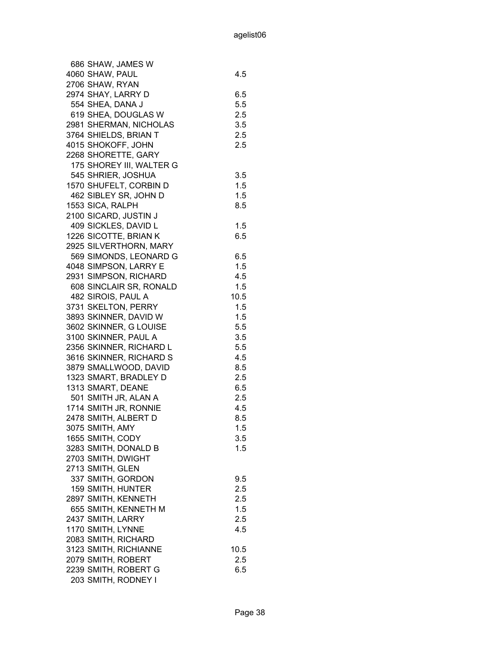| 686 SHAW, JAMES W        |      |
|--------------------------|------|
| 4060 SHAW, PAUL          | 4.5  |
| 2706 SHAW, RYAN          |      |
| 2974 SHAY, LARRY D       | 6.5  |
| 554 SHEA, DANA J         | 5.5  |
| 619 SHEA, DOUGLAS W      | 2.5  |
| 2981 SHERMAN, NICHOLAS   | 3.5  |
| 3764 SHIELDS, BRIAN T    | 2.5  |
| 4015 SHOKOFF, JOHN       | 2.5  |
| 2268 SHORETTE, GARY      |      |
| 175 SHOREY III, WALTER G |      |
| 545 SHRIER, JOSHUA       | 3.5  |
| 1570 SHUFELT, CORBIN D   | 1.5  |
| 462 SIBLEY SR, JOHN D    | 1.5  |
| 1553 SICA, RALPH         | 8.5  |
| 2100 SICARD, JUSTIN J    |      |
| 409 SICKLES, DAVID L     |      |
|                          | 1.5  |
| 1226 SICOTTE, BRIAN K    | 6.5  |
| 2925 SILVERTHORN, MARY   |      |
| 569 SIMONDS, LEONARD G   | 6.5  |
| 4048 SIMPSON, LARRY E    | 1.5  |
| 2931 SIMPSON, RICHARD    | 4.5  |
| 608 SINCLAIR SR, RONALD  | 1.5  |
| 482 SIROIS, PAUL A       | 10.5 |
| 3731 SKELTON, PERRY      | 1.5  |
| 3893 SKINNER, DAVID W    | 1.5  |
| 3602 SKINNER, G LOUISE   | 5.5  |
| 3100 SKINNER, PAUL A     | 3.5  |
| 2356 SKINNER, RICHARD L  | 5.5  |
| 3616 SKINNER, RICHARD S  | 4.5  |
| 3879 SMALLWOOD, DAVID    | 8.5  |
| 1323 SMART, BRADLEY D    | 2.5  |
| 1313 SMART, DEANE        | 6.5  |
| 501 SMITH JR, ALAN A     | 2.5  |
| 1714 SMITH JR, RONNIE    | 4.5  |
| 2478 SMITH, ALBERT D     | 8.5  |
| 3075 SMITH, AMY          | 1.5  |
| 1655 SMITH, CODY         | 3.5  |
| 3283 SMITH, DONALD B     | 1.5  |
| 2703 SMITH, DWIGHT       |      |
| 2713 SMITH, GLEN         |      |
|                          |      |
| 337 SMITH, GORDON        | 9.5  |
| 159 SMITH, HUNTER        | 2.5  |
| 2897 SMITH, KENNETH      | 2.5  |
| 655 SMITH, KENNETH M     | 1.5  |
| 2437 SMITH, LARRY        | 2.5  |
| 1170 SMITH, LYNNE        | 4.5  |
| 2083 SMITH, RICHARD      |      |
| 3123 SMITH, RICHIANNE    | 10.5 |
| 2079 SMITH, ROBERT       | 2.5  |
| 2239 SMITH, ROBERT G     | 6.5  |
| 203 SMITH, RODNEY I      |      |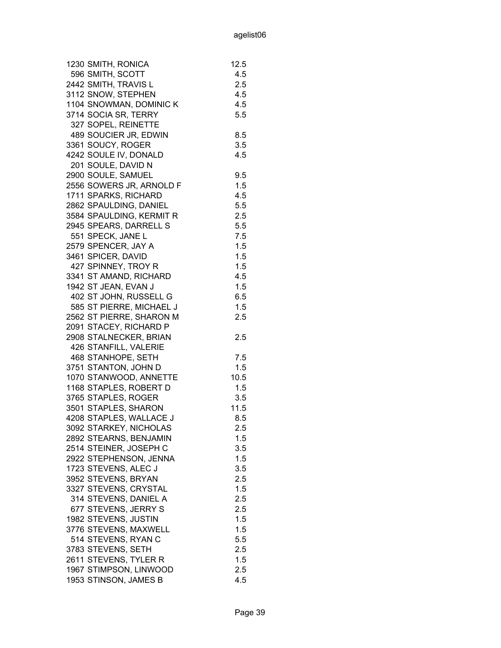| 1230 SMITH, RONICA       | 12.5 |
|--------------------------|------|
| 596 SMITH, SCOTT         | 4.5  |
| 2442 SMITH, TRAVIS L     | 2.5  |
| 3112 SNOW, STEPHEN       | 4.5  |
| 1104 SNOWMAN, DOMINIC K  | 4.5  |
| 3714 SOCIA SR, TERRY     | 5.5  |
| 327 SOPEL, REINETTE      |      |
| 489 SOUCIER JR, EDWIN    | 8.5  |
| 3361 SOUCY, ROGER        | 3.5  |
| 4242 SOULE IV, DONALD    | 4.5  |
| 201 SOULE, DAVID N       |      |
| 2900 SOULE, SAMUEL       | 9.5  |
| 2556 SOWERS JR, ARNOLD F | 1.5  |
| 1711 SPARKS, RICHARD     | 4.5  |
| 2862 SPAULDING, DANIEL   | 5.5  |
| 3584 SPAULDING, KERMIT R | 2.5  |
| 2945 SPEARS, DARRELL S   | 5.5  |
| 551 SPECK, JANE L        | 7.5  |
| 2579 SPENCER, JAY A      | 1.5  |
| 3461 SPICER, DAVID       | 1.5  |
| 427 SPINNEY, TROY R      | 1.5  |
| 3341 ST AMAND, RICHARD   | 4.5  |
| 1942 ST JEAN, EVAN J     | 1.5  |
| 402 ST JOHN, RUSSELL G   | 6.5  |
| 585 ST PIERRE, MICHAEL J | 1.5  |
| 2562 ST PIERRE, SHARON M | 2.5  |
| 2091 STACEY, RICHARD P   |      |
| 2908 STALNECKER, BRIAN   |      |
| 426 STANFILL, VALERIE    | 2.5  |
| 468 STANHOPE, SETH       |      |
|                          | 7.5  |
| 3751 STANTON, JOHN D     | 1.5  |
| 1070 STANWOOD, ANNETTE   | 10.5 |
| 1168 STAPLES, ROBERT D   | 1.5  |
| 3765 STAPLES, ROGER      | 3.5  |
| 3501 STAPLES, SHARON     | 11.5 |
| 4208 STAPLES, WALLACE J  | 8.5  |
| 3092 STARKEY, NICHOLAS   | 2.5  |
| 2892 STEARNS, BENJAMIN   | 1.5  |
| 2514 STEINER, JOSEPH C   | 3.5  |
| 2922 STEPHENSON, JENNA   | 1.5  |
| 1723 STEVENS, ALEC J     | 3.5  |
| 3952 STEVENS, BRYAN      | 2.5  |
| 3327 STEVENS, CRYSTAL    | 1.5  |
| 314 STEVENS, DANIEL A    | 2.5  |
| 677 STEVENS, JERRY S     | 2.5  |
| 1982 STEVENS, JUSTIN     | 1.5  |
| 3776 STEVENS, MAXWELL    | 1.5  |
| 514 STEVENS, RYAN C      | 5.5  |
| 3783 STEVENS, SETH       | 2.5  |
| 2611 STEVENS, TYLER R    | 1.5  |
| 1967 STIMPSON, LINWOOD   | 2.5  |
| 1953 STINSON, JAMES B    | 4.5  |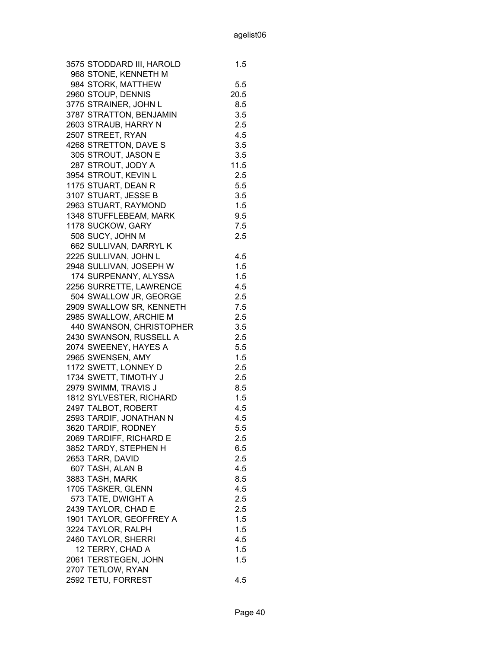| 3575 STODDARD III, HAROLD | 1.5  |
|---------------------------|------|
| 968 STONE, KENNETH M      |      |
| 984 STORK, MATTHEW        | 5.5  |
| 2960 STOUP, DENNIS        | 20.5 |
| 3775 STRAINER, JOHN L     | 8.5  |
| 3787 STRATTON, BENJAMIN   | 3.5  |
| 2603 STRAUB, HARRY N      | 2.5  |
| 2507 STREET, RYAN         | 4.5  |
| 4268 STRETTON, DAVE S     | 3.5  |
| 305 STROUT, JASON E       | 3.5  |
| 287 STROUT, JODY A        | 11.5 |
| 3954 STROUT, KEVIN L      | 2.5  |
| 1175 STUART, DEAN R       | 5.5  |
| 3107 STUART, JESSE B      | 3.5  |
| 2963 STUART, RAYMOND      | 1.5  |
| 1348 STUFFLEBEAM, MARK    | 9.5  |
| 1178 SUCKOW, GARY         | 7.5  |
|                           | 2.5  |
| 508 SUCY, JOHN M          |      |
| 662 SULLIVAN, DARRYL K    |      |
| 2225 SULLIVAN, JOHN L     | 4.5  |
| 2948 SULLIVAN, JOSEPH W   | 1.5  |
| 174 SURPENANY, ALYSSA     | 1.5  |
| 2256 SURRETTE, LAWRENCE   | 4.5  |
| 504 SWALLOW JR, GEORGE    | 2.5  |
| 2909 SWALLOW SR, KENNETH  | 7.5  |
| 2985 SWALLOW, ARCHIE M    | 2.5  |
| 440 SWANSON, CHRISTOPHER  | 3.5  |
| 2430 SWANSON, RUSSELL A   | 2.5  |
| 2074 SWEENEY, HAYES A     | 5.5  |
| 2965 SWENSEN, AMY         | 1.5  |
| 1172 SWETT, LONNEY D      | 2.5  |
| 1734 SWETT, TIMOTHY J     | 2.5  |
| 2979 SWIMM, TRAVIS J      | 8.5  |
| 1812 SYLVESTER, RICHARD   | 1.5  |
| 2497 TALBOT, ROBERT       | 4.5  |
| 2593 TARDIF, JONATHAN N   | 4.5  |
| 3620 TARDIF, RODNEY       | 5.5  |
| 2069 TARDIFF, RICHARD E   | 2.5  |
| 3852 TARDY, STEPHEN H     | 6.5  |
| 2653 TARR, DAVID          | 2.5  |
| 607 TASH, ALAN B          | 4.5  |
| 3883 TASH, MARK           | 8.5  |
| 1705 TASKER, GLENN        | 4.5  |
| 573 TATE, DWIGHT A        | 2.5  |
| 2439 TAYLOR, CHAD E       | 2.5  |
| 1901 TAYLOR, GEOFFREY A   | 1.5  |
| 3224 TAYLOR, RALPH        | 1.5  |
| 2460 TAYLOR, SHERRI       | 4.5  |
| 12 TERRY, CHAD A          | 1.5  |
| 2061 TERSTEGEN, JOHN      | 1.5  |
|                           |      |
| 2707 TETLOW, RYAN         |      |
| 2592 TETU, FORREST        | 4.5  |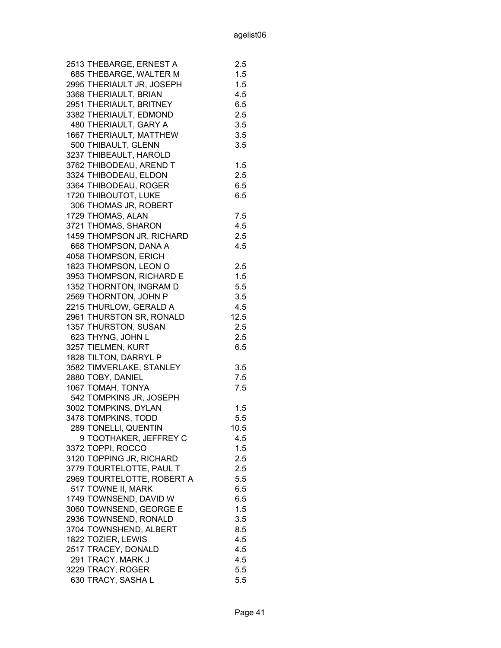| 2513 THEBARGE, ERNEST A    | 2.5     |
|----------------------------|---------|
| 685 THEBARGE, WALTER M     | 1.5     |
| 2995 THERIAULT JR, JOSEPH  | 1.5     |
| 3368 THERIAULT, BRIAN      | 4.5     |
| 2951 THERIAULT, BRITNEY    | 6.5     |
| 3382 THERIAULT, EDMOND     | 2.5     |
| 480 THERIAULT, GARY A      | 3.5     |
| 1667 THERIAULT, MATTHEW    | 3.5     |
| 500 THIBAULT, GLENN        | 3.5     |
| 3237 THIBEAULT, HAROLD     |         |
| 3762 THIBODEAU, AREND T    | 1.5     |
| 3324 THIBODEAU, ELDON      | 2.5     |
| 3364 THIBODEAU, ROGER      | 6.5     |
| 1720 THIBOUTOT, LUKE       | 6.5     |
| 306 THOMAS JR, ROBERT      |         |
| 1729 THOMAS, ALAN          | 7.5     |
| 3721 THOMAS, SHARON        | 4.5     |
| 1459 THOMPSON JR, RICHARD  | 2.5     |
| 668 THOMPSON, DANA A       | 4.5     |
| 4058 THOMPSON, ERICH       |         |
| 1823 THOMPSON, LEON O      | 2.5     |
| 3953 THOMPSON, RICHARD E   | 1.5     |
| 1352 THORNTON, INGRAM D    | 5.5     |
| 2569 THORNTON, JOHN P      | 3.5     |
| 2215 THURLOW, GERALD A     | 4.5     |
| 2961 THURSTON SR, RONALD   | 12.5    |
| 1357 THURSTON, SUSAN       | 2.5     |
| 623 THYNG, JOHN L          | $2.5\,$ |
| 3257 TIELMEN, KURT         | 6.5     |
| 1828 TILTON, DARRYL P      |         |
| 3582 TIMVERLAKE, STANLEY   | 3.5     |
| 2880 TOBY, DANIEL          | 7.5     |
| 1067 TOMAH, TONYA          | 7.5     |
| 542 TOMPKINS JR, JOSEPH    |         |
| 3002 TOMPKINS, DYLAN       | 1.5     |
| 3478 TOMPKINS, TODD        | 5.5     |
| 289 TONELLI, QUENTIN       | 10.5    |
| 9 TOOTHAKER, JEFFREY C     | 4.5     |
| 3372 TOPPI, ROCCO          | 1.5     |
| 3120 TOPPING JR, RICHARD   | 2.5     |
| 3779 TOURTELOTTE, PAUL T   | 2.5     |
| 2969 TOURTELOTTE, ROBERT A | 5.5     |
| 517 TOWNE II, MARK         | 6.5     |
| 1749 TOWNSEND, DAVID W     | 6.5     |
| 3060 TOWNSEND, GEORGE E    | 1.5     |
| 2936 TOWNSEND, RONALD      | 3.5     |
| 3704 TOWNSHEND, ALBERT     | 8.5     |
| 1822 TOZIER, LEWIS         | 4.5     |
| 2517 TRACEY, DONALD        | 4.5     |
| 291 TRACY, MARK J          | 4.5     |
| 3229 TRACY, ROGER          | 5.5     |
| 630 TRACY, SASHA L         | 5.5     |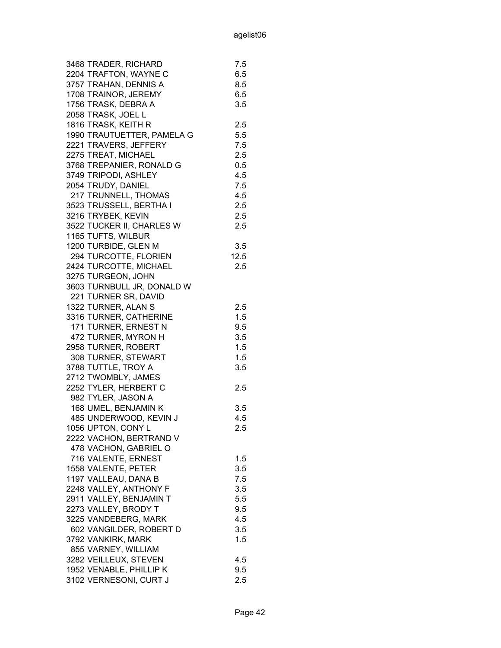| 3468 TRADER, RICHARD       | 7.5  |
|----------------------------|------|
| 2204 TRAFTON, WAYNE C      | 6.5  |
| 3757 TRAHAN, DENNIS A      | 8.5  |
| 1708 TRAINOR, JEREMY       | 6.5  |
| 1756 TRASK, DEBRA A        | 3.5  |
| 2058 TRASK, JOEL L         |      |
| 1816 TRASK, KEITH R        | 2.5  |
| 1990 TRAUTUETTER, PAMELA G | 5.5  |
| 2221 TRAVERS, JEFFERY      | 7.5  |
| 2275 TREAT, MICHAEL        | 2.5  |
| 3768 TREPANIER, RONALD G   | 0.5  |
| 3749 TRIPODI, ASHLEY       | 4.5  |
| 2054 TRUDY, DANIEL         | 7.5  |
| 217 TRUNNELL, THOMAS       | 4.5  |
| 3523 TRUSSELL, BERTHA I    | 2.5  |
| 3216 TRYBEK, KEVIN         |      |
|                            | 2.5  |
| 3522 TUCKER II, CHARLES W  | 2.5  |
| 1165 TUFTS, WILBUR         |      |
| 1200 TURBIDE, GLEN M       | 3.5  |
| 294 TURCOTTE, FLORIEN      | 12.5 |
| 2424 TURCOTTE, MICHAEL     | 2.5  |
| 3275 TURGEON, JOHN         |      |
| 3603 TURNBULL JR, DONALD W |      |
| 221 TURNER SR, DAVID       |      |
| 1322 TURNER, ALAN S        | 2.5  |
| 3316 TURNER, CATHERINE     | 1.5  |
| 171 TURNER, ERNEST N       | 9.5  |
| 472 TURNER, MYRON H        | 3.5  |
| 2958 TURNER, ROBERT        | 1.5  |
| 308 TURNER, STEWART        | 1.5  |
| 3788 TUTTLE, TROY A        | 3.5  |
| 2712 TWOMBLY, JAMES        |      |
| 2252 TYLER, HERBERT C      | 2.5  |
| 982 TYLER, JASON A         |      |
| 168 UMEL, BENJAMIN K       | 3.5  |
| 485 UNDERWOOD, KEVIN J     | 4.5  |
| 1056 UPTON, CONY L         | 2.5  |
| 2222 VACHON, BERTRAND V    |      |
| 478 VACHON, GABRIEL O      |      |
| 716 VALENTE, ERNEST        | 1.5  |
| 1558 VALENTE, PETER        | 3.5  |
| 1197 VALLEAU, DANA B       | 7.5  |
| 2248 VALLEY, ANTHONY F     | 3.5  |
| 2911 VALLEY, BENJAMIN T    | 5.5  |
| 2273 VALLEY, BRODY T       | 9.5  |
| 3225 VANDEBERG, MARK       | 4.5  |
| 602 VANGILDER, ROBERT D    | 3.5  |
| 3792 VANKIRK, MARK         | 1.5  |
| 855 VARNEY, WILLIAM        |      |
| 3282 VEILLEUX, STEVEN      | 4.5  |
| 1952 VENABLE, PHILLIP K    | 9.5  |
| 3102 VERNESONI, CURT J     | 2.5  |
|                            |      |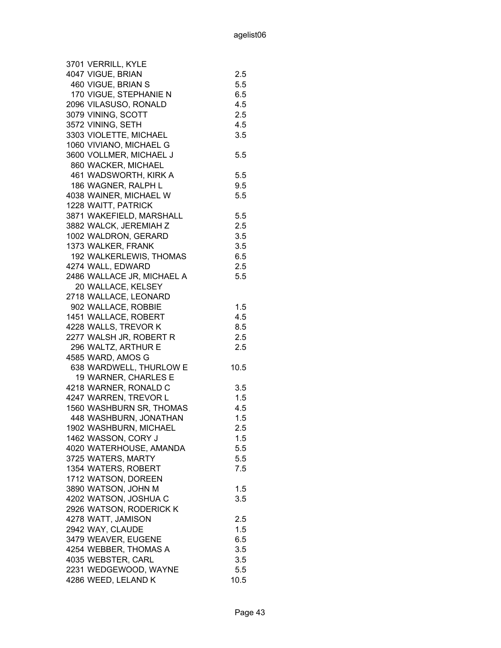| 3701 VERRILL, KYLE         |         |
|----------------------------|---------|
| 4047 VIGUE, BRIAN          | 2.5     |
| 460 VIGUE, BRIAN S         | 5.5     |
| 170 VIGUE, STEPHANIE N     | 6.5     |
| 2096 VILASUSO, RONALD      | 4.5     |
| 3079 VINING, SCOTT         | 2.5     |
| 3572 VINING, SETH          | 4.5     |
| 3303 VIOLETTE, MICHAEL     | 3.5     |
| 1060 VIVIANO, MICHAEL G    |         |
| 3600 VOLLMER, MICHAEL J    | 5.5     |
| 860 WACKER, MICHAEL        |         |
| 461 WADSWORTH, KIRK A      | 5.5     |
| 186 WAGNER, RALPH L        | 9.5     |
| 4038 WAINER, MICHAEL W     | 5.5     |
| 1228 WAITT, PATRICK        |         |
| 3871 WAKEFIELD, MARSHALL   | 5.5     |
| 3882 WALCK, JEREMIAH Z     | 2.5     |
| 1002 WALDRON, GERARD       | 3.5     |
|                            |         |
| 1373 WALKER, FRANK         | 3.5     |
| 192 WALKERLEWIS, THOMAS    | 6.5     |
| 4274 WALL, EDWARD          | 2.5     |
| 2486 WALLACE JR, MICHAEL A | 5.5     |
| 20 WALLACE, KELSEY         |         |
| 2718 WALLACE, LEONARD      |         |
| 902 WALLACE, ROBBIE        | 1.5     |
| 1451 WALLACE, ROBERT       | 4.5     |
| 4228 WALLS, TREVOR K       | 8.5     |
| 2277 WALSH JR, ROBERT R    | 2.5     |
| 296 WALTZ, ARTHUR E        | 2.5     |
| 4585 WARD, AMOS G          |         |
| 638 WARDWELL, THURLOW E    | 10.5    |
| 19 WARNER, CHARLES E       |         |
| 4218 WARNER, RONALD C      | 3.5     |
| 4247 WARREN, TREVOR L      | 1.5     |
| 1560 WASHBURN SR, THOMAS   | 4.5     |
| 448 WASHBURN, JONATHAN     | 1.5     |
| 1902 WASHBURN, MICHAEL     | 2.5     |
| 1462 WASSON, CORY J        | $1.5\,$ |
| 4020 WATERHOUSE, AMANDA    | 5.5     |
| 3725 WATERS, MARTY         | 5.5     |
| 1354 WATERS, ROBERT        | 7.5     |
| 1712 WATSON, DOREEN        |         |
| 3890 WATSON, JOHN M        | 1.5     |
| 4202 WATSON, JOSHUA C      | 3.5     |
| 2926 WATSON, RODERICK K    |         |
| 4278 WATT, JAMISON         | 2.5     |
| 2942 WAY, CLAUDE           | 1.5     |
| 3479 WEAVER, EUGENE        | 6.5     |
| 4254 WEBBER, THOMAS A      | 3.5     |
| 4035 WEBSTER, CARL         | 3.5     |
| 2231 WEDGEWOOD, WAYNE      | 5.5     |
| 4286 WEED, LELAND K        | 10.5    |
|                            |         |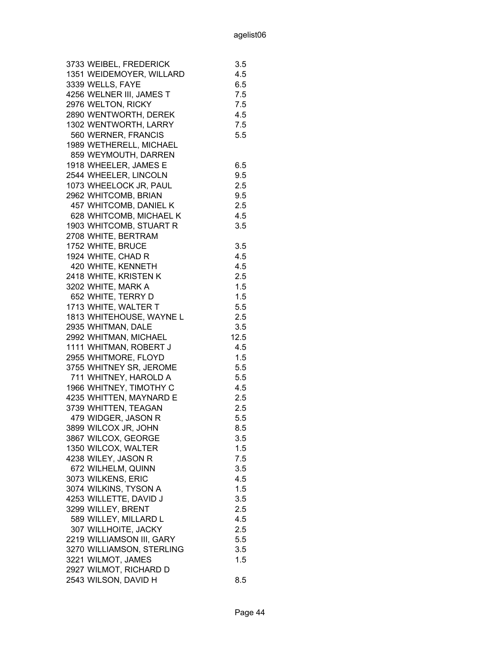| 3733 WEIBEL, FREDERICK    | 3.5  |
|---------------------------|------|
| 1351 WEIDEMOYER, WILLARD  | 4.5  |
| 3339 WELLS, FAYE          | 6.5  |
| 4256 WELNER III, JAMES T  | 7.5  |
| 2976 WELTON, RICKY        | 7.5  |
| 2890 WENTWORTH, DEREK     | 4.5  |
| 1302 WENTWORTH, LARRY     | 7.5  |
| 560 WERNER, FRANCIS       | 5.5  |
| 1989 WETHERELL, MICHAEL   |      |
| 859 WEYMOUTH, DARREN      |      |
| 1918 WHEELER, JAMES E     | 6.5  |
| 2544 WHEELER, LINCOLN     | 9.5  |
| 1073 WHEELOCK JR, PAUL    | 2.5  |
| 2962 WHITCOMB, BRIAN      | 9.5  |
| 457 WHITCOMB, DANIEL K    | 2.5  |
|                           |      |
| 628 WHITCOMB, MICHAEL K   | 4.5  |
| 1903 WHITCOMB, STUART R   | 3.5  |
| 2708 WHITE, BERTRAM       |      |
| 1752 WHITE, BRUCE         | 3.5  |
| 1924 WHITE, CHAD R        | 4.5  |
| 420 WHITE, KENNETH        | 4.5  |
| 2418 WHITE, KRISTEN K     | 2.5  |
| 3202 WHITE, MARK A        | 1.5  |
| 652 WHITE, TERRY D        | 1.5  |
| 1713 WHITE, WALTER T      | 5.5  |
| 1813 WHITEHOUSE, WAYNE L  | 2.5  |
| 2935 WHITMAN, DALE        | 3.5  |
| 2992 WHITMAN, MICHAEL     | 12.5 |
| 1111 WHITMAN, ROBERT J    | 4.5  |
| 2955 WHITMORE, FLOYD      | 1.5  |
| 3755 WHITNEY SR, JEROME   | 5.5  |
| 711 WHITNEY, HAROLD A     | 5.5  |
| 1966 WHITNEY, TIMOTHY C   | 4.5  |
| 4235 WHITTEN, MAYNARD E   | 2.5  |
| 3739 WHITTEN, TEAGAN      | 2.5  |
| 479 WIDGER, JASON R       | 5.5  |
| 3899 WILCOX JR, JOHN      | 8.5  |
| 3867 WILCOX, GEORGE       | 3.5  |
| 1350 WILCOX, WALTER       | 1.5  |
| 4238 WILEY, JASON R       | 7.5  |
| 672 WILHELM, QUINN        | 3.5  |
| 3073 WILKENS, ERIC        | 4.5  |
| 3074 WILKINS, TYSON A     | 1.5  |
| 4253 WILLETTE, DAVID J    | 3.5  |
| 3299 WILLEY, BRENT        | 2.5  |
| 589 WILLEY, MILLARD L     | 4.5  |
| 307 WILLHOITE, JACKY      | 2.5  |
| 2219 WILLIAMSON III, GARY | 5.5  |
| 3270 WILLIAMSON, STERLING | 3.5  |
| 3221 WILMOT, JAMES        | 1.5  |
| 2927 WILMOT, RICHARD D    |      |
| 2543 WILSON, DAVID H      | 8.5  |
|                           |      |